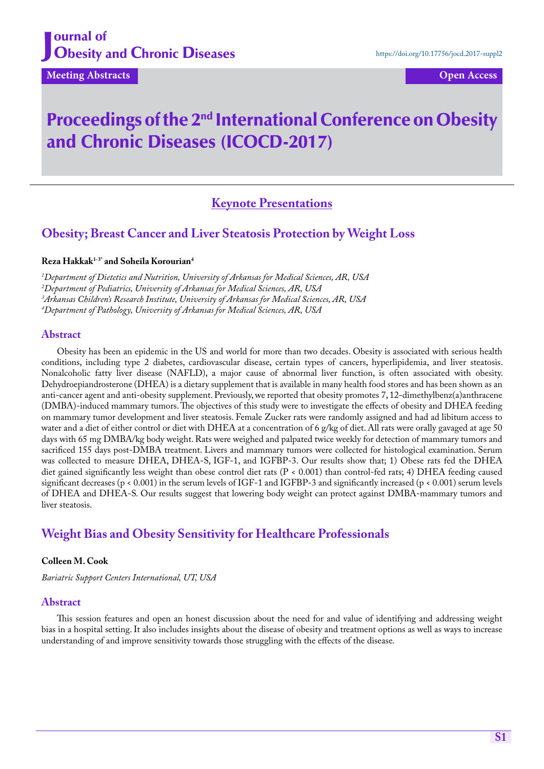# Proceedings of the 2<sup>nd</sup> International Conference on Obesity and Chronic Diseases (ICOCD-2017)

# **Keynote Presentations**

# **Obesity; Breast Cancer and Liver Steatosis Protection by Weight Loss**

### **Reza Hakkak1-3\* and Soheila Korourian4**

 *Department of Dietetics and Nutrition, University of Arkansas for Medical Sciences, AR, USA Department of Pediatrics, University of Arkansas for Medical Sciences, AR, USA Arkansas Children's Research Institute, University of Arkansas for Medical Sciences, AR, USA Department of Pathology, University of Arkansas for Medical Sciences, AR, USA*

## **Abstract**

Obesity has been an epidemic in the US and world for more than two decades. Obesity is associated with serious health conditions, including type 2 diabetes, cardiovascular disease, certain types of cancers, hyperlipidemia, and liver steatosis. Nonalcoholic fatty liver disease (NAFLD), a major cause of abnormal liver function, is often associated with obesity. Dehydroepiandrosterone (DHEA) is a dietary supplement that is available in many health food stores and has been shown as an anti-cancer agent and anti-obesity supplement. Previously, we reported that obesity promotes 7, 12-dimethylbenz(a)anthracene (DMBA)-induced mammary tumors. The objectives of this study were to investigate the effects of obesity and DHEA feeding on mammary tumor development and liver steatosis. Female Zucker rats were randomly assigned and had ad libitum access to water and a diet of either control or diet with DHEA at a concentration of 6 g/kg of diet. All rats were orally gavaged at age 50 days with 65 mg DMBA/kg body weight. Rats were weighed and palpated twice weekly for detection of mammary tumors and sacrificed 155 days post-DMBA treatment. Livers and mammary tumors were collected for histological examination. Serum was collected to measure DHEA, DHEA-S, IGF-1, and IGFBP-3. Our results show that; 1) Obese rats fed the DHEA diet gained significantly less weight than obese control diet rats (P < 0.001) than control-fed rats; 4) DHEA feeding caused significant decreases ( $p < 0.001$ ) in the serum levels of IGF-1 and IGFBP-3 and significantly increased ( $p < 0.001$ ) serum levels of DHEA and DHEA-S. Our results suggest that lowering body weight can protect against DMBA-mammary tumors and liver steatosis.

# **Weight Bias and Obesity Sensitivity for Healthcare Professionals**

## **Colleen M. Cook**

*Bariatric Support Centers International, UT, USA*

## **Abstract**

This session features and open an honest discussion about the need for and value of identifying and addressing weight bias in a hospital setting. It also includes insights about the disease of obesity and treatment options as well as ways to increase understanding of and improve sensitivity towards those struggling with the effects of the disease.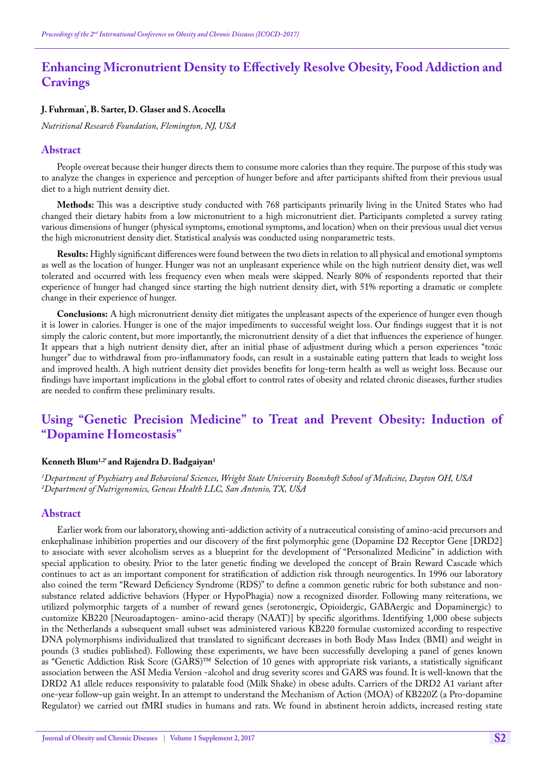# **Enhancing Micronutrient Density to Effectively Resolve Obesity, Food Addiction and Cravings**

## **J. Fuhrman\* , B. Sarter, D. Glaser and S. Acocella**

*Nutritional Research Foundation, Flemington, NJ, USA*

### **Abstract**

People overeat because their hunger directs them to consume more calories than they require. The purpose of this study was to analyze the changes in experience and perception of hunger before and after participants shifted from their previous usual diet to a high nutrient density diet.

**Methods:** This was a descriptive study conducted with 768 participants primarily living in the United States who had changed their dietary habits from a low micronutrient to a high micronutrient diet. Participants completed a survey rating various dimensions of hunger (physical symptoms, emotional symptoms, and location) when on their previous usual diet versus the high micronutrient density diet. Statistical analysis was conducted using nonparametric tests.

**Results:** Highly significant differences were found between the two diets in relation to all physical and emotional symptoms as well as the location of hunger. Hunger was not an unpleasant experience while on the high nutrient density diet, was well tolerated and occurred with less frequency even when meals were skipped. Nearly 80% of respondents reported that their experience of hunger had changed since starting the high nutrient density diet, with 51% reporting a dramatic or complete change in their experience of hunger.

**Conclusions:** A high micronutrient density diet mitigates the unpleasant aspects of the experience of hunger even though it is lower in calories. Hunger is one of the major impediments to successful weight loss. Our findings suggest that it is not simply the caloric content, but more importantly, the micronutrient density of a diet that influences the experience of hunger. It appears that a high nutrient density diet, after an initial phase of adjustment during which a person experiences "toxic hunger" due to withdrawal from pro-inflammatory foods, can result in a sustainable eating pattern that leads to weight loss and improved health. A high nutrient density diet provides benefits for long-term health as well as weight loss. Because our findings have important implications in the global effort to control rates of obesity and related chronic diseases, further studies are needed to confirm these preliminary results.

# **Using "Genetic Precision Medicine" to Treat and Prevent Obesity: Induction of "Dopamine Homeostasis"**

#### **Kenneth Blum1,2\* and Rajendra D. Badgaiyan1**

*1 Department of Psychiatry and Behavioral Sciences, Wright State University Boonshoft School of Medicine, Dayton OH, USA 2 Department of Nutrigenomics, Geneus Health LLC, San Antonio, TX, USA*

### **Abstract**

Earlier work from our laboratory, showing anti-addiction activity of a nutraceutical consisting of amino-acid precursors and enkephalinase inhibition properties and our discovery of the first polymorphic gene (Dopamine D2 Receptor Gene [DRD2] to associate with sever alcoholism serves as a blueprint for the development of "Personalized Medicine" in addiction with special application to obesity. Prior to the later genetic finding we developed the concept of Brain Reward Cascade which continues to act as an important component for stratification of addiction risk through neurogentics. In 1996 our laboratory also coined the term "Reward Deficiency Syndrome (RDS)" to define a common genetic rubric for both substance and nonsubstance related addictive behaviors (Hyper or HypoPhagia) now a recognized disorder. Following many reiterations, we utilized polymorphic targets of a number of reward genes (serotonergic, Opioidergic, GABAergic and Dopaminergic) to customize KB220 [Neuroadaptogen- amino-acid therapy (NAAT)] by specific algorithms. Identifying 1,000 obese subjects in the Netherlands a subsequent small subset was administered various KB220 formulae customized according to respective DNA polymorphisms individualized that translated to significant decreases in both Body Mass Index (BMI) and weight in pounds (3 studies published). Following these experiments, we have been successfully developing a panel of genes known as "Genetic Addiction Risk Score (GARS)™ Selection of 10 genes with appropriate risk variants, a statistically significant association between the ASI Media Version -alcohol and drug severity scores and GARS was found. It is well-known that the DRD2 A1 allele reduces responsivity to palatable food (Milk Shake) in obese adults. Carriers of the DRD2 A1 variant after one-year follow–up gain weight. In an attempt to understand the Mechanism of Action (MOA) of KB220Z (a Pro-dopamine Regulator) we carried out fMRI studies in humans and rats. We found in abstinent heroin addicts, increased resting state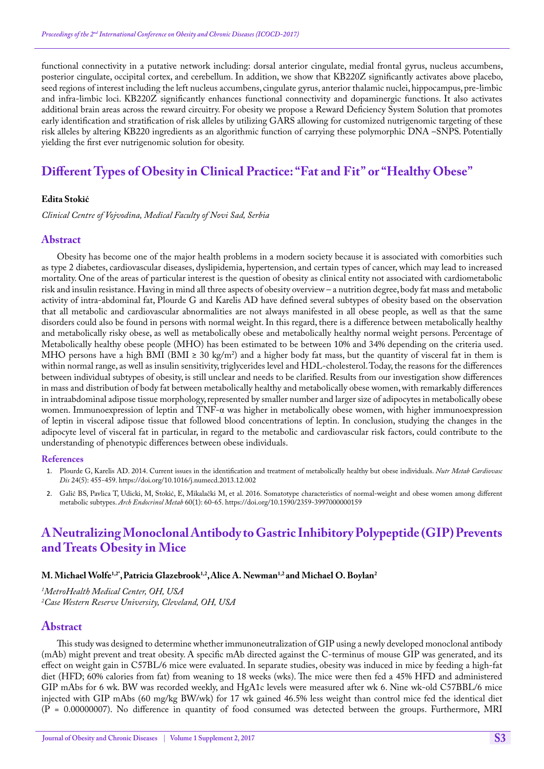functional connectivity in a putative network including: dorsal anterior cingulate, medial frontal gyrus, nucleus accumbens, posterior cingulate, occipital cortex, and cerebellum. In addition, we show that KB220Z significantly activates above placebo, seed regions of interest including the left nucleus accumbens, cingulate gyrus, anterior thalamic nuclei, hippocampus, pre-limbic and infra-limbic loci. KB220Z significantly enhances functional connectivity and dopaminergic functions. It also activates additional brain areas across the reward circuitry. For obesity we propose a Reward Deficiency System Solution that promotes early identification and stratification of risk alleles by utilizing GARS allowing for customized nutrigenomic targeting of these risk alleles by altering KB220 ingredients as an algorithmic function of carrying these polymorphic DNA –SNPS. Potentially yielding the first ever nutrigenomic solution for obesity.

# **Different Types of Obesity in Clinical Practice: "Fat and Fit" or "Healthy Obese"**

### **Edita Stokić**

*Clinical Centre of Vojvodina, Medical Faculty of Novi Sad, Serbia*

### **Abstract**

Obesity has become one of the major health problems in a modern society because it is associated with comorbities such as type 2 diabetes, cardiovascular diseases, dyslipidemia, hypertension, and certain types of cancer, which may lead to increased mortality. One of the areas of particular interest is the question of obesity as clinical entity not associated with cardiometabolic risk and insulin resistance. Having in mind all three aspects of obesity overview – a nutrition degree, body fat mass and metabolic activity of intra-abdominal fat, Plourde G and Karelis AD have defined several subtypes of obesity based on the observation that all metabolic and cardiovascular abnormalities are not always manifested in all obese people, as well as that the same disorders could also be found in persons with normal weight. In this regard, there is a difference between metabolically healthy and metabolically risky obese, as well as metabolically obese and metabolically healthy normal weight persons. Percentage of Metabolically healthy obese people (MHO) has been estimated to be between 10% and 34% depending on the criteria used. MHO persons have a high BMI (BMI ≥ 30 kg/m<sup>2</sup>) and a higher body fat mass, but the quantity of visceral fat in them is within normal range, as well as insulin sensitivity, triglycerides level and HDL-cholesterol. Today, the reasons for the differences between individual subtypes of obesity, is still unclear and needs to be clarified. Results from our investigation show differences in mass and distribution of body fat between metabolically healthy and metabolically obese women, with remarkably differences in intraabdominal adipose tissue morphology, represented by smaller number and larger size of adipocytes in metabolically obese women. Immunoexpression of leptin and TNF-α was higher in metabolically obese women, with higher immunoexpression of leptin in visceral adipose tissue that followed blood concentrations of leptin. In conclusion, studying the changes in the adipocyte level of visceral fat in particular, in regard to the metabolic and cardiovascular risk factors, could contribute to the understanding of phenotypic differences between obese individuals.

#### **References**

- 1. [Plourde G, Karelis AD. 2014. Current issues in the identification and treatment of metabolically healthy but obese individuals.](http://www.nmcd-journal.com/article/S0939-4753(13)00306-2/fulltext) *Nutr Metab Cardiovasc Dis* [24\(5\): 455-459.](http://www.nmcd-journal.com/article/S0939-4753(13)00306-2/fulltext) [https://doi.org/10.1016/j.numecd.2013.12.002](http://doi.org/10.1016/j.numecd.2013.12.002%20)
- 2. [Galić BS, Pavlica T, Udicki, M, Stokić, E, Mikalački M, et al. 2016. Somatotype characteristics of normal-weight and obese women among different](http://www.scielo.br/pdf/aem/v60n1/0004-2730-aem-60-1-0060.pdf)  metabolic subtypes. *[Arch Endocrinol Metab](http://www.scielo.br/pdf/aem/v60n1/0004-2730-aem-60-1-0060.pdf)* 60(1): 60-65. [https://doi.org/10.1590/2359-3997000000159](http://dx.doi.org/10.1590/2359-3997000000159)

# **A Neutralizing Monoclonal Antibody to Gastric Inhibitory Polypeptide (GIP) Prevents and Treats Obesity in Mice**

### **M. Michael Wolfe1,2\*,Patricia Glazebrook1,2,Alice A. Newman1,2 and Michael O. Boylan2**

*1 MetroHealth Medical Center, OH, USA 2 Case Western Reserve University, Cleveland, OH, USA*

### **Abstract**

This study was designed to determine whether immunoneutralization of GIP using a newly developed monoclonal antibody (mAb) might prevent and treat obesity. A specific mAb directed against the C-terminus of mouse GIP was generated, and its effect on weight gain in C57BL/6 mice were evaluated. In separate studies, obesity was induced in mice by feeding a high-fat diet (HFD; 60% calories from fat) from weaning to 18 weeks (wks). The mice were then fed a 45% HFD and administered GIP mAbs for 6 wk. BW was recorded weekly, and HgA1c levels were measured after wk 6. Nine wk-old C57BBL/6 mice injected with GIP mAbs (60 mg/kg BW/wk) for 17 wk gained 46.5% less weight than control mice fed the identical diet (P = 0.00000007). No difference in quantity of food consumed was detected between the groups. Furthermore, MRI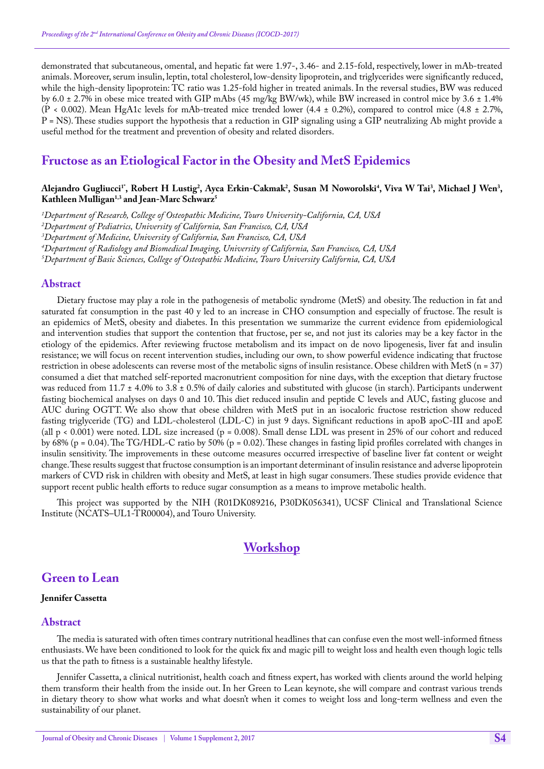demonstrated that subcutaneous, omental, and hepatic fat were 1.97-, 3.46- and 2.15-fold, respectively, lower in mAb-treated animals. Moreover, serum insulin, leptin, total cholesterol, low-density lipoprotein, and triglycerides were significantly reduced, while the high-density lipoprotein: TC ratio was 1.25-fold higher in treated animals. In the reversal studies, BW was reduced by 6.0  $\pm$  2.7% in obese mice treated with GIP mAbs (45 mg/kg BW/wk), while BW increased in control mice by 3.6  $\pm$  1.4% (P < 0.002). Mean HgA1c levels for mAb-treated mice trended lower (4.4  $\pm$  0.2%), compared to control mice (4.8  $\pm$  2.7%, P = NS). These studies support the hypothesis that a reduction in GIP signaling using a GIP neutralizing Ab might provide a useful method for the treatment and prevention of obesity and related disorders.

# **Fructose as an Etiological Factor in the Obesity and MetS Epidemics**

### Alejandro Gugliucci<sup>1</sup>', Robert H Lustig<sup>2</sup>, Ayca Erkin-Cakmak<sup>2</sup>, Susan M Noworolski<sup>4</sup>, Viva W Tai<sup>3</sup>, Michael J Wen<sup>3</sup>, **Kathleen Mulligan1,3 and Jean-Marc Schwarz5**

*1 Department of Research, College of Osteopathic Medicine, Touro University-California, CA, USA* 

*2 Department of Pediatrics, University of California, San Francisco, CA, USA* 

*3 Department of Medicine, University of California, San Francisco, CA, USA* 

*4 Department of Radiology and Biomedical Imaging, University of California, San Francisco, CA, USA* 

*5 Department of Basic Sciences, College of Osteopathic Medicine, Touro University California, CA, USA*

### **Abstract**

Dietary fructose may play a role in the pathogenesis of metabolic syndrome (MetS) and obesity. The reduction in fat and saturated fat consumption in the past 40 y led to an increase in CHO consumption and especially of fructose. The result is an epidemics of MetS, obesity and diabetes. In this presentation we summarize the current evidence from epidemiological and intervention studies that support the contention that fructose, per se, and not just its calories may be a key factor in the etiology of the epidemics. After reviewing fructose metabolism and its impact on de novo lipogenesis, liver fat and insulin resistance; we will focus on recent intervention studies, including our own, to show powerful evidence indicating that fructose restriction in obese adolescents can reverse most of the metabolic signs of insulin resistance. Obese children with MetS (n = 37) consumed a diet that matched self-reported macronutrient composition for nine days, with the exception that dietary fructose was reduced from  $11.7 \pm 4.0\%$  to  $3.8 \pm 0.5\%$  of daily calories and substituted with glucose (in starch). Participants underwent fasting biochemical analyses on days 0 and 10. This diet reduced insulin and peptide C levels and AUC, fasting glucose and AUC during OGTT. We also show that obese children with MetS put in an isocaloric fructose restriction show reduced fasting triglyceride (TG) and LDL-cholesterol (LDL-C) in just 9 days. Significant reductions in apoB apoC-III and apoE (all  $p \lt 0.001$ ) were noted. LDL size increased ( $p = 0.008$ ). Small dense LDL was present in 25% of our cohort and reduced by 68% (p = 0.04). The TG/HDL-C ratio by 50% (p = 0.02). These changes in fasting lipid profiles correlated with changes in insulin sensitivity. The improvements in these outcome measures occurred irrespective of baseline liver fat content or weight change. These results suggest that fructose consumption is an important determinant of insulin resistance and adverse lipoprotein markers of CVD risk in children with obesity and MetS, at least in high sugar consumers. These studies provide evidence that support recent public health efforts to reduce sugar consumption as a means to improve metabolic health.

This project was supported by the NIH (R01DK089216, P30DK056341), UCSF Clinical and Translational Science Institute (NCATS–UL1-TR00004), and Touro University.

# **Workshop**

# **Green to Lean**

### **Jennifer Cassetta**

#### **Abstract**

The media is saturated with often times contrary nutritional headlines that can confuse even the most well-informed fitness enthusiasts. We have been conditioned to look for the quick fix and magic pill to weight loss and health even though logic tells us that the path to fitness is a sustainable healthy lifestyle.

Jennifer Cassetta, a clinical nutritionist, health coach and fitness expert, has worked with clients around the world helping them transform their health from the inside out. In her Green to Lean keynote, she will compare and contrast various trends in dietary theory to show what works and what doesn't when it comes to weight loss and long-term wellness and even the sustainability of our planet.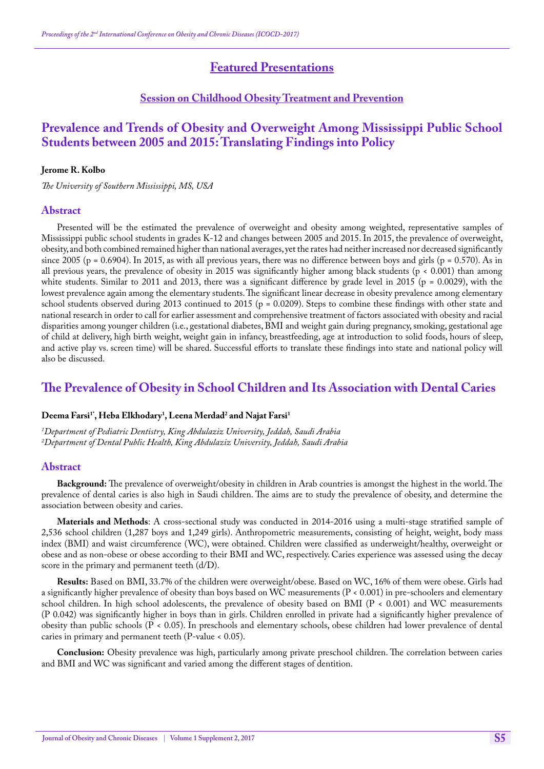## **Featured Presentations**

## **Session on Childhood Obesity Treatment and Prevention**

# **Prevalence and Trends of Obesity and Overweight Among Mississippi Public School Students between 2005 and 2015: Translating Findings into Policy**

### **Jerome R. Kolbo**

*The University of Southern Mississippi, MS, USA*

### **Abstract**

Presented will be the estimated the prevalence of overweight and obesity among weighted, representative samples of Mississippi public school students in grades K-12 and changes between 2005 and 2015. In 2015, the prevalence of overweight, obesity, and both combined remained higher than national averages, yet the rates had neither increased nor decreased significantly since 2005 (p =  $0.6904$ ). In 2015, as with all previous years, there was no difference between boys and girls (p =  $0.570$ ). As in all previous years, the prevalence of obesity in 2015 was significantly higher among black students (p < 0.001) than among white students. Similar to 2011 and 2013, there was a significant difference by grade level in 2015 ( $p = 0.0029$ ), with the lowest prevalence again among the elementary students. The significant linear decrease in obesity prevalence among elementary school students observed during 2013 continued to 2015 ( $p = 0.0209$ ). Steps to combine these findings with other state and national research in order to call for earlier assessment and comprehensive treatment of factors associated with obesity and racial disparities among younger children (i.e., gestational diabetes, BMI and weight gain during pregnancy, smoking, gestational age of child at delivery, high birth weight, weight gain in infancy, breastfeeding, age at introduction to solid foods, hours of sleep, and active play vs. screen time) will be shared. Successful efforts to translate these findings into state and national policy will also be discussed.

## **The Prevalence of Obesity in School Children and Its Association with Dental Caries**

## **Deema Farsi1\*, Heba Elkhodary1 , Leena Merdad2 and Najat Farsi1**

*1 Department of Pediatric Dentistry, King Abdulaziz University, Jeddah, Saudi Arabia 2 Department of Dental Public Health, King Abdulaziz University, Jeddah, Saudi Arabia*

### **Abstract**

**Background:** The prevalence of overweight/obesity in children in Arab countries is amongst the highest in the world. The prevalence of dental caries is also high in Saudi children. The aims are to study the prevalence of obesity, and determine the association between obesity and caries.

**Materials and Methods**: A cross-sectional study was conducted in 2014-2016 using a multi-stage stratified sample of 2,536 school children (1,287 boys and 1,249 girls). Anthropometric measurements, consisting of height, weight, body mass index (BMI) and waist circumference (WC), were obtained. Children were classified as underweight/healthy, overweight or obese and as non-obese or obese according to their BMI and WC, respectively. Caries experience was assessed using the decay score in the primary and permanent teeth  $(d/D)$ .

**Results:** Based on BMI, 33.7% of the children were overweight/obese. Based on WC, 16% of them were obese. Girls had a significantly higher prevalence of obesity than boys based on WC measurements (P < 0.001) in pre-schoolers and elementary school children. In high school adolescents, the prevalence of obesity based on BMI (P < 0.001) and WC measurements (P 0.042) was significantly higher in boys than in girls. Children enrolled in private had a significantly higher prevalence of obesity than public schools (P < 0.05). In preschools and elementary schools, obese children had lower prevalence of dental caries in primary and permanent teeth (P-value < 0.05).

**Conclusion:** Obesity prevalence was high, particularly among private preschool children. The correlation between caries and BMI and WC was significant and varied among the different stages of dentition.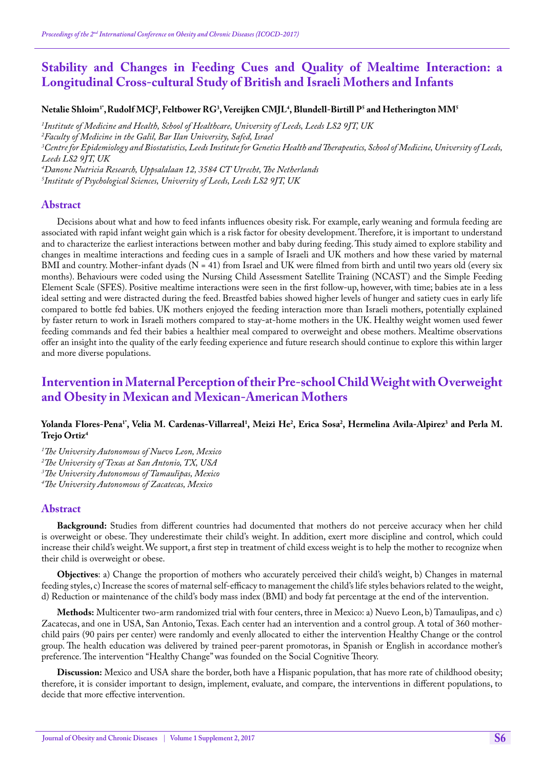# **Stability and Changes in Feeding Cues and Quality of Mealtime Interaction: a Longitudinal Cross-cultural Study of British and Israeli Mothers and Infants**

## **Netalie Shloim1\*,Rudolf MCJ2 , Feltbower RG3 , Vereijken CMJL4 , Blundell-Birtill P5 and Hetherington MM5**

 *Institute of Medicine and Health, School of Healthcare, University of Leeds, Leeds LS2 9JT, UK Faculty of Medicine in the Galil, Bar Ilan University, Safed, Israel* <sup>3</sup> Centre for Epidemiology and Biostatistics, Leeds Institute for Genetics Health and Therapeutics, School of Medicine, University of Leeds, *Leeds LS2 9JT, UK Danone Nutricia Research, Uppsalalaan 12, 3584 CT Utrecht, The Netherlands Institute of Psychological Sciences, University of Leeds, Leeds LS2 9JT, UK*

## **Abstract**

Decisions about what and how to feed infants influences obesity risk. For example, early weaning and formula feeding are associated with rapid infant weight gain which is a risk factor for obesity development. Therefore, it is important to understand and to characterize the earliest interactions between mother and baby during feeding. This study aimed to explore stability and changes in mealtime interactions and feeding cues in a sample of Israeli and UK mothers and how these varied by maternal BMI and country. Mother-infant dyads  $(N = 41)$  from Israel and UK were filmed from birth and until two years old (every six months). Behaviours were coded using the Nursing Child Assessment Satellite Training (NCAST) and the Simple Feeding Element Scale (SFES). Positive mealtime interactions were seen in the first follow-up, however, with time; babies ate in a less ideal setting and were distracted during the feed. Breastfed babies showed higher levels of hunger and satiety cues in early life compared to bottle fed babies. UK mothers enjoyed the feeding interaction more than Israeli mothers, potentially explained by faster return to work in Israeli mothers compared to stay-at-home mothers in the UK. Healthy weight women used fewer feeding commands and fed their babies a healthier meal compared to overweight and obese mothers. Mealtime observations offer an insight into the quality of the early feeding experience and future research should continue to explore this within larger and more diverse populations.

# **Intervention in Maternal Perception of their Pre-school Child Weight with Overweight and Obesity in Mexican and Mexican-American Mothers**

## Yolanda Flores-Pena<sup>1</sup>', Velia M. Cardenas-Villarreal<sup>1</sup>, Meizi He<sup>2</sup>, Erica Sosa<sup>2</sup>, Hermelina Avila-Alpirez<sup>3</sup> and Perla M. **Trejo Ortiz4**

*1 The University Autonomous of Nuevo Leon, Mexico*

*2 The University of Texas at San Antonio, TX, USA*

*3 The University Autonomous of Tamaulipas, Mexico*

*4 The University Autonomous of Zacatecas, Mexico*

## **Abstract**

**Background:** Studies from different countries had documented that mothers do not perceive accuracy when her child is overweight or obese. They underestimate their child's weight. In addition, exert more discipline and control, which could increase their child's weight. We support, a first step in treatment of child excess weight is to help the mother to recognize when their child is overweight or obese.

**Objectives**: a) Change the proportion of mothers who accurately perceived their child's weight, b) Changes in maternal feeding styles, c) Increase the scores of maternal self-efficacy to management the child's life styles behaviors related to the weight, d) Reduction or maintenance of the child's body mass index (BMI) and body fat percentage at the end of the intervention.

**Methods:** Multicenter two-arm randomized trial with four centers, three in Mexico: a) Nuevo Leon, b) Tamaulipas, and c) Zacatecas, and one in USA, San Antonio, Texas. Each center had an intervention and a control group. A total of 360 motherchild pairs (90 pairs per center) were randomly and evenly allocated to either the intervention Healthy Change or the control group. The health education was delivered by trained peer-parent promotoras, in Spanish or English in accordance mother's preference. The intervention "Healthy Change" was founded on the Social Cognitive Theory.

**Discussion:** Mexico and USA share the border, both have a Hispanic population, that has more rate of childhood obesity; therefore, it is consider important to design, implement, evaluate, and compare, the interventions in different populations, to decide that more effective intervention.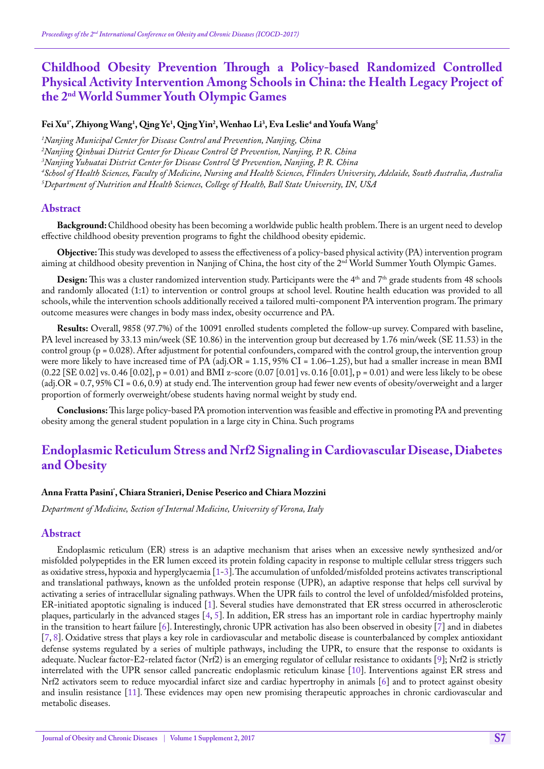# **Childhood Obesity Prevention Through a Policy-based Randomized Controlled Physical Activity Intervention Among Schools in China: the Health Legacy Project of the 2nd World Summer Youth Olympic Games**

**Fei Xu1\*, Zhiyong Wang1 , Qing Ye1 , Qing Yin2 , Wenhao Li3 , Eva Leslie4 and Youfa Wang5**

 *Nanjing Municipal Center for Disease Control and Prevention, Nanjing, China Nanjing Qinhuai District Center for Disease Control & Prevention, Nanjing, P. R. China Nanjing Yuhuatai District Center for Disease Control & Prevention, Nanjing, P. R. China School of Health Sciences, Faculty of Medicine, Nursing and Health Sciences, Flinders University, Adelaide, South Australia, Australia Department of Nutrition and Health Sciences, College of Health, Ball State University, IN, USA*

### **Abstract**

**Background:** Childhood obesity has been becoming a worldwide public health problem. There is an urgent need to develop effective childhood obesity prevention programs to fight the childhood obesity epidemic.

**Objective:** This study was developed to assess the effectiveness of a policy-based physical activity (PA) intervention program aiming at childhood obesity prevention in Nanjing of China, the host city of the 2<sup>nd</sup> World Summer Youth Olympic Games.

Design: This was a cluster randomized intervention study. Participants were the 4<sup>th</sup> and 7<sup>th</sup> grade students from 48 schools and randomly allocated (1:1) to intervention or control groups at school level. Routine health education was provided to all schools, while the intervention schools additionally received a tailored multi-component PA intervention program. The primary outcome measures were changes in body mass index, obesity occurrence and PA.

**Results:** Overall, 9858 (97.7%) of the 10091 enrolled students completed the follow-up survey. Compared with baseline, PA level increased by 33.13 min/week (SE 10.86) in the intervention group but decreased by 1.76 min/week (SE 11.53) in the control group (p = 0.028). After adjustment for potential confounders, compared with the control group, the intervention group were more likely to have increased time of PA (adj.OR = 1.15, 95% CI = 1.06–1.25), but had a smaller increase in mean BMI  $(0.22$  [SE 0.02] vs. 0.46 [0.02], p = 0.01) and BMI z-score  $(0.07$  [0.01] vs. 0.16 [0.01], p = 0.01) and were less likely to be obese (adj.OR = 0.7, 95% CI = 0.6, 0.9) at study end. The intervention group had fewer new events of obesity/overweight and a larger proportion of formerly overweight/obese students having normal weight by study end.

**Conclusions:** This large policy-based PA promotion intervention was feasible and effective in promoting PA and preventing obesity among the general student population in a large city in China. Such programs

# **Endoplasmic Reticulum Stress and Nrf2 Signaling in Cardiovascular Disease, Diabetes and Obesity**

### **Anna Fratta Pasini\* , Chiara Stranieri, Denise Peserico and Chiara Mozzini**

*Department of Medicine, Section of Internal Medicine, University of Verona, Italy*

### **Abstract**

Endoplasmic reticulum (ER) stress is an adaptive mechanism that arises when an excessive newly synthesized and/or misfolded polypeptides in the ER lumen exceed its protein folding capacity in response to multiple cellular stress triggers such as oxidative stress, hypoxia and hyperglycaemia [1-3]. The accumulation of unfolded/misfolded proteins activates transcriptional and translational pathways, known as the unfolded protein response (UPR), an adaptive response that helps cell survival by activating a series of intracellular signaling pathways. When the UPR fails to control the level of unfolded/misfolded proteins, ER-initiated apoptotic signaling is induced [1]. Several studies have demonstrated that ER stress occurred in atherosclerotic plaques, particularly in the advanced stages [4, 5]. In addition, ER stress has an important role in cardiac hypertrophy mainly in the transition to heart failure [6]. Interestingly, chronic UPR activation has also been observed in obesity [7] and in diabetes [7, 8]. Oxidative stress that plays a key role in cardiovascular and metabolic disease is counterbalanced by complex antioxidant defense systems regulated by a series of multiple pathways, including the UPR, to ensure that the response to oxidants is adequate. Nuclear factor-E2-related factor (Nrf2) is an emerging regulator of cellular resistance to oxidants [9]; Nrf2 is strictly interrelated with the UPR sensor called pancreatic endoplasmic reticulum kinase [10]. Interventions against ER stress and Nrf2 activators seem to reduce myocardial infarct size and cardiac hypertrophy in animals [6] and to protect against obesity and insulin resistance [11]. These evidences may open new promising therapeutic approaches in chronic cardiovascular and metabolic diseases.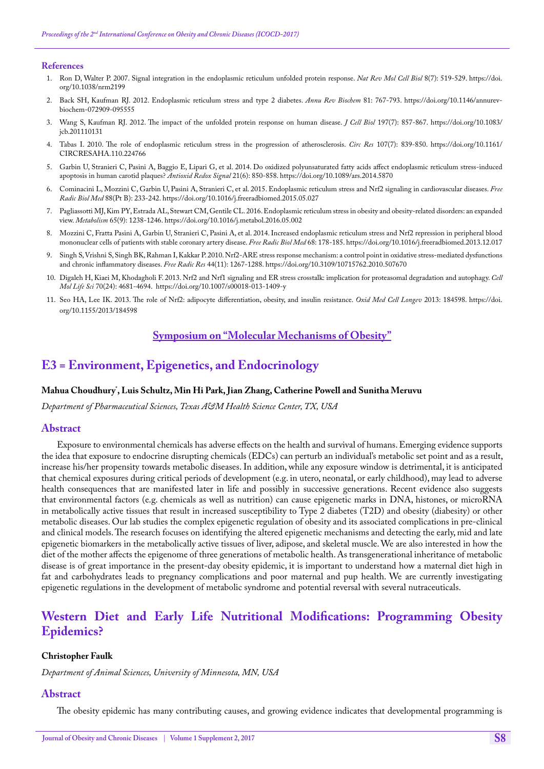#### **References**

- 1. [Ron D, Walter P. 2007. Signal integration in the endoplasmic reticulum unfolded protein response.](https://www.ncbi.nlm.nih.gov/pubmed/17565364) *Nat Rev Mol Cell Biol* 8(7): 519-529. [https://doi.](https://doi.org/10.1038/nrm2199) [org/10.1038/nrm2199](https://doi.org/10.1038/nrm2199)
- 2. [Back SH, Kaufman RJ. 2012. Endoplasmic reticulum stress and type 2 diabetes.](https://www.ncbi.nlm.nih.gov/pmc/articles/PMC3684428/pdf/nihms459339.pdf) *Annu Rev Biochem* 81: 767-793. [https://doi.org/10.1146/annurev](https://doi.org/10.1146/annurev-biochem-072909-095555)[biochem-072909-095555](https://doi.org/10.1146/annurev-biochem-072909-095555)
- 3. [Wang S, Kaufman RJ. 2012. The impact of the unfolded protein response on human disease.](https://www.ncbi.nlm.nih.gov/pmc/articles/PMC3384412/pdf/JCB_201110131.pdf) *J Cell Biol* 197(7): 857-867. [https://doi.org/10.1083/](https://doi.org/10.1083/jcb.201110131) [jcb.201110131](https://doi.org/10.1083/jcb.201110131)
- 4. [Tabas I. 2010. The role of endoplasmic reticulum stress in the progression of atherosclerosis.](https://www.ncbi.nlm.nih.gov/pmc/articles/PMC2951143/pdf/nihms-239666.pdf) *Circ Res* 107(7): 839-850. [https://doi.org/10.1161/](https://doi.org/10.1161/CIRCRESAHA.110.224766) [CIRCRESAHA.110.224766](https://doi.org/10.1161/CIRCRESAHA.110.224766)
- 5. [Garbin U, Stranieri C, Pasini A, Baggio E, Lipari G, et al. 2014. Do oxidized polyunsaturated fatty acids affect endoplasmic reticulum stress-induced](https://www.ncbi.nlm.nih.gov/pubmed/24597951)  [apoptosis in human carotid plaques?](https://www.ncbi.nlm.nih.gov/pubmed/24597951) *Antioxid Redox Signal* 21(6): 850-858.<https://doi.org/10.1089/ars.2014.5870>
- 6. [Cominacini L, Mozzini C, Garbin U, Pasini A, Stranieri C, et al. 2015. Endoplasmic reticulum stress and Nrf2 signaling in cardiovascular diseases.](http://www.sciencedirect.com/science/article/pii/S0891584915002385?via%3Dihub) *Free Radic Biol Med* [88\(Pt B\): 233-242.](http://www.sciencedirect.com/science/article/pii/S0891584915002385?via%3Dihub) <https://doi.org/10.1016/j.freeradbiomed.2015.05.027>
- 7[. Pagliassotti MJ, Kim PY, Estrada AL, Stewart CM, Gentile CL. 2016. Endoplasmic reticulum stress in obesity and obesity-related disorders: an expanded](http://www.metabolismjournal.com/article/S0026-0495(16)30017-8/fulltext)  view. *Metabolism* [65\(9\): 1238-1246.](http://www.metabolismjournal.com/article/S0026-0495(16)30017-8/fulltext)<https://doi.org/10.1016/j.metabol.2016.05.002>
- 8. [Mozzini C, Fratta Pasini A, Garbin U, Stranieri C, Pasini A, et al. 2014. Increased endoplasmic reticulum stress and Nrf2 repression in peripheral blood](http://www.sciencedirect.com/science/article/pii/S089158491301558X?via%3Dihub)  [mononuclear cells of patients with stable coronary artery disease.](http://www.sciencedirect.com/science/article/pii/S089158491301558X?via%3Dihub) *Free Radic Biol Med* 68: 178-185.<https://doi.org/10.1016/j.freeradbiomed.2013.12.017>
- 9. [Singh S, Vrishni S, Singh BK, Rahman I, Kakkar P. 2010. Nrf2-ARE stress response mechanism: a control point in oxidative stress-mediated dysfunctions](https://www.ncbi.nlm.nih.gov/pubmed/20815789)  [and chronic inflammatory diseases.](https://www.ncbi.nlm.nih.gov/pubmed/20815789) *Free Radic Res* 44(11): 1267-1288. <https://doi.org/10.3109/10715762.2010.507670>
- 10. [Digaleh H, Kiaei M, Khodagholi F. 2013. Nrf2 and Nrf1 signaling and ER stress crosstalk: implication for proteasomal degradation and autophagy.](https://link.springer.com/article/10.1007%2Fs00018-013-1409-y) *Cell Mol Life Sci* [70\(24\): 4681-4694.](https://link.springer.com/article/10.1007%2Fs00018-013-1409-y) <https://doi.org/10.1007/s00018-013-1409-y>
- 11. [Seo HA, Lee IK. 2013. The role of Nrf2: adipocyte differentiation, obesity, and insulin resistance.](https://www.hindawi.com/journals/omcl/2013/184598/) *Oxid Med Cell Longev* 2013: 184598. [https://doi.](https://doi.org/10.1155/2013/184598) [org/10.1155/2013/184598](https://doi.org/10.1155/2013/184598)

## **Symposium on "Molecular Mechanisms of Obesity"**

## **E3 = Environment, Epigenetics, and Endocrinology**

## **Mahua Choudhury\* , Luis Schultz, Min Hi Park, Jian Zhang, Catherine Powell and Sunitha Meruvu**

*Department of Pharmaceutical Sciences, Texas A&M Health Science Center, TX, USA*

### **Abstract**

Exposure to environmental chemicals has adverse effects on the health and survival of humans. Emerging evidence supports the idea that exposure to endocrine disrupting chemicals (EDCs) can perturb an individual's metabolic set point and as a result, increase his/her propensity towards metabolic diseases. In addition, while any exposure window is detrimental, it is anticipated that chemical exposures during critical periods of development (e.g. in utero, neonatal, or early childhood), may lead to adverse health consequences that are manifested later in life and possibly in successive generations. Recent evidence also suggests that environmental factors (e.g. chemicals as well as nutrition) can cause epigenetic marks in DNA, histones, or microRNA in metabolically active tissues that result in increased susceptibility to Type 2 diabetes (T2D) and obesity (diabesity) or other metabolic diseases. Our lab studies the complex epigenetic regulation of obesity and its associated complications in pre-clinical and clinical models. The research focuses on identifying the altered epigenetic mechanisms and detecting the early, mid and late epigenetic biomarkers in the metabolically active tissues of liver, adipose, and skeletal muscle. We are also interested in how the diet of the mother affects the epigenome of three generations of metabolic health. As transgenerational inheritance of metabolic disease is of great importance in the present-day obesity epidemic, it is important to understand how a maternal diet high in fat and carbohydrates leads to pregnancy complications and poor maternal and pup health. We are currently investigating epigenetic regulations in the development of metabolic syndrome and potential reversal with several nutraceuticals.

# **Western Diet and Early Life Nutritional Modifications: Programming Obesity Epidemics?**

#### **Christopher Faulk**

*Department of Animal Sciences, University of Minnesota, MN, USA*

### **Abstract**

The obesity epidemic has many contributing causes, and growing evidence indicates that developmental programming is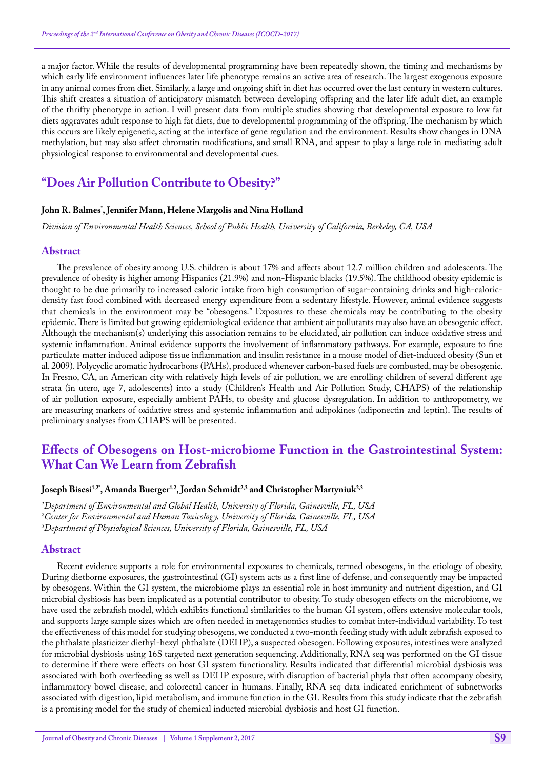a major factor. While the results of developmental programming have been repeatedly shown, the timing and mechanisms by which early life environment influences later life phenotype remains an active area of research. The largest exogenous exposure in any animal comes from diet. Similarly, a large and ongoing shift in diet has occurred over the last century in western cultures. This shift creates a situation of anticipatory mismatch between developing offspring and the later life adult diet, an example of the thrifty phenotype in action. I will present data from multiple studies showing that developmental exposure to low fat diets aggravates adult response to high fat diets, due to developmental programming of the offspring. The mechanism by which this occurs are likely epigenetic, acting at the interface of gene regulation and the environment. Results show changes in DNA methylation, but may also affect chromatin modifications, and small RNA, and appear to play a large role in mediating adult physiological response to environmental and developmental cues.

# **"Does Air Pollution Contribute to Obesity?"**

## **John R. Balmes\* , Jennifer Mann, Helene Margolis and Nina Holland**

*Division of Environmental Health Sciences, School of Public Health, University of California, Berkeley, CA, USA*

## **Abstract**

The prevalence of obesity among U.S. children is about 17% and affects about 12.7 million children and adolescents. The prevalence of obesity is higher among Hispanics (21.9%) and non-Hispanic blacks (19.5%). The childhood obesity epidemic is thought to be due primarily to increased caloric intake from high consumption of sugar-containing drinks and high-caloricdensity fast food combined with decreased energy expenditure from a sedentary lifestyle. However, animal evidence suggests that chemicals in the environment may be "obesogens." Exposures to these chemicals may be contributing to the obesity epidemic. There is limited but growing epidemiological evidence that ambient air pollutants may also have an obesogenic effect. Although the mechanism(s) underlying this association remains to be elucidated, air pollution can induce oxidative stress and systemic inflammation. Animal evidence supports the involvement of inflammatory pathways. For example, exposure to fine particulate matter induced adipose tissue inflammation and insulin resistance in a mouse model of diet-induced obesity (Sun et al. 2009). Polycyclic aromatic hydrocarbons (PAHs), produced whenever carbon-based fuels are combusted, may be obesogenic. In Fresno, CA, an American city with relatively high levels of air pollution, we are enrolling children of several different age strata (in utero, age 7, adolescents) into a study (Children's Health and Air Pollution Study, CHAPS) of the relationship of air pollution exposure, especially ambient PAHs, to obesity and glucose dysregulation. In addition to anthropometry, we are measuring markers of oxidative stress and systemic inflammation and adipokines (adiponectin and leptin). The results of preliminary analyses from CHAPS will be presented.

# **Effects of Obesogens on Host-microbiome Function in the Gastrointestinal System: What Can We Learn from Zebrafish**

### Joseph Bisesi<sup>1,2\*</sup>, Amanda Buerger<sup>1,2</sup>, Jordan Schmidt<sup>2,3</sup> and Christopher Martyniuk<sup>2,3</sup>

*1 Department of Environmental and Global Health, University of Florida, Gainesville, FL, USA 2 Center for Environmental and Human Toxicology, University of Florida, Gainesville, FL, USA 3 Department of Physiological Sciences, University of Florida, Gainesville, FL, USA* 

### **Abstract**

Recent evidence supports a role for environmental exposures to chemicals, termed obesogens, in the etiology of obesity. During dietborne exposures, the gastrointestinal (GI) system acts as a first line of defense, and consequently may be impacted by obesogens. Within the GI system, the microbiome plays an essential role in host immunity and nutrient digestion, and GI microbial dysbiosis has been implicated as a potential contributor to obesity. To study obesogen effects on the microbiome, we have used the zebrafish model, which exhibits functional similarities to the human GI system, offers extensive molecular tools, and supports large sample sizes which are often needed in metagenomics studies to combat inter-individual variability. To test the effectiveness of this model for studying obesogens, we conducted a two-month feeding study with adult zebrafish exposed to the phthalate plasticizer diethyl-hexyl phthalate (DEHP), a suspected obesogen. Following exposures, intestines were analyzed for microbial dysbiosis using 16S targeted next generation sequencing. Additionally, RNA seq was performed on the GI tissue to determine if there were effects on host GI system functionality. Results indicated that differential microbial dysbiosis was associated with both overfeeding as well as DEHP exposure, with disruption of bacterial phyla that often accompany obesity, inflammatory bowel disease, and colorectal cancer in humans. Finally, RNA seq data indicated enrichment of subnetworks associated with digestion, lipid metabolism, and immune function in the GI. Results from this study indicate that the zebrafish is a promising model for the study of chemical inducted microbial dysbiosis and host GI function.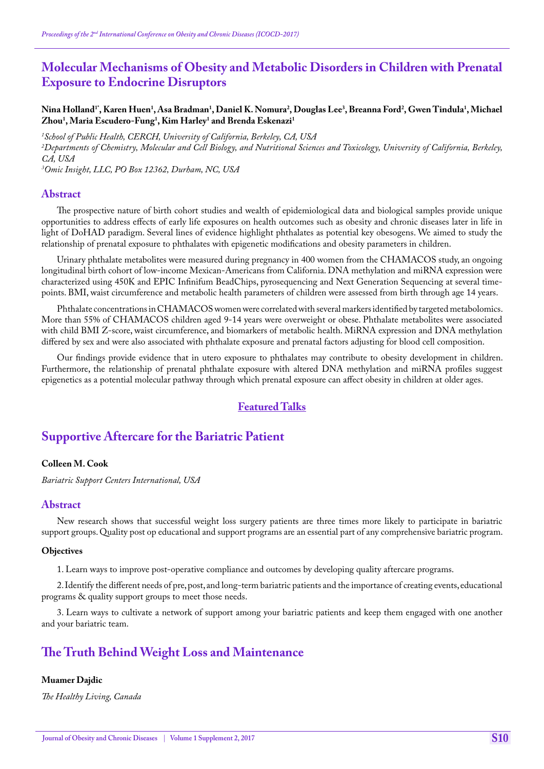# **Molecular Mechanisms of Obesity and Metabolic Disorders in Children with Prenatal Exposure to Endocrine Disruptors**

 $N$ ina Holland<sup>1</sup>', Karen Huen<sup>1</sup>, Asa Bradman<sup>1</sup>, Daniel K. Nomura<sup>2</sup>, Douglas Lee<sup>3</sup>, Breanna Ford<sup>2</sup>, Gwen Tindula<sup>1</sup>, Michael **Zhou1 , Maria Escudero-Fung1 , Kim Harley1 and Brenda Eskenazi1**

*1 School of Public Health, CERCH, University of California, Berkeley, CA, USA 2 Departments of Chemistry, Molecular and Cell Biology, and Nutritional Sciences and Toxicology, University of California, Berkeley, CA, USA*

*3 Omic Insight, LLC, PO Box 12362, Durham, NC, USA*

### **Abstract**

The prospective nature of birth cohort studies and wealth of epidemiological data and biological samples provide unique opportunities to address effects of early life exposures on health outcomes such as obesity and chronic diseases later in life in light of DoHAD paradigm. Several lines of evidence highlight phthalates as potential key obesogens. We aimed to study the relationship of prenatal exposure to phthalates with epigenetic modifications and obesity parameters in children.

Urinary phthalate metabolites were measured during pregnancy in 400 women from the CHAMACOS study, an ongoing longitudinal birth cohort of low-income Mexican-Americans from California. DNA methylation and miRNA expression were characterized using 450K and EPIC Infinifum BeadChips, pyrosequencing and Next Generation Sequencing at several timepoints. BMI, waist circumference and metabolic health parameters of children were assessed from birth through age 14 years.

Phthalate concentrations in CHAMACOS women were correlated with several markers identified by targeted metabolomics. More than 55% of CHAMACOS children aged 9-14 years were overweight or obese. Phthalate metabolites were associated with child BMI Z-score, waist circumference, and biomarkers of metabolic health. MiRNA expression and DNA methylation differed by sex and were also associated with phthalate exposure and prenatal factors adjusting for blood cell composition.

Our findings provide evidence that in utero exposure to phthalates may contribute to obesity development in children. Furthermore, the relationship of prenatal phthalate exposure with altered DNA methylation and miRNA profiles suggest epigenetics as a potential molecular pathway through which prenatal exposure can affect obesity in children at older ages.

## **Featured Talks**

# **Supportive Aftercare for the Bariatric Patient**

## **Colleen M. Cook**

*Bariatric Support Centers International, USA*

### **Abstract**

New research shows that successful weight loss surgery patients are three times more likely to participate in bariatric support groups. Quality post op educational and support programs are an essential part of any comprehensive bariatric program.

#### **Objectives**

1. Learn ways to improve post-operative compliance and outcomes by developing quality aftercare programs.

2. Identify the different needs of pre, post, and long-term bariatric patients and the importance of creating events, educational programs & quality support groups to meet those needs.

3. Learn ways to cultivate a network of support among your bariatric patients and keep them engaged with one another and your bariatric team.

# **The Truth Behind Weight Loss and Maintenance**

#### **Muamer Dajdic**

*The Healthy Living, Canada*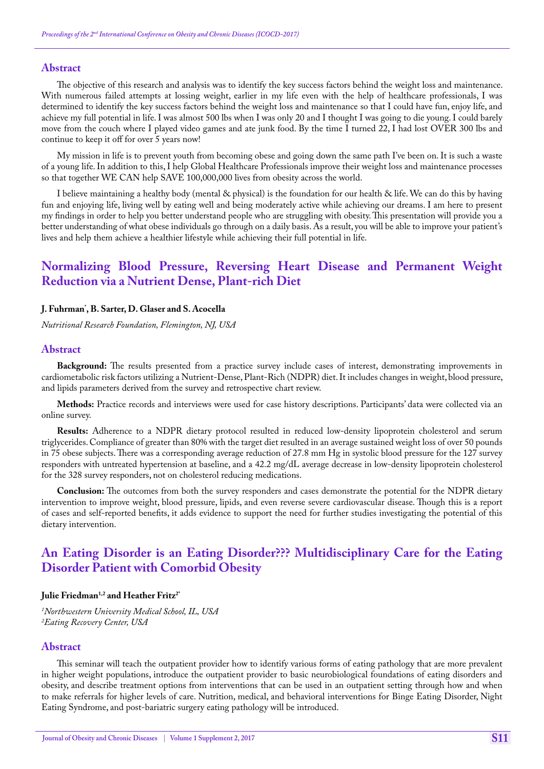## **Abstract**

The objective of this research and analysis was to identify the key success factors behind the weight loss and maintenance. With numerous failed attempts at lossing weight, earlier in my life even with the help of healthcare professionals, I was determined to identify the key success factors behind the weight loss and maintenance so that I could have fun, enjoy life, and achieve my full potential in life. I was almost 500 lbs when I was only 20 and I thought I was going to die young. I could barely move from the couch where I played video games and ate junk food. By the time I turned 22, I had lost OVER 300 lbs and continue to keep it off for over 5 years now!

My mission in life is to prevent youth from becoming obese and going down the same path I've been on. It is such a waste of a young life. In addition to this, I help Global Healthcare Professionals improve their weight loss and maintenance processes so that together WE CAN help SAVE 100,000,000 lives from obesity across the world.

I believe maintaining a healthy body (mental & physical) is the foundation for our health & life. We can do this by having fun and enjoying life, living well by eating well and being moderately active while achieving our dreams. I am here to present my findings in order to help you better understand people who are struggling with obesity. This presentation will provide you a better understanding of what obese individuals go through on a daily basis. As a result, you will be able to improve your patient's lives and help them achieve a healthier lifestyle while achieving their full potential in life.

# **Normalizing Blood Pressure, Reversing Heart Disease and Permanent Weight Reduction via a Nutrient Dense, Plant-rich Diet**

## **J. Fuhrman\* , B. Sarter, D. Glaser and S. Acocella**

*Nutritional Research Foundation, Flemington, NJ, USA*

### **Abstract**

**Background:** The results presented from a practice survey include cases of interest, demonstrating improvements in cardiometabolic risk factors utilizing a Nutrient-Dense, Plant-Rich (NDPR) diet. It includes changes in weight, blood pressure, and lipids parameters derived from the survey and retrospective chart review.

**Methods:** Practice records and interviews were used for case history descriptions. Participants' data were collected via an online survey.

**Results:** Adherence to a NDPR dietary protocol resulted in reduced low-density lipoprotein cholesterol and serum triglycerides. Compliance of greater than 80% with the target diet resulted in an average sustained weight loss of over 50 pounds in 75 obese subjects. There was a corresponding average reduction of 27.8 mm Hg in systolic blood pressure for the 127 survey responders with untreated hypertension at baseline, and a 42.2 mg/dL average decrease in low-density lipoprotein cholesterol for the 328 survey responders, not on cholesterol reducing medications.

**Conclusion:** The outcomes from both the survey responders and cases demonstrate the potential for the NDPR dietary intervention to improve weight, blood pressure, lipids, and even reverse severe cardiovascular disease. Though this is a report of cases and self-reported benefits, it adds evidence to support the need for further studies investigating the potential of this dietary intervention.

# **An Eating Disorder is an Eating Disorder??? Multidisciplinary Care for the Eating Disorder Patient with Comorbid Obesity**

### **Julie Friedman1,2 and Heather Fritz2\***

*1 Northwestern University Medical School, IL, USA 2 Eating Recovery Center, USA*

### **Abstract**

This seminar will teach the outpatient provider how to identify various forms of eating pathology that are more prevalent in higher weight populations, introduce the outpatient provider to basic neurobiological foundations of eating disorders and obesity, and describe treatment options from interventions that can be used in an outpatient setting through how and when to make referrals for higher levels of care. Nutrition, medical, and behavioral interventions for Binge Eating Disorder, Night Eating Syndrome, and post-bariatric surgery eating pathology will be introduced.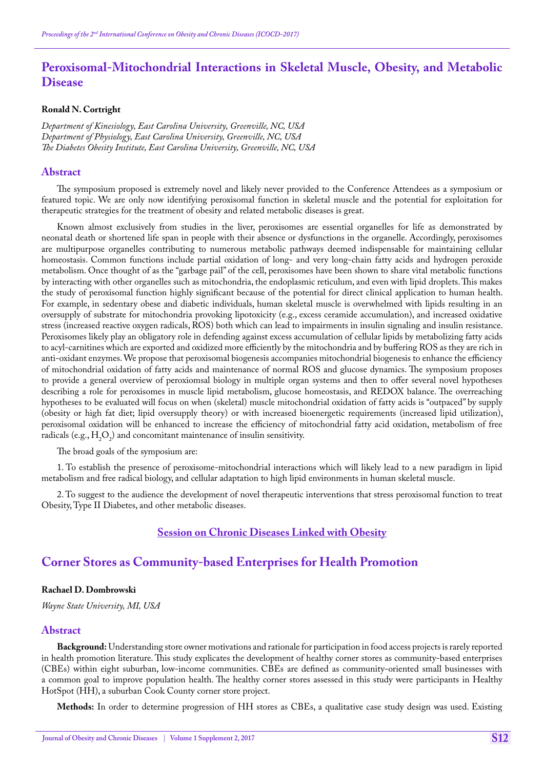# **Peroxisomal-Mitochondrial Interactions in Skeletal Muscle, Obesity, and Metabolic Disease**

#### **Ronald N. Cortright**

*Department of Kinesiology, East Carolina University, Greenville, NC, USA Department of Physiology, East Carolina University, Greenville, NC, USA The Diabetes Obesity Institute, East Carolina University, Greenville, NC, USA*

### **Abstract**

The symposium proposed is extremely novel and likely never provided to the Conference Attendees as a symposium or featured topic. We are only now identifying peroxisomal function in skeletal muscle and the potential for exploitation for therapeutic strategies for the treatment of obesity and related metabolic diseases is great.

Known almost exclusively from studies in the liver, peroxisomes are essential organelles for life as demonstrated by neonatal death or shortened life span in people with their absence or dysfunctions in the organelle. Accordingly, peroxisomes are multipurpose organelles contributing to numerous metabolic pathways deemed indispensable for maintaining cellular homeostasis. Common functions include partial oxidation of long- and very long-chain fatty acids and hydrogen peroxide metabolism. Once thought of as the "garbage pail" of the cell, peroxisomes have been shown to share vital metabolic functions by interacting with other organelles such as mitochondria, the endoplasmic reticulum, and even with lipid droplets. This makes the study of peroxisomal function highly significant because of the potential for direct clinical application to human health. For example, in sedentary obese and diabetic individuals, human skeletal muscle is overwhelmed with lipids resulting in an oversupply of substrate for mitochondria provoking lipotoxicity (e.g., excess ceramide accumulation), and increased oxidative stress (increased reactive oxygen radicals, ROS) both which can lead to impairments in insulin signaling and insulin resistance. Peroxisomes likely play an obligatory role in defending against excess accumulation of cellular lipids by metabolizing fatty acids to acyl-carnitines which are exported and oxidized more efficiently by the mitochondria and by buffering ROS as they are rich in anti-oxidant enzymes. We propose that peroxisomal biogenesis accompanies mitochondrial biogenesis to enhance the efficiency of mitochondrial oxidation of fatty acids and maintenance of normal ROS and glucose dynamics. The symposium proposes to provide a general overview of peroxiomsal biology in multiple organ systems and then to offer several novel hypotheses describing a role for peroxisomes in muscle lipid metabolism, glucose homeostasis, and REDOX balance. The overreaching hypotheses to be evaluated will focus on when (skeletal) muscle mitochondrial oxidation of fatty acids is "outpaced" by supply (obesity or high fat diet; lipid oversupply theory) or with increased bioenergetic requirements (increased lipid utilization), peroxisomal oxidation will be enhanced to increase the efficiency of mitochondrial fatty acid oxidation, metabolism of free radicals (e.g.,  $H_2O_2$ ) and concomitant maintenance of insulin sensitivity.

The broad goals of the symposium are:

1. To establish the presence of peroxisome-mitochondrial interactions which will likely lead to a new paradigm in lipid metabolism and free radical biology, and cellular adaptation to high lipid environments in human skeletal muscle.

2. To suggest to the audience the development of novel therapeutic interventions that stress peroxisomal function to treat Obesity, Type II Diabetes, and other metabolic diseases.

## **Session on Chronic Diseases Linked with Obesity**

## **Corner Stores as Community-based Enterprises for Health Promotion**

#### **Rachael D. Dombrowski**

*Wayne State University, MI, USA*

#### **Abstract**

**Background:** Understanding store owner motivations and rationale for participation in food access projects is rarely reported in health promotion literature. This study explicates the development of healthy corner stores as community-based enterprises (CBEs) within eight suburban, low-income communities. CBEs are defined as community-oriented small businesses with a common goal to improve population health. The healthy corner stores assessed in this study were participants in Healthy HotSpot (HH), a suburban Cook County corner store project.

**Methods:** In order to determine progression of HH stores as CBEs, a qualitative case study design was used. Existing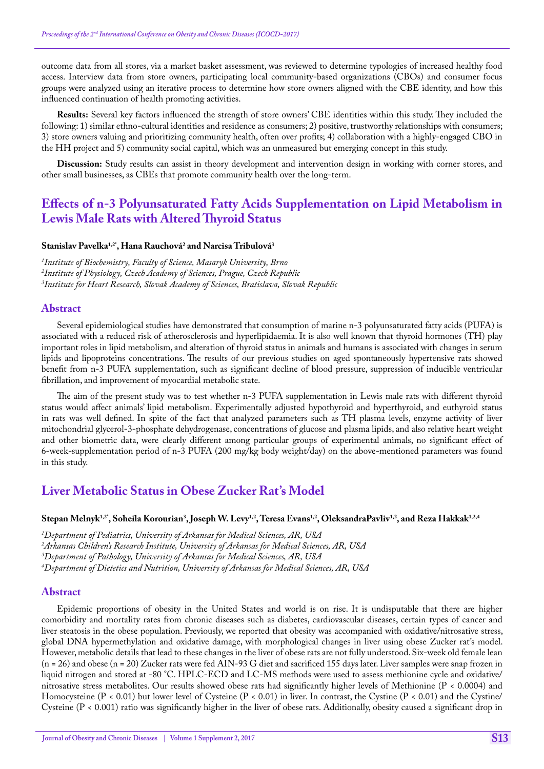outcome data from all stores, via a market basket assessment, was reviewed to determine typologies of increased healthy food access. Interview data from store owners, participating local community-based organizations (CBOs) and consumer focus groups were analyzed using an iterative process to determine how store owners aligned with the CBE identity, and how this influenced continuation of health promoting activities.

**Results:** Several key factors influenced the strength of store owners' CBE identities within this study. They included the following: 1) similar ethno-cultural identities and residence as consumers; 2) positive, trustworthy relationships with consumers; 3) store owners valuing and prioritizing community health, often over profits; 4) collaboration with a highly-engaged CBO in the HH project and 5) community social capital, which was an unmeasured but emerging concept in this study.

**Discussion:** Study results can assist in theory development and intervention design in working with corner stores, and other small businesses, as CBEs that promote community health over the long-term.

# **Effects of n-3 Polyunsaturated Fatty Acids Supplementation on Lipid Metabolism in Lewis Male Rats with Altered Thyroid Status**

### **Stanislav Pavelka1,2\*, Hana Rauchová2 and Narcisa Tribulová3**

*1 Institute of Biochemistry, Faculty of Science, Masaryk University, Brno 2 Institute of Physiology, Czech Academy of Sciences, Prague, Czech Republic 3 Institute for Heart Research, Slovak Academy of Sciences, Bratislava, Slovak Republic*

### **Abstract**

Several epidemiological studies have demonstrated that consumption of marine n-3 polyunsaturated fatty acids (PUFA) is associated with a reduced risk of atherosclerosis and hyperlipidaemia. It is also well known that thyroid hormones (TH) play important roles in lipid metabolism, and alteration of thyroid status in animals and humans is associated with changes in serum lipids and lipoproteins concentrations. The results of our previous studies on aged spontaneously hypertensive rats showed benefit from n-3 PUFA supplementation, such as significant decline of blood pressure, suppression of inducible ventricular fibrillation, and improvement of myocardial metabolic state.

The aim of the present study was to test whether n-3 PUFA supplementation in Lewis male rats with different thyroid status would affect animals' lipid metabolism. Experimentally adjusted hypothyroid and hyperthyroid, and euthyroid status in rats was well defined. In spite of the fact that analyzed parameters such as TH plasma levels, enzyme activity of liver mitochondrial glycerol-3-phosphate dehydrogenase, concentrations of glucose and plasma lipids, and also relative heart weight and other biometric data, were clearly different among particular groups of experimental animals, no significant effect of 6-week-supplementation period of n-3 PUFA (200 mg/kg body weight/day) on the above-mentioned parameters was found in this study.

## **Liver Metabolic Status in Obese Zucker Rat's Model**

## **Stepan Melnyk1,2\*, Soheila Korourian3 , Joseph W. Levy1,2, Teresa Evans1,2, OleksandraPavliv1,2, and Reza Hakkak1,2,4**

 *Department of Pediatrics, University of Arkansas for Medical Sciences, AR, USA Arkansas Children's Research Institute, University of Arkansas for Medical Sciences, AR, USA Department of Pathology, University of Arkansas for Medical Sciences, AR, USA Department of Dietetics and Nutrition, University of Arkansas for Medical Sciences, AR, USA*

#### **Abstract**

Epidemic proportions of obesity in the United States and world is on rise. It is undisputable that there are higher comorbidity and mortality rates from chronic diseases such as diabetes, cardiovascular diseases, certain types of cancer and liver steatosis in the obese population. Previously, we reported that obesity was accompanied with oxidative/nitrosative stress, global DNA hypermethylation and oxidative damage, with morphological changes in liver using obese Zucker rat's model. However, metabolic details that lead to these changes in the liver of obese rats are not fully understood. Six-week old female lean (n = 26) and obese (n = 20) Zucker rats were fed AIN-93 G diet and sacrificed 155 days later. Liver samples were snap frozen in liquid nitrogen and stored at -80 °C. HPLC-ECD and LC-MS methods were used to assess methionine cycle and oxidative/ nitrosative stress metabolites. Our results showed obese rats had significantly higher levels of Methionine (P < 0.0004) and Homocysteine  $(P < 0.01)$  but lower level of Cysteine  $(P < 0.01)$  in liver. In contrast, the Cystine  $(P < 0.01)$  and the Cystine/ Cysteine (P < 0.001) ratio was significantly higher in the liver of obese rats. Additionally, obesity caused a significant drop in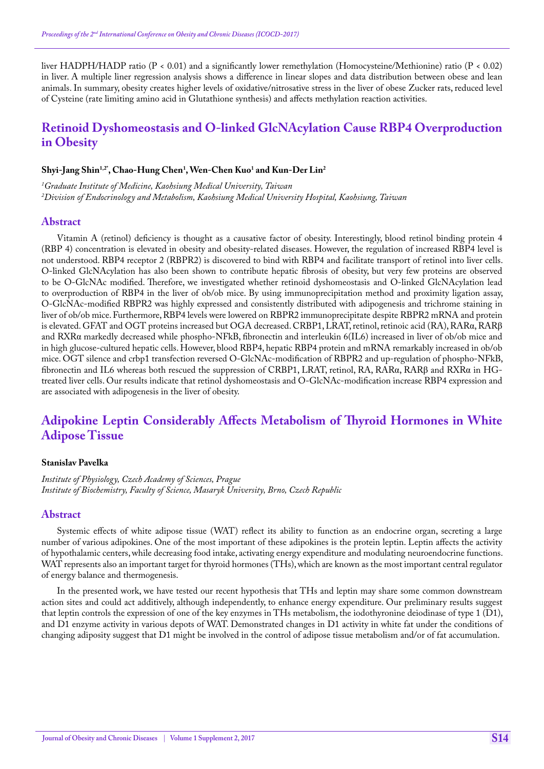liver HADPH/HADP ratio (P < 0.01) and a significantly lower remethylation (Homocysteine/Methionine) ratio (P < 0.02) in liver. A multiple liner regression analysis shows a difference in linear slopes and data distribution between obese and lean animals. In summary, obesity creates higher levels of oxidative/nitrosative stress in the liver of obese Zucker rats, reduced level of Cysteine (rate limiting amino acid in Glutathione synthesis) and affects methylation reaction activities.

# **Retinoid Dyshomeostasis and O-linked GlcNAcylation Cause RBP4 Overproduction in Obesity**

## **Shyi-Jang Shin1,2\*, Chao-Hung Chen1 , Wen-Chen Kuo1 and Kun-Der Lin2**

*1 Graduate Institute of Medicine, Kaohsiung Medical University, Taiwan 2 Division of Endocrinology and Metabolism, Kaohsiung Medical University Hospital, Kaohsiung, Taiwan*

### **Abstract**

Vitamin A (retinol) deficiency is thought as a causative factor of obesity. Interestingly, blood retinol binding protein 4 (RBP 4) concentration is elevated in obesity and obesity-related diseases. However, the regulation of increased RBP4 level is not understood. RBP4 receptor 2 (RBPR2) is discovered to bind with RBP4 and facilitate transport of retinol into liver cells. O-linked GlcNAcylation has also been shown to contribute hepatic fibrosis of obesity, but very few proteins are observed to be O-GlcNAc modified. Therefore, we investigated whether retinoid dyshomeostasis and O-linked GlcNAcylation lead to overproduction of RBP4 in the liver of ob/ob mice. By using immunoprecipitation method and proximity ligation assay, O-GlcNAc-modified RBPR2 was highly expressed and consistently distributed with adipogenesis and trichrome staining in liver of ob/ob mice. Furthermore, RBP4 levels were lowered on RBPR2 immunoprecipitate despite RBPR2 mRNA and protein is elevated. GFAT and OGT proteins increased but OGA decreased. CRBP1, LRAT, retinol, retinoic acid (RA), RARα, RARβ and RXRα markedly decreased while phospho-NFkB, fibronectin and interleukin 6(IL6) increased in liver of ob/ob mice and in high glucose-cultured hepatic cells. However, blood RBP4, hepatic RBP4 protein and mRNA remarkably increased in ob/ob mice. OGT silence and crbp1 transfection reversed O-GlcNAc-modification of RBPR2 and up-regulation of phospho-NFkB, fibronectin and IL6 whereas both rescued the suppression of CRBP1, LRAT, retinol, RA, RARα, RARβ and RXRα in HGtreated liver cells. Our results indicate that retinol dyshomeostasis and O-GlcNAc-modification increase RBP4 expression and are associated with adipogenesis in the liver of obesity.

# **Adipokine Leptin Considerably Affects Metabolism of Thyroid Hormones in White Adipose Tissue**

## **Stanislav Pavelka**

*Institute of Physiology, Czech Academy of Sciences, Prague Institute of Biochemistry, Faculty of Science, Masaryk University, Brno, Czech Republic*

### **Abstract**

Systemic effects of white adipose tissue (WAT) reflect its ability to function as an endocrine organ, secreting a large number of various adipokines. One of the most important of these adipokines is the protein leptin. Leptin affects the activity of hypothalamic centers, while decreasing food intake, activating energy expenditure and modulating neuroendocrine functions. WAT represents also an important target for thyroid hormones (THs), which are known as the most important central regulator of energy balance and thermogenesis.

In the presented work, we have tested our recent hypothesis that THs and leptin may share some common downstream action sites and could act additively, although independently, to enhance energy expenditure. Our preliminary results suggest that leptin controls the expression of one of the key enzymes in THs metabolism, the iodothyronine deiodinase of type 1 (D1), and D1 enzyme activity in various depots of WAT. Demonstrated changes in D1 activity in white fat under the conditions of changing adiposity suggest that D1 might be involved in the control of adipose tissue metabolism and/or of fat accumulation.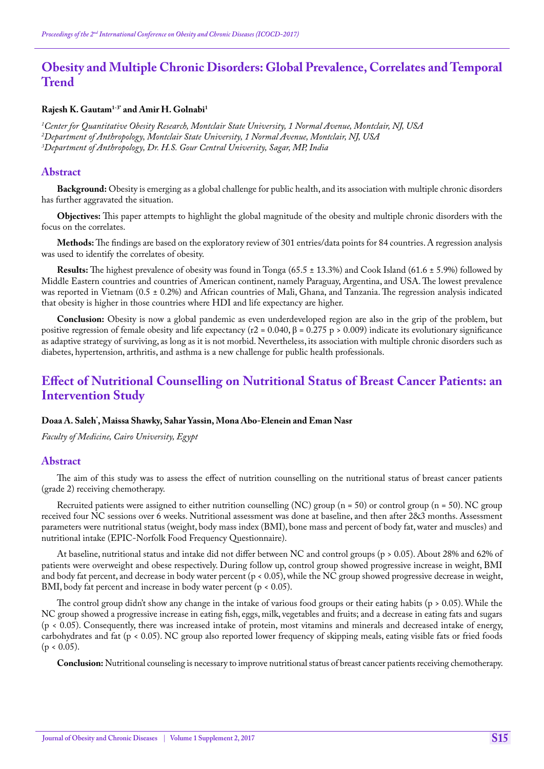# **Obesity and Multiple Chronic Disorders: Global Prevalence, Correlates and Temporal Trend**

### **Rajesh K. Gautam1-3\* and Amir H. Golnabi1**

*1 Center for Quantitative Obesity Research, Montclair State University, 1 Normal Avenue, Montclair, NJ, USA 2 Department of Anthropology, Montclair State University, 1 Normal Avenue, Montclair, NJ, USA 3 Department of Anthropology, Dr. H.S. Gour Central University, Sagar, MP, India*

### **Abstract**

**Background:** Obesity is emerging as a global challenge for public health, and its association with multiple chronic disorders has further aggravated the situation.

**Objectives:** This paper attempts to highlight the global magnitude of the obesity and multiple chronic disorders with the focus on the correlates.

**Methods:** The findings are based on the exploratory review of 301 entries/data points for 84 countries. A regression analysis was used to identify the correlates of obesity.

**Results:** The highest prevalence of obesity was found in Tonga (65.5 ± 13.3%) and Cook Island (61.6 ± 5.9%) followed by Middle Eastern countries and countries of American continent, namely Paraguay, Argentina, and USA. The lowest prevalence was reported in Vietnam (0.5 ± 0.2%) and African countries of Mali, Ghana, and Tanzania. The regression analysis indicated that obesity is higher in those countries where HDI and life expectancy are higher.

**Conclusion:** Obesity is now a global pandemic as even underdeveloped region are also in the grip of the problem, but positive regression of female obesity and life expectancy ( $r^2 = 0.040$ ,  $\beta = 0.275$  p > 0.009) indicate its evolutionary significance as adaptive strategy of surviving, as long as it is not morbid. Nevertheless, its association with multiple chronic disorders such as diabetes, hypertension, arthritis, and asthma is a new challenge for public health professionals.

# **Effect of Nutritional Counselling on Nutritional Status of Breast Cancer Patients: an Intervention Study**

### **Doaa A. Saleh\* , Maissa Shawky, Sahar Yassin, Mona Abo-Elenein and Eman Nasr**

*Faculty of Medicine, Cairo University, Egypt*

### **Abstract**

The aim of this study was to assess the effect of nutrition counselling on the nutritional status of breast cancer patients (grade 2) receiving chemotherapy.

Recruited patients were assigned to either nutrition counselling (NC) group ( $n = 50$ ) or control group ( $n = 50$ ). NC group received four NC sessions over 6 weeks. Nutritional assessment was done at baseline, and then after 2&3 months. Assessment parameters were nutritional status (weight, body mass index (BMI), bone mass and percent of body fat, water and muscles) and nutritional intake (EPIC-Norfolk Food Frequency Questionnaire).

At baseline, nutritional status and intake did not differ between NC and control groups (p > 0.05). About 28% and 62% of patients were overweight and obese respectively. During follow up, control group showed progressive increase in weight, BMI and body fat percent, and decrease in body water percent (p < 0.05), while the NC group showed progressive decrease in weight, BMI, body fat percent and increase in body water percent (p < 0.05).

The control group didn't show any change in the intake of various food groups or their eating habits ( $p > 0.05$ ). While the NC group showed a progressive increase in eating fish, eggs, milk, vegetables and fruits; and a decrease in eating fats and sugars (p < 0.05). Consequently, there was increased intake of protein, most vitamins and minerals and decreased intake of energy, carbohydrates and fat (p < 0.05). NC group also reported lower frequency of skipping meals, eating visible fats or fried foods  $(p < 0.05)$ .

**Conclusion:** Nutritional counseling is necessary to improve nutritional status of breast cancer patients receiving chemotherapy.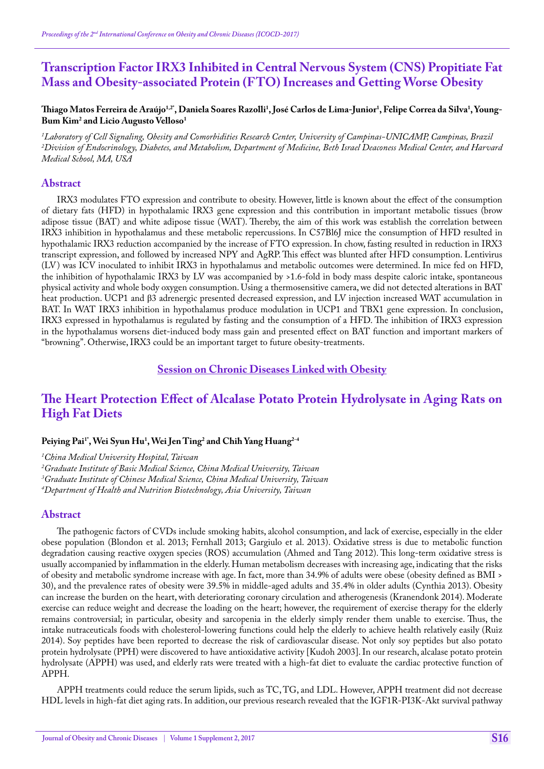# **Transcription Factor IRX3 Inhibited in Central Nervous System (CNS) Propitiate Fat Mass and Obesity-associated Protein (FTO) Increases and Getting Worse Obesity**

## Thiago Matos Ferreira de Araújo<sup>1,2</sup>', Daniela Soares Razolli<sup>1</sup>, José Carlos de Lima-Junior<sup>1</sup>, Felipe Correa da Silva<sup>1</sup>, Young-**Bum Kim2 and Licio Augusto Velloso1**

*1 Laboratory of Cell Signaling, Obesity and Comorbidities Research Center, University of Campinas-UNICAMP, Campinas, Brazil 2 Division of Endocrinology, Diabetes, and Metabolism, Department of Medicine, Beth Israel Deaconess Medical Center, and Harvard Medical School, MA, USA*

## **Abstract**

IRX3 modulates FTO expression and contribute to obesity. However, little is known about the effect of the consumption of dietary fats (HFD) in hypothalamic IRX3 gene expression and this contribution in important metabolic tissues (brow adipose tissue (BAT) and white adipose tissue (WAT). Thereby, the aim of this work was establish the correlation between IRX3 inhibition in hypothalamus and these metabolic repercussions. In C57Bl6J mice the consumption of HFD resulted in hypothalamic IRX3 reduction accompanied by the increase of FTO expression. In chow, fasting resulted in reduction in IRX3 transcript expression, and followed by increased NPY and AgRP. This effect was blunted after HFD consumption. Lentivirus (LV) was ICV inoculated to inhibit IRX3 in hypothalamus and metabolic outcomes were determined. In mice fed on HFD, the inhibition of hypothalamic IRX3 by LV was accompanied by >1.6-fold in body mass despite caloric intake, spontaneous physical activity and whole body oxygen consumption. Using a thermosensitive camera, we did not detected alterations in BAT heat production. UCP1 and β3 adrenergic presented decreased expression, and LV injection increased WAT accumulation in BAT. In WAT IRX3 inhibition in hypothalamus produce modulation in UCP1 and TBX1 gene expression. In conclusion, IRX3 expressed in hypothalamus is regulated by fasting and the consumption of a HFD. The inhibition of IRX3 expression in the hypothalamus worsens diet-induced body mass gain and presented effect on BAT function and important markers of "browning". Otherwise, IRX3 could be an important target to future obesity-treatments.

## **Session on Chronic Diseases Linked with Obesity**

# **The Heart Protection Effect of Alcalase Potato Protein Hydrolysate in Aging Rats on High Fat Diets**

## **Peiying Pai1\*, Wei Syun Hu1 , Wei Jen Ting2 and Chih Yang Huang2-4**

*1 China Medical University Hospital, Taiwan*

*2 Graduate Institute of Basic Medical Science, China Medical University, Taiwan*

*3 Graduate Institute of Chinese Medical Science, China Medical University, Taiwan*

*4 Department of Health and Nutrition Biotechnology, Asia University, Taiwan*

### **Abstract**

The pathogenic factors of CVDs include smoking habits, alcohol consumption, and lack of exercise, especially in the elder obese population (Blondon et al. 2013; Fernhall 2013; Gargiulo et al. 2013). Oxidative stress is due to metabolic function degradation causing reactive oxygen species (ROS) accumulation (Ahmed and Tang 2012). This long-term oxidative stress is usually accompanied by inflammation in the elderly. Human metabolism decreases with increasing age, indicating that the risks of obesity and metabolic syndrome increase with age. In fact, more than 34.9% of adults were obese (obesity defined as BMI > 30), and the prevalence rates of obesity were 39.5% in middle-aged adults and 35.4% in older adults (Cynthia 2013). Obesity can increase the burden on the heart, with deteriorating coronary circulation and atherogenesis (Kranendonk 2014). Moderate exercise can reduce weight and decrease the loading on the heart; however, the requirement of exercise therapy for the elderly remains controversial; in particular, obesity and sarcopenia in the elderly simply render them unable to exercise. Thus, the intake nutraceuticals foods with cholesterol-lowering functions could help the elderly to achieve health relatively easily (Ruiz 2014). Soy peptides have been reported to decrease the risk of cardiovascular disease. Not only soy peptides but also potato protein hydrolysate (PPH) were discovered to have antioxidative activity [Kudoh 2003]. In our research, alcalase potato protein hydrolysate (APPH) was used, and elderly rats were treated with a high-fat diet to evaluate the cardiac protective function of APPH.

APPH treatments could reduce the serum lipids, such as TC, TG, and LDL. However, APPH treatment did not decrease HDL levels in high-fat diet aging rats. In addition, our previous research revealed that the IGF1R-PI3K-Akt survival pathway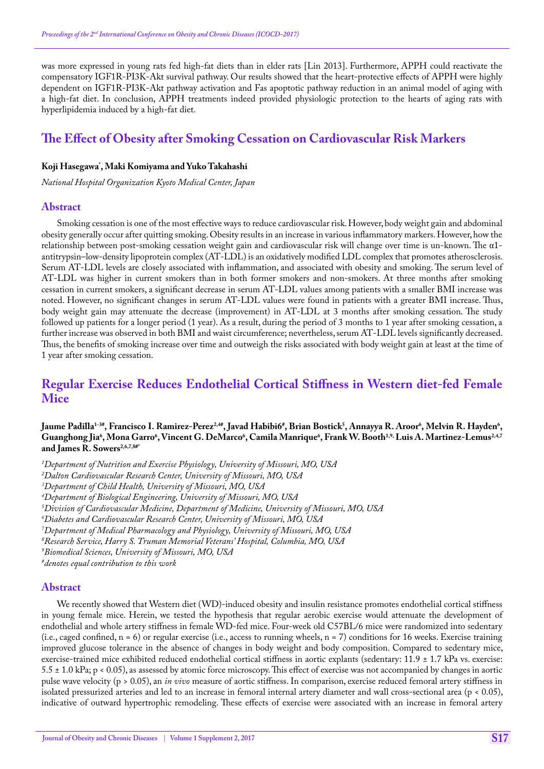was more expressed in young rats fed high-fat diets than in elder rats [Lin 2013]. Furthermore, APPH could reactivate the compensatory IGF1R-PI3K-Akt survival pathway. Our results showed that the heart-protective effects of APPH were highly dependent on IGF1R-PI3K-Akt pathway activation and Fas apoptotic pathway reduction in an animal model of aging with a high-fat diet. In conclusion, APPH treatments indeed provided physiologic protection to the hearts of aging rats with hyperlipidemia induced by a high-fat diet.

# **The Effect of Obesity after Smoking Cessation on Cardiovascular Risk Markers**

## **Koji Hasegawa\* , Maki Komiyama and Yuko Takahashi**

*National Hospital Organization Kyoto Medical Center, Japan*

### **Abstract**

Smoking cessation is one of the most effective ways to reduce cardiovascular risk. However, body weight gain and abdominal obesity generally occur after quitting smoking. Obesity results in an increase in various inflammatory markers. However, how the relationship between post-smoking cessation weight gain and cardiovascular risk will change over time is un-known. The α1 antitrypsin–low-density lipoprotein complex (AT-LDL) is an oxidatively modified LDL complex that promotes atherosclerosis. Serum AT-LDL levels are closely associated with inflammation, and associated with obesity and smoking. The serum level of AT-LDL was higher in current smokers than in both former smokers and non-smokers. At three months after smoking cessation in current smokers, a significant decrease in serum AT-LDL values among patients with a smaller BMI increase was noted. However, no significant changes in serum AT-LDL values were found in patients with a greater BMI increase. Thus, body weight gain may attenuate the decrease (improvement) in AT-LDL at 3 months after smoking cessation. The study followed up patients for a longer period (1 year). As a result, during the period of 3 months to 1 year after smoking cessation, a further increase was observed in both BMI and waist circumference; nevertheless, serum AT-LDL levels significantly decreased. Thus, the benefits of smoking increase over time and outweigh the risks associated with body weight gain at least at the time of 1 year after smoking cessation.

# **Regular Exercise Reduces Endothelial Cortical Stiffness in Western diet-fed Female Mice**

Jaume Padilla<sup>1-3#</sup>, Francisco I. Ramirez-Perez<sup>2,4#</sup>, Javad Habibi6<sup>#</sup>, Brian Bostick<sup>5</sup>, Annayya R. Aroor<sup>6</sup>, Melvin R. Hayden<sup>6</sup>,  $G$ uanghong Jia<sup>6</sup>, Mona Garro<sup>6</sup>, Vincent G. DeMarco<sup>6</sup>, Camila Manrique<sup>6</sup>, Frank W. Booth<sup>1,9,</sup> Luis A. Martinez-Lemus<sup>2,4,7</sup> and James R. Sowers<sup>2,6,7,8#\*</sup>

*1 Department of Nutrition and Exercise Physiology, University of Missouri, MO, USA*

*2 Dalton Cardiovascular Research Center, University of Missouri, MO, USA*

*3 Department of Child Health, University of Missouri, MO, USA*

*4 Department of Biological Engineering, University of Missouri, MO, USA*

*5 Division of Cardiovascular Medicine, Department of Medicine, University of Missouri, MO, USA*

*6 Diabetes and Cardiovascular Research Center, University of Missouri, MO, USA*

*7 Department of Medical Pharmacology and Physiology, University of Missouri, MO, USA*

*8 Research Service, Harry S. Truman Memorial Veterans' Hospital, Columbia, MO, USA*

*9 Biomedical Sciences, University of Missouri, MO, USA*

*# denotes equal contribution to this work*

### **Abstract**

We recently showed that Western diet (WD)-induced obesity and insulin resistance promotes endothelial cortical stiffness in young female mice. Herein, we tested the hypothesis that regular aerobic exercise would attenuate the development of endothelial and whole artery stiffness in female WD-fed mice. Four-week old C57BL/6 mice were randomized into sedentary (i.e., caged confined,  $n = 6$ ) or regular exercise (i.e., access to running wheels,  $n = 7$ ) conditions for 16 weeks. Exercise training improved glucose tolerance in the absence of changes in body weight and body composition. Compared to sedentary mice, exercise-trained mice exhibited reduced endothelial cortical stiffness in aortic explants (sedentary: 11.9 ± 1.7 kPa vs. exercise: 5.5 ± 1.0 kPa; p < 0.05), as assessed by atomic force microscopy. This effect of exercise was not accompanied by changes in aortic pulse wave velocity (p > 0.05), an *in vivo* measure of aortic stiffness. In comparison, exercise reduced femoral artery stiffness in isolated pressurized arteries and led to an increase in femoral internal artery diameter and wall cross-sectional area (p < 0.05), indicative of outward hypertrophic remodeling. These effects of exercise were associated with an increase in femoral artery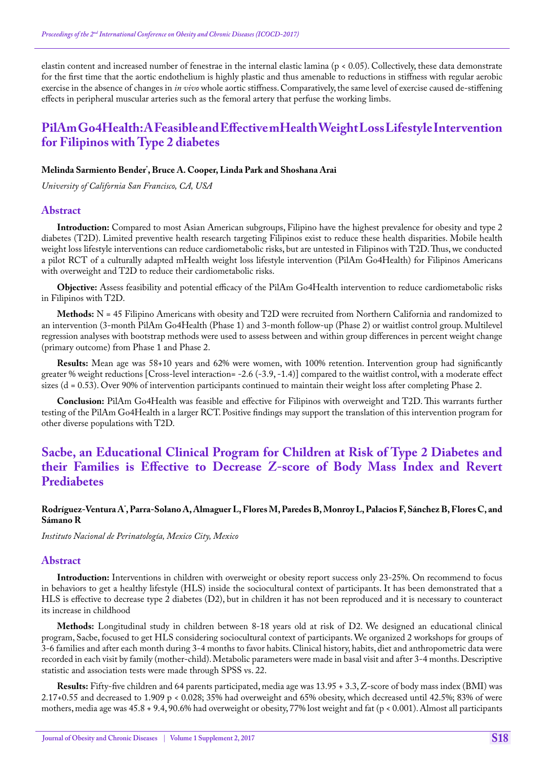elastin content and increased number of fenestrae in the internal elastic lamina (p < 0.05). Collectively, these data demonstrate for the first time that the aortic endothelium is highly plastic and thus amenable to reductions in stiffness with regular aerobic exercise in the absence of changes in *in vivo* whole aortic stiffness. Comparatively, the same level of exercise caused de-stiffening effects in peripheral muscular arteries such as the femoral artery that perfuse the working limbs.

# **PilAm Go4Health: A Feasible and Effective mHealth Weight Loss Lifestyle Intervention for Filipinos with Type 2 diabetes**

### **Melinda Sarmiento Bender\* , Bruce A. Cooper, Linda Park and Shoshana Arai**

*University of California San Francisco, CA, USA*

#### **Abstract**

**Introduction:** Compared to most Asian American subgroups, Filipino have the highest prevalence for obesity and type 2 diabetes (T2D). Limited preventive health research targeting Filipinos exist to reduce these health disparities. Mobile health weight loss lifestyle interventions can reduce cardiometabolic risks, but are untested in Filipinos with T2D. Thus, we conducted a pilot RCT of a culturally adapted mHealth weight loss lifestyle intervention (PilAm Go4Health) for Filipinos Americans with overweight and T2D to reduce their cardiometabolic risks.

**Objective:** Assess feasibility and potential efficacy of the PilAm Go4Health intervention to reduce cardiometabolic risks in Filipinos with T2D.

**Methods:** N = 45 Filipino Americans with obesity and T2D were recruited from Northern California and randomized to an intervention (3-month PilAm Go4Health (Phase 1) and 3-month follow-up (Phase 2) or waitlist control group. Multilevel regression analyses with bootstrap methods were used to assess between and within group differences in percent weight change (primary outcome) from Phase 1 and Phase 2.

**Results:** Mean age was 58+10 years and 62% were women, with 100% retention. Intervention group had significantly greater % weight reductions [Cross-level interaction= -2.6 (-3.9, -1.4)] compared to the waitlist control, with a moderate effect sizes (d = 0.53). Over 90% of intervention participants continued to maintain their weight loss after completing Phase 2.

**Conclusion:** PilAm Go4Health was feasible and effective for Filipinos with overweight and T2D. This warrants further testing of the PilAm Go4Health in a larger RCT. Positive findings may support the translation of this intervention program for other diverse populations with T2D.

# **Sacbe, an Educational Clinical Program for Children at Risk of Type 2 Diabetes and their Families is Effective to Decrease Z-score of Body Mass Index and Revert Prediabetes**

### **Rodríguez-Ventura A\* , Parra-Solano A, Almaguer L, Flores M, Paredes B, Monroy L, Palacios F, Sánchez B, Flores C, and Sámano R**

*Instituto Nacional de Perinatología, Mexico City, Mexico*

### **Abstract**

**Introduction:** Interventions in children with overweight or obesity report success only 23-25%. On recommend to focus in behaviors to get a healthy lifestyle (HLS) inside the sociocultural context of participants. It has been demonstrated that a HLS is effective to decrease type 2 diabetes (D2), but in children it has not been reproduced and it is necessary to counteract its increase in childhood

**Methods:** Longitudinal study in children between 8-18 years old at risk of D2. We designed an educational clinical program, Sacbe, focused to get HLS considering sociocultural context of participants. We organized 2 workshops for groups of 3-6 families and after each month during 3-4 months to favor habits. Clinical history, habits, diet and anthropometric data were recorded in each visit by family (mother-child). Metabolic parameters were made in basal visit and after 3-4 months. Descriptive statistic and association tests were made through SPSS vs. 22.

**Results:** Fifty-five children and 64 parents participated, media age was 13.95 + 3.3, Z-score of body mass index (BMI) was 2.17+0.55 and decreased to 1.909 p < 0.028; 35% had overweight and 65% obesity, which decreased until 42.5%; 83% of were mothers, media age was 45.8 + 9.4, 90.6% had overweight or obesity, 77% lost weight and fat (p < 0.001). Almost all participants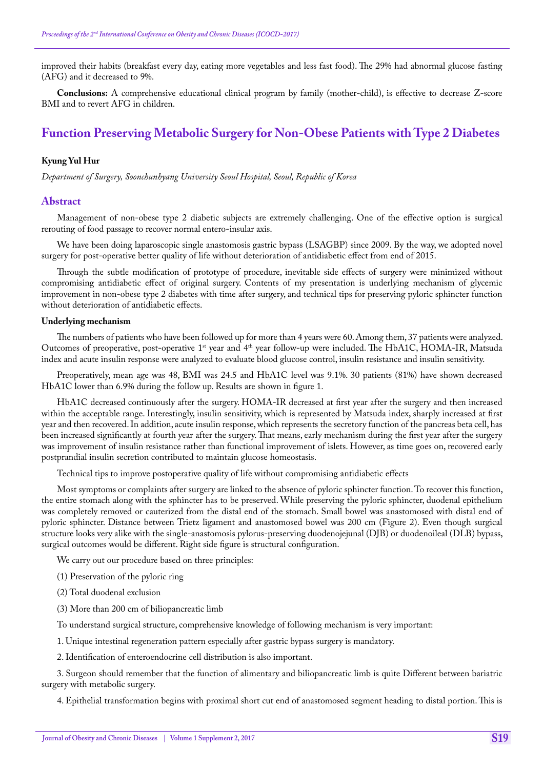improved their habits (breakfast every day, eating more vegetables and less fast food). The 29% had abnormal glucose fasting (AFG) and it decreased to 9%.

**Conclusions:** A comprehensive educational clinical program by family (mother-child), is effective to decrease Z-score BMI and to revert AFG in children.

# **Function Preserving Metabolic Surgery for Non-Obese Patients with Type 2 Diabetes**

### **Kyung Yul Hur**

*Department of Surgery, Soonchunhyang University Seoul Hospital, Seoul, Republic of Korea*

### **Abstract**

Management of non-obese type 2 diabetic subjects are extremely challenging. One of the effective option is surgical rerouting of food passage to recover normal entero-insular axis.

We have been doing laparoscopic single anastomosis gastric bypass (LSAGBP) since 2009. By the way, we adopted novel surgery for post-operative better quality of life without deterioration of antidiabetic effect from end of 2015.

Through the subtle modification of prototype of procedure, inevitable side effects of surgery were minimized without compromising antidiabetic effect of original surgery. Contents of my presentation is underlying mechanism of glycemic improvement in non-obese type 2 diabetes with time after surgery, and technical tips for preserving pyloric sphincter function without deterioration of antidiabetic effects.

### **Underlying mechanism**

The numbers of patients who have been followed up for more than 4 years were 60. Among them, 37 patients were analyzed. Outcomes of preoperative, post-operative 1<sup>st</sup> year and 4<sup>th</sup> year follow-up were included. The HbA1C, HOMA-IR, Matsuda index and acute insulin response were analyzed to evaluate blood glucose control, insulin resistance and insulin sensitivity.

Preoperatively, mean age was 48, BMI was 24.5 and HbA1C level was 9.1%. 30 patients (81%) have shown decreased HbA1C lower than 6.9% during the follow up. Results are shown in figure 1.

HbA1C decreased continuously after the surgery. HOMA-IR decreased at first year after the surgery and then increased within the acceptable range. Interestingly, insulin sensitivity, which is represented by Matsuda index, sharply increased at first year and then recovered. In addition, acute insulin response, which represents the secretory function of the pancreas beta cell, has been increased significantly at fourth year after the surgery. That means, early mechanism during the first year after the surgery was improvement of insulin resistance rather than functional improvement of islets. However, as time goes on, recovered early postprandial insulin secretion contributed to maintain glucose homeostasis.

Technical tips to improve postoperative quality of life without compromising antidiabetic effects

Most symptoms or complaints after surgery are linked to the absence of pyloric sphincter function. To recover this function, the entire stomach along with the sphincter has to be preserved. While preserving the pyloric sphincter, duodenal epithelium was completely removed or cauterized from the distal end of the stomach. Small bowel was anastomosed with distal end of pyloric sphincter. Distance between Trietz ligament and anastomosed bowel was 200 cm (Figure 2). Even though surgical structure looks very alike with the single-anastomosis pylorus-preserving duodenojejunal (DJB) or duodenoileal (DLB) bypass, surgical outcomes would be different. Right side figure is structural configuration.

We carry out our procedure based on three principles:

(1) Preservation of the pyloric ring

(2) Total duodenal exclusion

(3) More than 200 cm of biliopancreatic limb

To understand surgical structure, comprehensive knowledge of following mechanism is very important:

1. Unique intestinal regeneration pattern especially after gastric bypass surgery is mandatory.

2. Identification of enteroendocrine cell distribution is also important.

3. Surgeon should remember that the function of alimentary and biliopancreatic limb is quite Different between bariatric surgery with metabolic surgery.

4. Epithelial transformation begins with proximal short cut end of anastomosed segment heading to distal portion. This is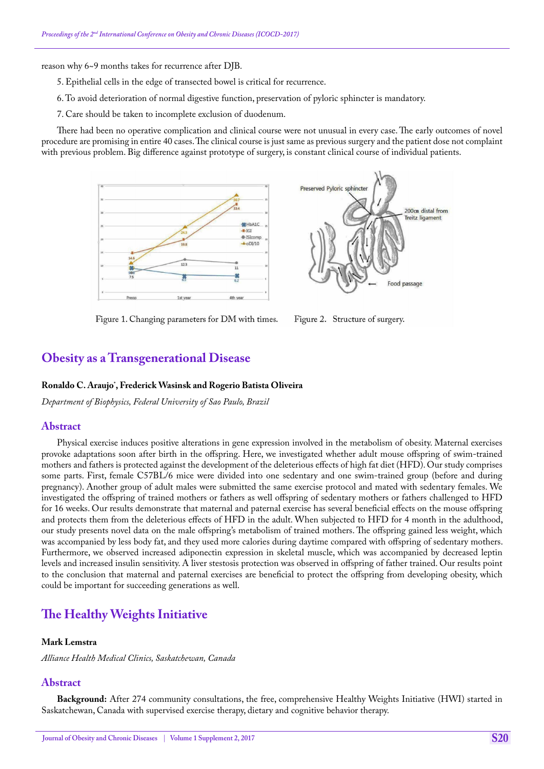reason why 6~9 months takes for recurrence after DJB.

5. Epithelial cells in the edge of transected bowel is critical for recurrence.

6. To avoid deterioration of normal digestive function, preservation of pyloric sphincter is mandatory.

7. Care should be taken to incomplete exclusion of duodenum.

There had been no operative complication and clinical course were not unusual in every case. The early outcomes of novel procedure are promising in entire 40 cases. The clinical course is just same as previous surgery and the patient dose not complaint with previous problem. Big difference against prototype of surgery, is constant clinical course of individual patients.



Figure 1. Changing parameters for DM with times.





## **Obesity as a Transgenerational Disease**

## **Ronaldo C. Araujo\* , Frederick Wasinsk and Rogerio Batista Oliveira**

*Department of Biophysics, Federal University of Sao Paulo, Brazil*

### **Abstract**

Physical exercise induces positive alterations in gene expression involved in the metabolism of obesity. Maternal exercises provoke adaptations soon after birth in the offspring. Here, we investigated whether adult mouse offspring of swim-trained mothers and fathers is protected against the development of the deleterious effects of high fat diet (HFD). Our study comprises some parts. First, female C57BL/6 mice were divided into one sedentary and one swim-trained group (before and during pregnancy). Another group of adult males were submitted the same exercise protocol and mated with sedentary females. We investigated the offspring of trained mothers or fathers as well offspring of sedentary mothers or fathers challenged to HFD for 16 weeks. Our results demonstrate that maternal and paternal exercise has several beneficial effects on the mouse offspring and protects them from the deleterious effects of HFD in the adult. When subjected to HFD for 4 month in the adulthood, our study presents novel data on the male offspring's metabolism of trained mothers. The offspring gained less weight, which was accompanied by less body fat, and they used more calories during daytime compared with offspring of sedentary mothers. Furthermore, we observed increased adiponectin expression in skeletal muscle, which was accompanied by decreased leptin levels and increased insulin sensitivity. A liver stestosis protection was observed in offspring of father trained. Our results point to the conclusion that maternal and paternal exercises are beneficial to protect the offspring from developing obesity, which could be important for succeeding generations as well.

## **The Healthy Weights Initiative**

### **Mark Lemstra**

*Alliance Health Medical Clinics, Saskatchewan, Canada*

#### **Abstract**

**Background:** After 274 community consultations, the free, comprehensive Healthy Weights Initiative (HWI) started in Saskatchewan, Canada with supervised exercise therapy, dietary and cognitive behavior therapy.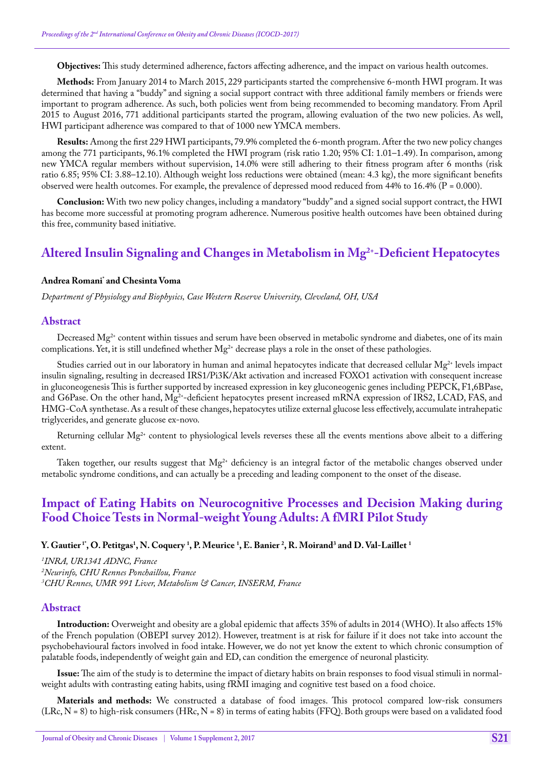**Objectives:** This study determined adherence, factors affecting adherence, and the impact on various health outcomes.

**Methods:** From January 2014 to March 2015, 229 participants started the comprehensive 6-month HWI program. It was determined that having a "buddy" and signing a social support contract with three additional family members or friends were important to program adherence. As such, both policies went from being recommended to becoming mandatory. From April 2015 to August 2016, 771 additional participants started the program, allowing evaluation of the two new policies. As well, HWI participant adherence was compared to that of 1000 new YMCA members.

**Results:** Among the first 229 HWI participants, 79.9% completed the 6-month program. After the two new policy changes among the 771 participants, 96.1% completed the HWI program (risk ratio 1.20; 95% CI: 1.01–1.49). In comparison, among new YMCA regular members without supervision, 14.0% were still adhering to their fitness program after 6 months (risk ratio 6.85; 95% CI: 3.88–12.10). Although weight loss reductions were obtained (mean: 4.3 kg), the more significant benefits observed were health outcomes. For example, the prevalence of depressed mood reduced from 44% to 16.4% (P = 0.000).

**Conclusion:** With two new policy changes, including a mandatory "buddy" and a signed social support contract, the HWI has become more successful at promoting program adherence. Numerous positive health outcomes have been obtained during this free, community based initiative.

# **Altered Insulin Signaling and Changes in Metabolism in Mg2+-Deficient Hepatocytes**

## **Andrea Romani\* and Chesinta Voma**

*Department of Physiology and Biophysics, Case Western Reserve University, Cleveland, OH, USA*

### **Abstract**

Decreased  $Mg^{2*}$  content within tissues and serum have been observed in metabolic syndrome and diabetes, one of its main complications. Yet, it is still undefined whether  $Mg^{2+}$  decrease plays a role in the onset of these pathologies.

Studies carried out in our laboratory in human and animal hepatocytes indicate that decreased cellular  $Mg^{2*}$  levels impact insulin signaling, resulting in decreased IRS1/Pi3K/Akt activation and increased FOXO1 activation with consequent increase in gluconeogenesis This is further supported by increased expression in key gluconeogenic genes including PEPCK, F1,6BPase, and G6Pase. On the other hand, Mg<sup>2+</sup>-deficient hepatocytes present increased mRNA expression of IRS2, LCAD, FAS, and HMG-CoA synthetase. As a result of these changes, hepatocytes utilize external glucose less effectively, accumulate intrahepatic triglycerides, and generate glucose ex-novo.

Returning cellular Mg<sup>2+</sup> content to physiological levels reverses these all the events mentions above albeit to a differing extent.

Taken together, our results suggest that  $Mg^{2+}$  deficiency is an integral factor of the metabolic changes observed under metabolic syndrome conditions, and can actually be a preceding and leading component to the onset of the disease.

# **Impact of Eating Habits on Neurocognitive Processes and Decision Making during Food Choice Tests in Normal-weight Young Adults: A fMRI Pilot Study**

## $Y$ . Gautier<sup>1</sup>", O. Petitgas<sup>1</sup>, N. Coquery <sup>1</sup>, P. Meurice <sup>1</sup>, E. Banier <sup>2</sup>, R. Moirand<sup>3</sup> and D. Val-Laillet <sup>1</sup>

*1 INRA, UR1341 ADNC, France 2 Neurinfo, CHU Rennes Ponchaillou, France 3 CHU Rennes, UMR 991 Liver, Metabolism & Cancer, INSERM, France*

### **Abstract**

**Introduction:** Overweight and obesity are a global epidemic that affects 35% of adults in 2014 (WHO). It also affects 15% of the French population (OBEPI survey 2012). However, treatment is at risk for failure if it does not take into account the psychobehavioural factors involved in food intake. However, we do not yet know the extent to which chronic consumption of palatable foods, independently of weight gain and ED, can condition the emergence of neuronal plasticity.

**Issue:** The aim of the study is to determine the impact of dietary habits on brain responses to food visual stimuli in normalweight adults with contrasting eating habits, using fRMI imaging and cognitive test based on a food choice.

**Materials and methods:** We constructed a database of food images. This protocol compared low-risk consumers  $(LRc, N = 8)$  to high-risk consumers  $(HRc, N = 8)$  in terms of eating habits (FFQ). Both groups were based on a validated food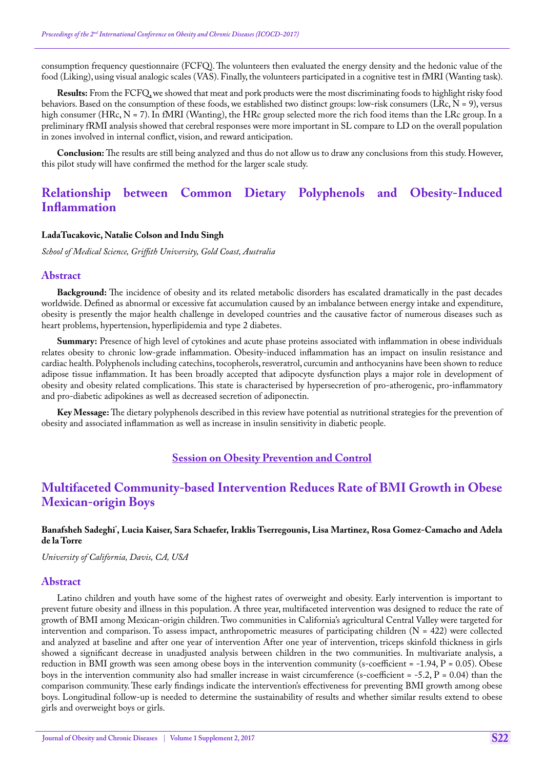consumption frequency questionnaire (FCFQ). The volunteers then evaluated the energy density and the hedonic value of the food (Liking), using visual analogic scales (VAS). Finally, the volunteers participated in a cognitive test in fMRI (Wanting task).

**Results:** From the FCFQ, we showed that meat and pork products were the most discriminating foods to highlight risky food behaviors. Based on the consumption of these foods, we established two distinct groups: low-risk consumers (LRc, N = 9), versus high consumer (HRc, N = 7). In fMRI (Wanting), the HRc group selected more the rich food items than the LRc group. In a preliminary fRMI analysis showed that cerebral responses were more important in SL compare to LD on the overall population in zones involved in internal conflict, vision, and reward anticipation.

**Conclusion:** The results are still being analyzed and thus do not allow us to draw any conclusions from this study. However, this pilot study will have confirmed the method for the larger scale study.

# **Relationship between Common Dietary Polyphenols and Obesity-Induced Inflammation**

#### **LadaTucakovic, Natalie Colson and Indu Singh**

*School of Medical Science, Griffith University, Gold Coast, Australia*

## **Abstract**

**Background:** The incidence of obesity and its related metabolic disorders has escalated dramatically in the past decades worldwide. Defined as abnormal or excessive fat accumulation caused by an imbalance between energy intake and expenditure, obesity is presently the major health challenge in developed countries and the causative factor of numerous diseases such as heart problems, hypertension, hyperlipidemia and type 2 diabetes.

**Summary:** Presence of high level of cytokines and acute phase proteins associated with inflammation in obese individuals relates obesity to chronic low-grade inflammation. Obesity-induced inflammation has an impact on insulin resistance and cardiac health. Polyphenols including catechins, tocopherols, resveratrol, curcumin and anthocyanins have been shown to reduce adipose tissue inflammation. It has been broadly accepted that adipocyte dysfunction plays a major role in development of obesity and obesity related complications. This state is characterised by hypersecretion of pro-atherogenic, pro-inflammatory and pro-diabetic adipokines as well as decreased secretion of adiponectin.

**Key Message:** The dietary polyphenols described in this review have potential as nutritional strategies for the prevention of obesity and associated inflammation as well as increase in insulin sensitivity in diabetic people.

### **Session on Obesity Prevention and Control**

# **Multifaceted Community-based Intervention Reduces Rate of BMI Growth in Obese Mexican-origin Boys**

### **Banafsheh Sadeghi\* , Lucia Kaiser, Sara Schaefer, Iraklis Tserregounis, Lisa Martinez, Rosa Gomez-Camacho and Adela de la Torre**

*University of California, Davis, CA, USA*

### **Abstract**

Latino children and youth have some of the highest rates of overweight and obesity. Early intervention is important to prevent future obesity and illness in this population. A three year, multifaceted intervention was designed to reduce the rate of growth of BMI among Mexican-origin children. Two communities in California's agricultural Central Valley were targeted for intervention and comparison. To assess impact, anthropometric measures of participating children  $(N = 422)$  were collected and analyzed at baseline and after one year of intervention After one year of intervention, triceps skinfold thickness in girls showed a significant decrease in unadjusted analysis between children in the two communities. In multivariate analysis, a reduction in BMI growth was seen among obese boys in the intervention community (s-coefficient =  $-1.94$ ,  $P = 0.05$ ). Obese boys in the intervention community also had smaller increase in waist circumference (s-coefficient  $= -5.2$ ,  $P = 0.04$ ) than the comparison community. These early findings indicate the intervention's effectiveness for preventing BMI growth among obese boys. Longitudinal follow-up is needed to determine the sustainability of results and whether similar results extend to obese girls and overweight boys or girls.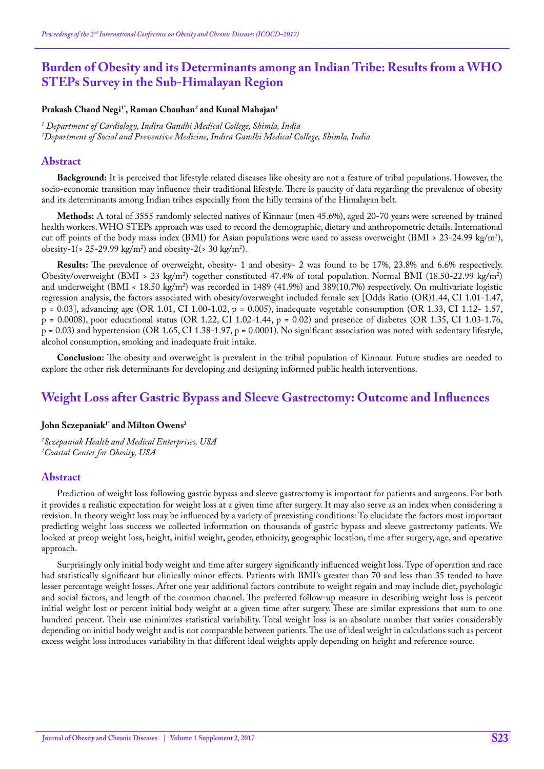# **Burden of Obesity and its Determinants among an Indian Tribe: Results from a WHO STEPs Survey in the Sub-Himalayan Region**

## **Prakash Chand Negi1\*, Raman Chauhan2 and Kunal Mahajan1**

*1 Department of Cardiology, Indira Gandhi Medical College, Shimla, India 2 Department of Social and Preventive Medicine, Indira Gandhi Medical College, Shimla, India*

### **Abstract**

**Background:** It is perceived that lifestyle related diseases like obesity are not a feature of tribal populations. However, the socio-economic transition may influence their traditional lifestyle. There is paucity of data regarding the prevalence of obesity and its determinants among Indian tribes especially from the hilly terrains of the Himalayan belt.

**Methods:** A total of 3555 randomly selected natives of Kinnaur (men 45.6%), aged 20-70 years were screened by trained health workers. WHO STEPs approach was used to record the demographic, dietary and anthropometric details. International cut off points of the body mass index (BMI) for Asian populations were used to assess overweight (BMI > 23-24.99 kg/m2 ), obesity-1(> 25-29.99 kg/m2 ) and obesity-2(> 30 kg/m2 ).

**Results:** The prevalence of overweight, obesity- 1 and obesity- 2 was found to be 17%, 23.8% and 6.6% respectively. Obesity/overweight (BMI > 23 kg/m<sup>2</sup>) together constituted 47.4% of total population. Normal BMI (18.50-22.99 kg/m<sup>2</sup>) and underweight (BMI < 18.50 kg/m2 ) was recorded in 1489 (41.9%) and 389(10.7%) respectively. On multivariate logistic regression analysis, the factors associated with obesity/overweight included female sex [Odds Ratio (OR)1.44, CI 1.01-1.47, p = 0.03], advancing age (OR 1.01, CI 1.00-1.02, p = 0.005), inadequate vegetable consumption (OR 1.33, CI 1.12- 1.57,  $p = 0.0008$ , poor educational status (OR 1.22, CI 1.02-1.44,  $p = 0.02$ ) and presence of diabetes (OR 1.35, CI 1.03-1.76,  $p = 0.03$ ) and hypertension (OR 1.65, CI 1.38-1.97,  $p = 0.0001$ ). No significant association was noted with sedentary lifestyle, alcohol consumption, smoking and inadequate fruit intake.

**Conclusion:** The obesity and overweight is prevalent in the tribal population of Kinnaur. Future studies are needed to explore the other risk determinants for developing and designing informed public health interventions.

# **Weight Loss after Gastric Bypass and Sleeve Gastrectomy: Outcome and Influences**

### John Sczepaniak<sup>1\*</sup> and Milton Owens<sup>2</sup>

*1 Sczepaniak Health and Medical Enterprises, USA 2 Coastal Center for Obesity, USA*

### **Abstract**

Prediction of weight loss following gastric bypass and sleeve gastrectomy is important for patients and surgeons. For both it provides a realistic expectation for weight loss at a given time after surgery. It may also serve as an index when considering a revision. In theory weight loss may be influenced by a variety of preexisting conditions: To elucidate the factors most important predicting weight loss success we collected information on thousands of gastric bypass and sleeve gastrectomy patients. We looked at preop weight loss, height, initial weight, gender, ethnicity, geographic location, time after surgery, age, and operative approach.

Surprisingly only initial body weight and time after surgery significantly influenced weight loss. Type of operation and race had statistically significant but clinically minor effects. Patients with BMI's greater than 70 and less than 35 tended to have lesser percentage weight losses. After one year additional factors contribute to weight regain and may include diet, psychologic and social factors, and length of the common channel. The preferred follow-up measure in describing weight loss is percent initial weight lost or percent initial body weight at a given time after surgery. These are similar expressions that sum to one hundred percent. Their use minimizes statistical variability. Total weight loss is an absolute number that varies considerably depending on initial body weight and is not comparable between patients. The use of ideal weight in calculations such as percent excess weight loss introduces variability in that different ideal weights apply depending on height and reference source.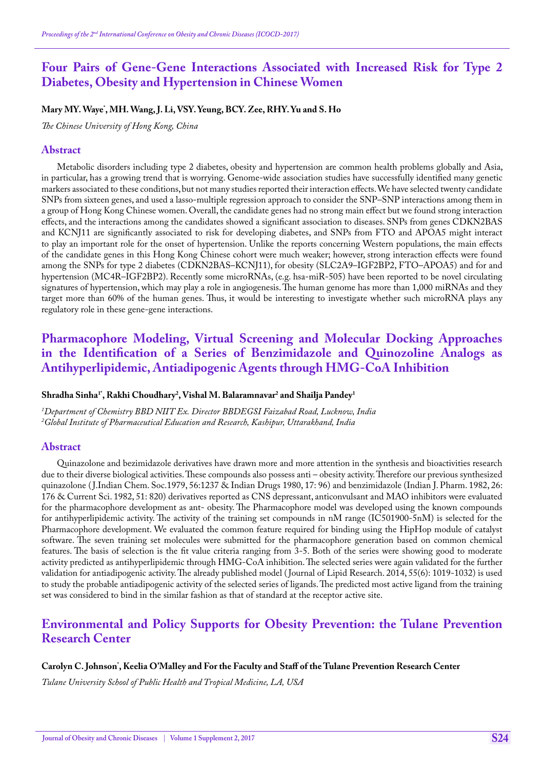# **Four Pairs of Gene-Gene Interactions Associated with Increased Risk for Type 2 Diabetes, Obesity and Hypertension in Chinese Women**

## **Mary MY. Waye\* , MH. Wang, J. Li, VSY. Yeung, BCY. Zee, RHY. Yu and S. Ho**

*The Chinese University of Hong Kong, China*

## **Abstract**

Metabolic disorders including type 2 diabetes, obesity and hypertension are common health problems globally and Asia, in particular, has a growing trend that is worrying. Genome-wide association studies have successfully identified many genetic markers associated to these conditions, but not many studies reported their interaction effects. We have selected twenty candidate SNPs from sixteen genes, and used a lasso-multiple regression approach to consider the SNP–SNP interactions among them in a group of Hong Kong Chinese women. Overall, the candidate genes had no strong main effect but we found strong interaction effects, and the interactions among the candidates showed a significant association to diseases. SNPs from genes CDKN2BAS and KCNJ11 are significantly associated to risk for developing diabetes, and SNPs from FTO and APOA5 might interact to play an important role for the onset of hypertension. Unlike the reports concerning Western populations, the main effects of the candidate genes in this Hong Kong Chinese cohort were much weaker; however, strong interaction effects were found among the SNPs for type 2 diabetes (CDKN2BAS–KCNJ11), for obesity (SLC2A9–IGF2BP2, FTO–APOA5) and for and hypertension (MC4R–IGF2BP2). Recently some microRNAs, (e.g. hsa-miR-505) have been reported to be novel circulating signatures of hypertension, which may play a role in angiogenesis. The human genome has more than 1,000 miRNAs and they target more than 60% of the human genes. Thus, it would be interesting to investigate whether such microRNA plays any regulatory role in these gene-gene interactions.

# **Pharmacophore Modeling, Virtual Screening and Molecular Docking Approaches in the Identification of a Series of Benzimidazole and Quinozoline Analogs as Antihyperlipidemic, Antiadipogenic Agents through HMG-CoA Inhibition**

## **Shradha Sinha1\*, Rakhi Choudhary2 , Vishal M. Balaramnavar2 and Shailja Pandey1**

*1 Department of Chemistry BBD NIIT Ex. Director BBDEGSI Faizabad Road, Lucknow, India 2 Global Institute of Pharmaceutical Education and Research, Kashipur, Uttarakhand, India*

## **Abstract**

Quinazolone and bezimidazole derivatives have drawn more and more attention in the synthesis and bioactivities research due to their diverse biological activities. These compounds also possess anti – obesity activity. Therefore our previous synthesized quinazolone (J.Indian Chem. Soc.1979, 56:1237 & Indian Drugs 1980, 17: 96) and benzimidazole (Indian J. Pharm. 1982, 26: 176 & Current Sci. 1982, 51: 820) derivatives reported as CNS depressant, anticonvulsant and MAO inhibitors were evaluated for the pharmacophore development as ant- obesity. The Pharmacophore model was developed using the known compounds for antihyperlipidemic activity. The activity of the training set compounds in nM range (IC501900-5nM) is selected for the Pharmacophore development. We evaluated the common feature required for binding using the HipHop module of catalyst software. The seven training set molecules were submitted for the pharmacophore generation based on common chemical features. The basis of selection is the fit value criteria ranging from 3-5. Both of the series were showing good to moderate activity predicted as antihyperlipidemic through HMG-CoA inhibition. The selected series were again validated for the further validation for antiadipogenic activity. The already published model ( Journal of Lipid Research. 2014, 55(6): 1019-1032) is used to study the probable antiadipogenic activity of the selected series of ligands. The predicted most active ligand from the training set was considered to bind in the similar fashion as that of standard at the receptor active site.

# **Environmental and Policy Supports for Obesity Prevention: the Tulane Prevention Research Center**

## **Carolyn C. Johnson\* , Keelia O'Malley and For the Faculty and Staff of the Tulane Prevention Research Center**

*Tulane University School of Public Health and Tropical Medicine, LA, USA*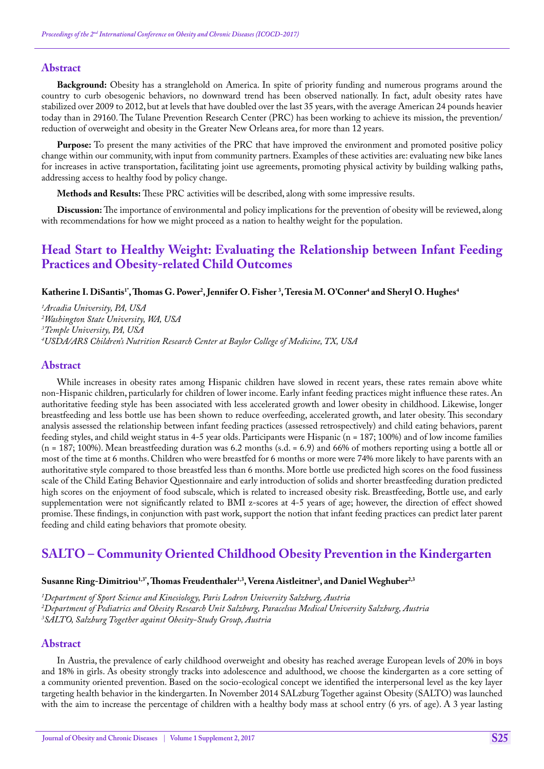## **Abstract**

**Background:** Obesity has a stranglehold on America. In spite of priority funding and numerous programs around the country to curb obesogenic behaviors, no downward trend has been observed nationally. In fact, adult obesity rates have stabilized over 2009 to 2012, but at levels that have doubled over the last 35 years, with the average American 24 pounds heavier today than in 29160. The Tulane Prevention Research Center (PRC) has been working to achieve its mission, the prevention/ reduction of overweight and obesity in the Greater New Orleans area, for more than 12 years.

**Purpose:** To present the many activities of the PRC that have improved the environment and promoted positive policy change within our community, with input from community partners. Examples of these activities are: evaluating new bike lanes for increases in active transportation, facilitating joint use agreements, promoting physical activity by building walking paths, addressing access to healthy food by policy change.

**Methods and Results:** These PRC activities will be described, along with some impressive results.

**Discussion:** The importance of environmental and policy implications for the prevention of obesity will be reviewed, along with recommendations for how we might proceed as a nation to healthy weight for the population.

# **Head Start to Healthy Weight: Evaluating the Relationship between Infant Feeding Practices and Obesity-related Child Outcomes**

## $\kappa$  Katherine I. DiSantis<sup>1</sup>', Thomas G. Power<sup>2</sup>, Jennifer O. Fisher <sup>3</sup>, Teresia M. O'Conner<sup>4</sup> and Sheryl O. Hughes

 *Arcadia University, PA, USA Washington State University, WA, USA Temple University, PA, USA USDA/ARS Children's Nutrition Research Center at Baylor College of Medicine, TX, USA*

### **Abstract**

While increases in obesity rates among Hispanic children have slowed in recent years, these rates remain above white non-Hispanic children, particularly for children of lower income. Early infant feeding practices might influence these rates. An authoritative feeding style has been associated with less accelerated growth and lower obesity in childhood. Likewise, longer breastfeeding and less bottle use has been shown to reduce overfeeding, accelerated growth, and later obesity. This secondary analysis assessed the relationship between infant feeding practices (assessed retrospectively) and child eating behaviors, parent feeding styles, and child weight status in 4-5 year olds. Participants were Hispanic (n = 187; 100%) and of low income families  $(n = 187; 100%)$ . Mean breastfeeding duration was 6.2 months  $(s.d. = 6.9)$  and 66% of mothers reporting using a bottle all or most of the time at 6 months. Children who were breastfed for 6 months or more were 74% more likely to have parents with an authoritative style compared to those breastfed less than 6 months. More bottle use predicted high scores on the food fussiness scale of the Child Eating Behavior Questionnaire and early introduction of solids and shorter breastfeeding duration predicted high scores on the enjoyment of food subscale, which is related to increased obesity risk. Breastfeeding, Bottle use, and early supplementation were not significantly related to BMI z-scores at 4-5 years of age; however, the direction of effect showed promise. These findings, in conjunction with past work, support the notion that infant feeding practices can predict later parent feeding and child eating behaviors that promote obesity.

# **SALTO – Community Oriented Childhood Obesity Prevention in the Kindergarten**

## **Susanne Ring-Dimitriou1,3\*, Thomas Freudenthaler1,3, Verena Aistleitner3 , and Daniel Weghuber2,3**

*1 Department of Sport Science and Kinesiology, Paris Lodron University Salzburg, Austria 2 Department of Pediatrics and Obesity Research Unit Salzburg, Paracelsus Medical University Salzburg, Austria 3 SALTO, Salzburg Together against Obesity-Study Group, Austria*

## **Abstract**

In Austria, the prevalence of early childhood overweight and obesity has reached average European levels of 20% in boys and 18% in girls. As obesity strongly tracks into adolescence and adulthood, we choose the kindergarten as a core setting of a community oriented prevention. Based on the socio-ecological concept we identified the interpersonal level as the key layer targeting health behavior in the kindergarten. In November 2014 SALzburg Together against Obesity (SALTO) was launched with the aim to increase the percentage of children with a healthy body mass at school entry (6 yrs. of age). A 3 year lasting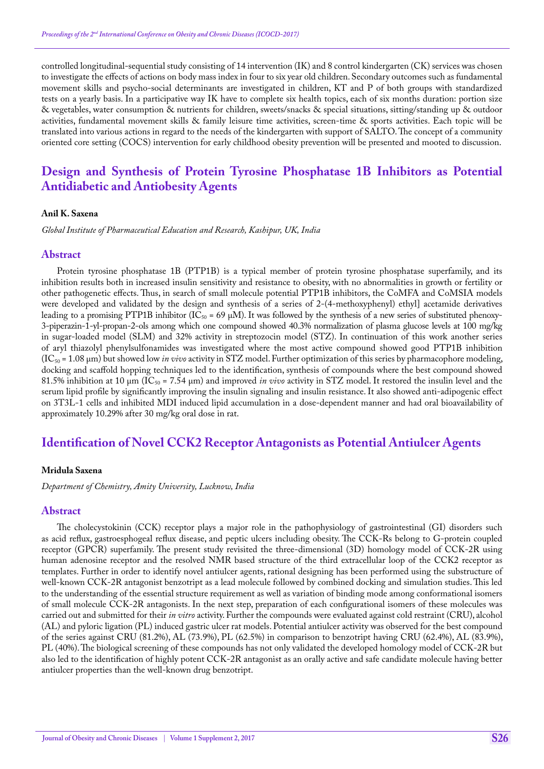controlled longitudinal-sequential study consisting of 14 intervention (IK) and 8 control kindergarten (CK) services was chosen to investigate the effects of actions on body mass index in four to six year old children. Secondary outcomes such as fundamental movement skills and psycho-social determinants are investigated in children, KT and P of both groups with standardized tests on a yearly basis. In a participative way IK have to complete six health topics, each of six months duration: portion size & vegetables, water consumption & nutrients for children, sweets/snacks & special situations, sitting/standing up & outdoor activities, fundamental movement skills & family leisure time activities, screen-time & sports activities. Each topic will be translated into various actions in regard to the needs of the kindergarten with support of SALTO. The concept of a community oriented core setting (COCS) intervention for early childhood obesity prevention will be presented and mooted to discussion.

# **Design and Synthesis of Protein Tyrosine Phosphatase 1B Inhibitors as Potential Antidiabetic and Antiobesity Agents**

### **Anil K. Saxena**

*Global Institute of Pharmaceutical Education and Research, Kashipur, UK, India*

## **Abstract**

Protein tyrosine phosphatase 1B (PTP1B) is a typical member of protein tyrosine phosphatase superfamily, and its inhibition results both in increased insulin sensitivity and resistance to obesity, with no abnormalities in growth or fertility or other pathogenetic effects. Thus, in search of small molecule potential PTP1B inhibitors, the CoMFA and CoMSIA models were developed and validated by the design and synthesis of a series of 2-(4-methoxyphenyl) ethyl] acetamide derivatives leading to a promising PTP1B inhibitor  $(IC_{50} = 69 \text{ µM})$ . It was followed by the synthesis of a new series of substituted phenoxy-3-piperazin-1-yl-propan-2-ols among which one compound showed 40.3% normalization of plasma glucose levels at 100 mg/kg in sugar-loaded model (SLM) and 32% activity in streptozocin model (STZ). In continuation of this work another series of aryl thiazolyl phenylsulfonamides was investigated where the most active compound showed good PTP1B inhibition (IC50 = 1.08 μm) but showed low *in vivo* activity in STZ model. Further optimization of this series by pharmacophore modeling, docking and scaffold hopping techniques led to the identification, synthesis of compounds where the best compound showed 81.5% inhibition at 10 μm (IC<sub>50</sub> = 7.54 μm) and improved *in vivo* activity in STZ model. It restored the insulin level and the serum lipid profile by significantly improving the insulin signaling and insulin resistance. It also showed anti-adipogenic effect on 3T3L-1 cells and inhibited MDI induced lipid accumulation in a dose-dependent manner and had oral bioavailability of approximately 10.29% after 30 mg/kg oral dose in rat.

## **Identification of Novel CCK2 Receptor Antagonists as Potential Antiulcer Agents**

### **Mridula Saxena**

*Department of Chemistry, Amity University, Lucknow, India*

### **Abstract**

The cholecystokinin (CCK) receptor plays a major role in the pathophysiology of gastrointestinal (GI) disorders such as acid reflux, gastroesphogeal reflux disease, and peptic ulcers including obesity. The CCK-Rs belong to G-protein coupled receptor (GPCR) superfamily. The present study revisited the three-dimensional (3D) homology model of CCK-2R using human adenosine receptor and the resolved NMR based structure of the third extracellular loop of the CCK2 receptor as templates. Further in order to identify novel antiulcer agents, rational designing has been performed using the substructure of well-known CCK-2R antagonist benzotript as a lead molecule followed by combined docking and simulation studies. This led to the understanding of the essential structure requirement as well as variation of binding mode among conformational isomers of small molecule CCK-2R antagonists. In the next step, preparation of each configurational isomers of these molecules was carried out and submitted for their *in vitro* activity. Further the compounds were evaluated against cold restraint (CRU), alcohol (AL) and pyloric ligation (PL) induced gastric ulcer rat models. Potential antiulcer activity was observed for the best compound of the series against CRU (81.2%), AL (73.9%), PL (62.5%) in comparison to benzotript having CRU (62.4%), AL (83.9%), PL (40%). The biological screening of these compounds has not only validated the developed homology model of CCK-2R but also led to the identification of highly potent CCK-2R antagonist as an orally active and safe candidate molecule having better antiulcer properties than the well-known drug benzotript.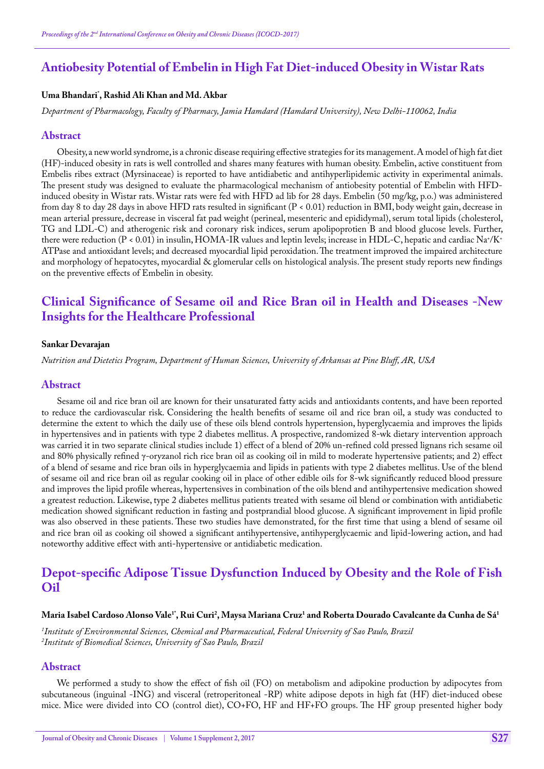# **Antiobesity Potential of Embelin in High Fat Diet-induced Obesity in Wistar Rats**

## **Uma Bhandari\* , Rashid Ali Khan and Md. Akbar**

*Department of Pharmacology, Faculty of Pharmacy, Jamia Hamdard (Hamdard University), New Delhi-110062, India*

### **Abstract**

Obesity, a new world syndrome, is a chronic disease requiring effective strategies for its management. A model of high fat diet (HF)-induced obesity in rats is well controlled and shares many features with human obesity. Embelin, active constituent from Embelis ribes extract (Myrsinaceae) is reported to have antidiabetic and antihyperlipidemic activity in experimental animals. The present study was designed to evaluate the pharmacological mechanism of antiobesity potential of Embelin with HFDinduced obesity in Wistar rats. Wistar rats were fed with HFD ad lib for 28 days. Embelin (50 mg/kg, p.o.) was administered from day 8 to day 28 days in above HFD rats resulted in significant (P < 0.01) reduction in BMI, body weight gain, decrease in mean arterial pressure, decrease in visceral fat pad weight (perineal, mesenteric and epididymal), serum total lipids (cholesterol, TG and LDL-C) and atherogenic risk and coronary risk indices, serum apolipoprotien B and blood glucose levels. Further, there were reduction (P < 0.01) in insulin, HOMA-IR values and leptin levels; increase in HDL-C, hepatic and cardiac Na†/K+ ATPase and antioxidant levels; and decreased myocardial lipid peroxidation. The treatment improved the impaired architecture and morphology of hepatocytes, myocardial & glomerular cells on histological analysis. The present study reports new findings on the preventive effects of Embelin in obesity.

# **Clinical Significance of Sesame oil and Rice Bran oil in Health and Diseases -New Insights for the Healthcare Professional**

### **Sankar Devarajan**

*Nutrition and Dietetics Program, Department of Human Sciences, University of Arkansas at Pine Bluff, AR, USA*

### **Abstract**

Sesame oil and rice bran oil are known for their unsaturated fatty acids and antioxidants contents, and have been reported to reduce the cardiovascular risk. Considering the health benefits of sesame oil and rice bran oil, a study was conducted to determine the extent to which the daily use of these oils blend controls hypertension, hyperglycaemia and improves the lipids in hypertensives and in patients with type 2 diabetes mellitus. A prospective, randomized 8-wk dietary intervention approach was carried it in two separate clinical studies include 1) effect of a blend of 20% un-refined cold pressed lignans rich sesame oil and 80% physically refined γ-oryzanol rich rice bran oil as cooking oil in mild to moderate hypertensive patients; and 2) effect of a blend of sesame and rice bran oils in hyperglycaemia and lipids in patients with type 2 diabetes mellitus. Use of the blend of sesame oil and rice bran oil as regular cooking oil in place of other edible oils for 8-wk significantly reduced blood pressure and improves the lipid profile whereas, hypertensives in combination of the oils blend and antihypertensive medication showed a greatest reduction. Likewise, type 2 diabetes mellitus patients treated with sesame oil blend or combination with antidiabetic medication showed significant reduction in fasting and postprandial blood glucose. A significant improvement in lipid profile was also observed in these patients. These two studies have demonstrated, for the first time that using a blend of sesame oil and rice bran oil as cooking oil showed a significant antihypertensive, antihyperglycaemic and lipid-lowering action, and had noteworthy additive effect with anti-hypertensive or antidiabetic medication.

# **Depot-specific Adipose Tissue Dysfunction Induced by Obesity and the Role of Fish Oil**

### Maria Isabel Cardoso Alonso Vale<sup>1</sup>', Rui Curi<sup>2</sup>, Maysa Mariana Cruz<sup>1</sup> and Roberta Dourado Cavalcante da Cunha de Sá<sup>1</sup>

*1 Institute of Environmental Sciences, Chemical and Pharmaceutical, Federal University of Sao Paulo, Brazil 2 Institute of Biomedical Sciences, University of Sao Paulo, Brazil*

## **Abstract**

We performed a study to show the effect of fish oil (FO) on metabolism and adipokine production by adipocytes from subcutaneous (inguinal -ING) and visceral (retroperitoneal -RP) white adipose depots in high fat (HF) diet-induced obese mice. Mice were divided into CO (control diet), CO+FO, HF and HF+FO groups. The HF group presented higher body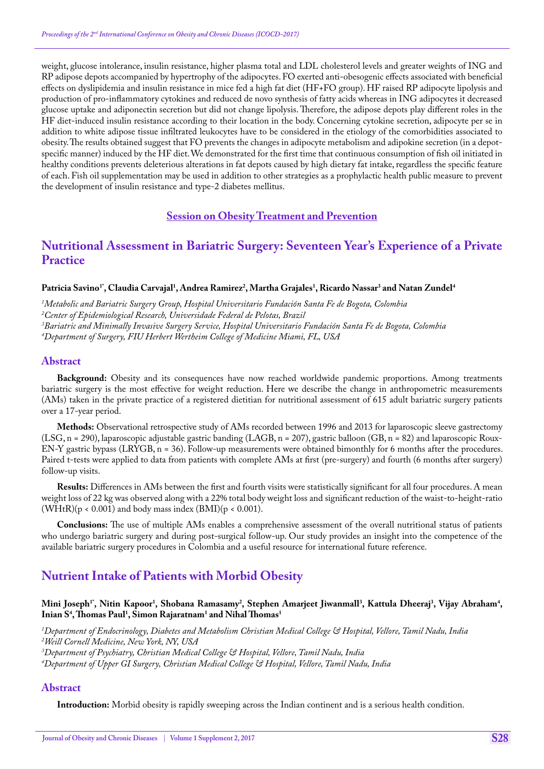weight, glucose intolerance, insulin resistance, higher plasma total and LDL cholesterol levels and greater weights of ING and RP adipose depots accompanied by hypertrophy of the adipocytes. FO exerted anti-obesogenic effects associated with beneficial effects on dyslipidemia and insulin resistance in mice fed a high fat diet (HF+FO group). HF raised RP adipocyte lipolysis and production of pro-inflammatory cytokines and reduced de novo synthesis of fatty acids whereas in ING adipocytes it decreased glucose uptake and adiponectin secretion but did not change lipolysis. Therefore, the adipose depots play different roles in the HF diet-induced insulin resistance according to their location in the body. Concerning cytokine secretion, adipocyte per se in addition to white adipose tissue infiltrated leukocytes have to be considered in the etiology of the comorbidities associated to obesity. The results obtained suggest that FO prevents the changes in adipocyte metabolism and adipokine secretion (in a depotspecific manner) induced by the HF diet. We demonstrated for the first time that continuous consumption of fish oil initiated in healthy conditions prevents deleterious alterations in fat depots caused by high dietary fat intake, regardless the specific feature of each. Fish oil supplementation may be used in addition to other strategies as a prophylactic health public measure to prevent the development of insulin resistance and type-2 diabetes mellitus.

## **Session on Obesity Treatment and Prevention**

# **Nutritional Assessment in Bariatric Surgery: Seventeen Year's Experience of a Private Practice**

## **Patricia Savino1\*, Claudia Carvajal1 , Andrea Ramirez2 , Martha Grajales1 , Ricardo Nassar3 and Natan Zundel4**

 *Metabolic and Bariatric Surgery Group, Hospital Universitario Fundación Santa Fe de Bogota, Colombia Center of Epidemiological Research, Universidade Federal de Pelotas, Brazil Bariatric and Minimally Invasive Surgery Service, Hospital Universitario Fundación Santa Fe de Bogota, Colombia Department of Surgery, FIU Herbert Wertheim College of Medicine Miami, FL, USA*

## **Abstract**

**Background:** Obesity and its consequences have now reached worldwide pandemic proportions. Among treatments bariatric surgery is the most effective for weight reduction. Here we describe the change in anthropometric measurements (AMs) taken in the private practice of a registered dietitian for nutritional assessment of 615 adult bariatric surgery patients over a 17-year period.

**Methods:** Observational retrospective study of AMs recorded between 1996 and 2013 for laparoscopic sleeve gastrectomy  $(LSG, n = 290)$ , laparoscopic adjustable gastric banding  $(LAGB, n = 207)$ , gastric balloon  $(GB, n = 82)$  and laparoscopic Roux-EN-Y gastric bypass (LRYGB, n = 36). Follow-up measurements were obtained bimonthly for 6 months after the procedures. Paired t-tests were applied to data from patients with complete AMs at first (pre-surgery) and fourth (6 months after surgery) follow-up visits.

**Results:** Differences in AMs between the first and fourth visits were statistically significant for all four procedures. A mean weight loss of 22 kg was observed along with a 22% total body weight loss and significant reduction of the waist-to-height-ratio  $(WHtR)(p < 0.001)$  and body mass index  $(BMI)(p < 0.001)$ .

**Conclusions:** The use of multiple AMs enables a comprehensive assessment of the overall nutritional status of patients who undergo bariatric surgery and during post-surgical follow-up. Our study provides an insight into the competence of the available bariatric surgery procedures in Colombia and a useful resource for international future reference.

# **Nutrient Intake of Patients with Morbid Obesity**

## Mini Joseph<sup>1</sup>', Nitin Kapoor<sup>1</sup>, Shobana Ramasamy<sup>2</sup>, Stephen Amarjeet Jiwanmall<sup>3</sup>, Kattula Dheeraj<sup>3</sup>, Vijay Abraham<sup>4</sup>,  $\mathbf{I}$ nian  $\mathbf{S}^4$ , Thomas Paul<sup>1</sup>, Simon Rajaratnam<sup>1</sup> and Nihal Thomas<sup>1</sup>

*1 Department of Endocrinology, Diabetes and Metabolism Christian Medical College & Hospital, Vellore, Tamil Nadu, India 2 Weill Cornell Medicine, New York, NY, USA*

*3 Department of Psychiatry, Christian Medical College & Hospital, Vellore, Tamil Nadu, India*

*4 Department of Upper GI Surgery, Christian Medical College & Hospital, Vellore, Tamil Nadu, India*

## **Abstract**

**Introduction:** Morbid obesity is rapidly sweeping across the Indian continent and is a serious health condition.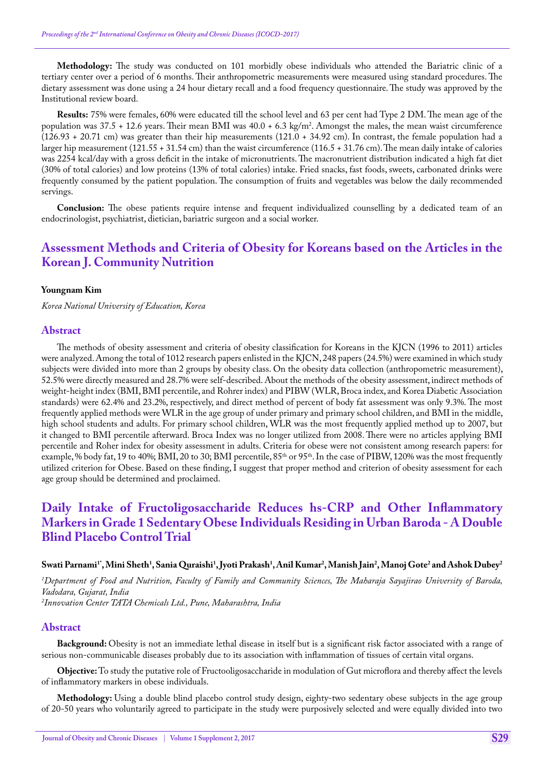**Methodology:** The study was conducted on 101 morbidly obese individuals who attended the Bariatric clinic of a tertiary center over a period of 6 months. Their anthropometric measurements were measured using standard procedures. The dietary assessment was done using a 24 hour dietary recall and a food frequency questionnaire. The study was approved by the Institutional review board.

**Results:** 75% were females, 60% were educated till the school level and 63 per cent had Type 2 DM. The mean age of the population was 37.5 + 12.6 years. Their mean BMI was 40.0 + 6.3 kg/m2 . Amongst the males, the mean waist circumference  $(126.93 + 20.71$  cm) was greater than their hip measurements  $(121.0 + 34.92$  cm). In contrast, the female population had a larger hip measurement (121.55 + 31.54 cm) than the waist circumference (116.5 + 31.76 cm). The mean daily intake of calories was 2254 kcal/day with a gross deficit in the intake of micronutrients. The macronutrient distribution indicated a high fat diet (30% of total calories) and low proteins (13% of total calories) intake. Fried snacks, fast foods, sweets, carbonated drinks were frequently consumed by the patient population. The consumption of fruits and vegetables was below the daily recommended servings.

**Conclusion:** The obese patients require intense and frequent individualized counselling by a dedicated team of an endocrinologist, psychiatrist, dietician, bariatric surgeon and a social worker.

# **Assessment Methods and Criteria of Obesity for Koreans based on the Articles in the Korean J. Community Nutrition**

### **Youngnam Kim**

*Korea National University of Education, Korea*

## **Abstract**

The methods of obesity assessment and criteria of obesity classification for Koreans in the KJCN (1996 to 2011) articles were analyzed. Among the total of 1012 research papers enlisted in the KJCN, 248 papers (24.5%) were examined in which study subjects were divided into more than 2 groups by obesity class. On the obesity data collection (anthropometric measurement), 52.5% were directly measured and 28.7% were self-described. About the methods of the obesity assessment, indirect methods of weight-height index (BMI, BMI percentile, and Rohrer index) and PIBW (WLR, Broca index, and Korea Diabetic Association standards) were 62.4% and 23.2%, respectively, and direct method of percent of body fat assessment was only 9.3%. The most frequently applied methods were WLR in the age group of under primary and primary school children, and BMI in the middle, high school students and adults. For primary school children, WLR was the most frequently applied method up to 2007, but it changed to BMI percentile afterward. Broca Index was no longer utilized from 2008. There were no articles applying BMI percentile and Roher index for obesity assessment in adults. Criteria for obese were not consistent among research papers: for example, % body fat, 19 to 40%; BMI, 20 to 30; BMI percentile, 85<sup>th</sup> or 95<sup>th</sup>. In the case of PIBW, 120% was the most frequently utilized criterion for Obese. Based on these finding, I suggest that proper method and criterion of obesity assessment for each age group should be determined and proclaimed.

# **Daily Intake of Fructoligosaccharide Reduces hs-CRP and Other Inflammatory Markers in Grade 1 Sedentary Obese Individuals Residing in Urban Baroda - A Double Blind Placebo Control Trial**

## $S$ wati Parnami<sup>1</sup>", Mini Sheth<sup>1</sup>, Sania Quraishi<sup>1</sup>, Jyoti Prakash<sup>1</sup>, Anil Kumar<sup>2</sup>, Manish Jain<sup>2</sup>, Manoj Gote<sup>2</sup> and Ashok Dubey<sup>2</sup>

*1 Department of Food and Nutrition, Faculty of Family and Community Sciences, The Maharaja Sayajirao University of Baroda, Vadodara, Gujarat, India* 

*2 Innovation Center TATA Chemicals Ltd., Pune, Maharashtra, India*

## **Abstract**

**Background:** Obesity is not an immediate lethal disease in itself but is a significant risk factor associated with a range of serious non-communicable diseases probably due to its association with inflammation of tissues of certain vital organs.

**Objective:** To study the putative role of Fructooligosaccharide in modulation of Gut microflora and thereby affect the levels of inflammatory markers in obese individuals.

**Methodology:** Using a double blind placebo control study design, eighty-two sedentary obese subjects in the age group of 20-50 years who voluntarily agreed to participate in the study were purposively selected and were equally divided into two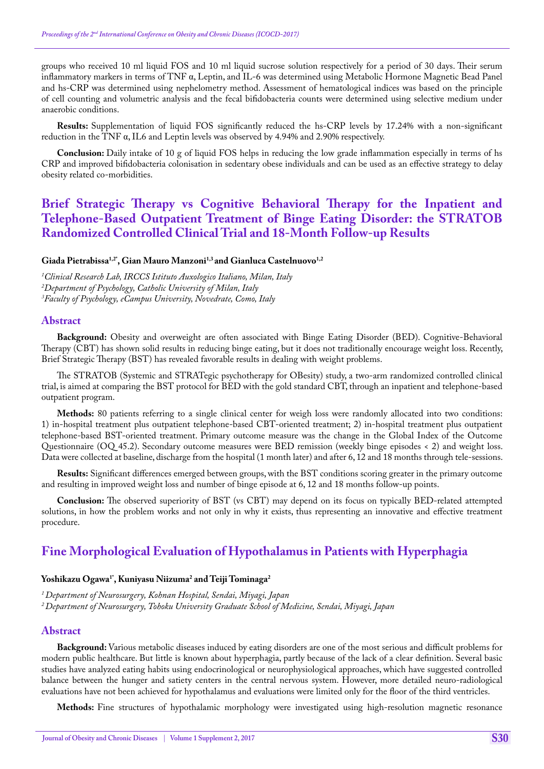groups who received 10 ml liquid FOS and 10 ml liquid sucrose solution respectively for a period of 30 days. Their serum inflammatory markers in terms of TNF α, Leptin, and IL-6 was determined using Metabolic Hormone Magnetic Bead Panel and hs-CRP was determined using nephelometry method. Assessment of hematological indices was based on the principle of cell counting and volumetric analysis and the fecal bifidobacteria counts were determined using selective medium under anaerobic conditions.

**Results:** Supplementation of liquid FOS significantly reduced the hs-CRP levels by 17.24% with a non-significant reduction in the TNF α, IL6 and Leptin levels was observed by 4.94% and 2.90% respectively.

**Conclusion:** Daily intake of 10 g of liquid FOS helps in reducing the low grade inflammation especially in terms of hs CRP and improved bifidobacteria colonisation in sedentary obese individuals and can be used as an effective strategy to delay obesity related co-morbidities.

# **Brief Strategic Therapy vs Cognitive Behavioral Therapy for the Inpatient and Telephone-Based Outpatient Treatment of Binge Eating Disorder: the STRATOB Randomized Controlled Clinical Trial and 18-Month Follow-up Results**

#### Giada Pietrabissa<sup>1,2\*</sup>, Gian Mauro Manzoni<sup>1,3</sup> and Gianluca Castelnuovo<sup>1,2</sup>

*1 Clinical Research Lab, IRCCS Istituto Auxologico Italiano, Milan, Italy 2 Department of Psychology, Catholic University of Milan, Italy 3 Faculty of Psychology, eCampus University, Novedrate, Como, Italy*

#### **Abstract**

**Background:** Obesity and overweight are often associated with Binge Eating Disorder (BED). Cognitive-Behavioral Therapy (CBT) has shown solid results in reducing binge eating, but it does not traditionally encourage weight loss. Recently, Brief Strategic Therapy (BST) has revealed favorable results in dealing with weight problems.

The STRATOB (Systemic and STRATegic psychotherapy for OBesity) study, a two-arm randomized controlled clinical trial, is aimed at comparing the BST protocol for BED with the gold standard CBT, through an inpatient and telephone-based outpatient program.

**Methods:** 80 patients referring to a single clinical center for weigh loss were randomly allocated into two conditions: 1) in-hospital treatment plus outpatient telephone-based CBT-oriented treatment; 2) in-hospital treatment plus outpatient telephone-based BST-oriented treatment. Primary outcome measure was the change in the Global Index of the Outcome Questionnaire (OQ 45.2). Secondary outcome measures were BED remission (weekly binge episodes < 2) and weight loss. Data were collected at baseline, discharge from the hospital (1 month later) and after 6, 12 and 18 months through tele-sessions.

**Results:** Significant differences emerged between groups, with the BST conditions scoring greater in the primary outcome and resulting in improved weight loss and number of binge episode at 6, 12 and 18 months follow-up points.

**Conclusion:** The observed superiority of BST (vs CBT) may depend on its focus on typically BED-related attempted solutions, in how the problem works and not only in why it exists, thus representing an innovative and effective treatment procedure.

## **Fine Morphological Evaluation of Hypothalamus in Patients with Hyperphagia**

### **Yoshikazu Ogawa1\*, Kuniyasu Niizuma2 and Teiji Tominaga2**

*1 Department of Neurosurgery, Kohnan Hospital, Sendai, Miyagi, Japan*

*2 Department of Neurosurgery, Tohoku University Graduate School of Medicine, Sendai, Miyagi, Japan*

#### **Abstract**

**Background:** Various metabolic diseases induced by eating disorders are one of the most serious and difficult problems for modern public healthcare. But little is known about hyperphagia, partly because of the lack of a clear definition. Several basic studies have analyzed eating habits using endocrinological or neurophysiological approaches, which have suggested controlled balance between the hunger and satiety centers in the central nervous system. However, more detailed neuro-radiological evaluations have not been achieved for hypothalamus and evaluations were limited only for the floor of the third ventricles.

**Methods:** Fine structures of hypothalamic morphology were investigated using high-resolution magnetic resonance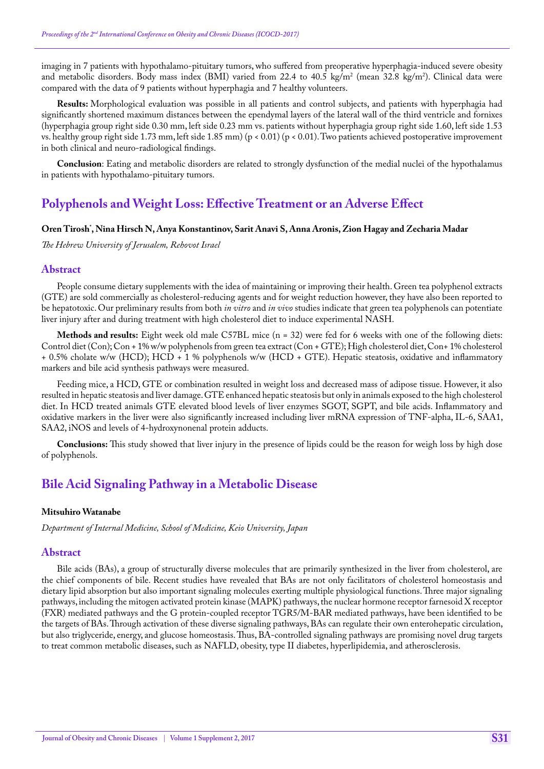imaging in 7 patients with hypothalamo-pituitary tumors, who suffered from preoperative hyperphagia-induced severe obesity and metabolic disorders. Body mass index (BMI) varied from 22.4 to 40.5 kg/m<sup>2</sup> (mean 32.8 kg/m<sup>2</sup>). Clinical data were compared with the data of 9 patients without hyperphagia and 7 healthy volunteers.

**Results:** Morphological evaluation was possible in all patients and control subjects, and patients with hyperphagia had significantly shortened maximum distances between the ependymal layers of the lateral wall of the third ventricle and fornixes (hyperphagia group right side 0.30 mm, left side 0.23 mm vs. patients without hyperphagia group right side 1.60, left side 1.53 vs. healthy group right side 1.73 mm, left side 1.85 mm) ( $p < 0.01$ ) ( $p < 0.01$ ). Two patients achieved postoperative improvement in both clinical and neuro-radiological findings.

**Conclusion**: Eating and metabolic disorders are related to strongly dysfunction of the medial nuclei of the hypothalamus in patients with hypothalamo-pituitary tumors.

# **Polyphenols and Weight Loss: Effective Treatment or an Adverse Effect**

### **Oren Tirosh\* , Nina Hirsch N, Anya Konstantinov, Sarit Anavi S, Anna Aronis, Zion Hagay and Zecharia Madar**

*The Hebrew University of Jerusalem, Rehovot Israel*

### **Abstract**

People consume dietary supplements with the idea of maintaining or improving their health. Green tea polyphenol extracts (GTE) are sold commercially as cholesterol-reducing agents and for weight reduction however, they have also been reported to be hepatotoxic. Our preliminary results from both *in vitro* and *in vivo* studies indicate that green tea polyphenols can potentiate liver injury after and during treatment with high cholesterol diet to induce experimental NASH.

**Methods and results:** Eight week old male C57BL mice (n = 32) were fed for 6 weeks with one of the following diets: Control diet (Con); Con + 1% w/w polyphenols from green tea extract (Con + GTE); High cholesterol diet, Con+ 1% cholesterol + 0.5% cholate w/w (HCD); HCD + 1 % polyphenols w/w (HCD + GTE). Hepatic steatosis, oxidative and inflammatory markers and bile acid synthesis pathways were measured.

Feeding mice, a HCD, GTE or combination resulted in weight loss and decreased mass of adipose tissue. However, it also resulted in hepatic steatosis and liver damage. GTE enhanced hepatic steatosis but only in animals exposed to the high cholesterol diet. In HCD treated animals GTE elevated blood levels of liver enzymes SGOT, SGPT, and bile acids. Inflammatory and oxidative markers in the liver were also significantly increased including liver mRNA expression of TNF-alpha, IL-6, SAA1, SAA2, iNOS and levels of 4-hydroxynonenal protein adducts.

**Conclusions:** This study showed that liver injury in the presence of lipids could be the reason for weigh loss by high dose of polyphenols.

## **Bile Acid Signaling Pathway in a Metabolic Disease**

#### **Mitsuhiro Watanabe**

*Department of Internal Medicine, School of Medicine, Keio University, Japan*

#### **Abstract**

Bile acids (BAs), a group of structurally diverse molecules that are primarily synthesized in the liver from cholesterol, are the chief components of bile. Recent studies have revealed that BAs are not only facilitators of cholesterol homeostasis and dietary lipid absorption but also important signaling molecules exerting multiple physiological functions. Three major signaling pathways, including the mitogen activated protein kinase (MAPK) pathways, the nuclear hormone receptor farnesoid X receptor (FXR) mediated pathways and the G protein-coupled receptor TGR5/M-BAR mediated pathways, have been identified to be the targets of BAs. Through activation of these diverse signaling pathways, BAs can regulate their own enterohepatic circulation, but also triglyceride, energy, and glucose homeostasis. Thus, BA-controlled signaling pathways are promising novel drug targets to treat common metabolic diseases, such as NAFLD, obesity, type II diabetes, hyperlipidemia, and atherosclerosis.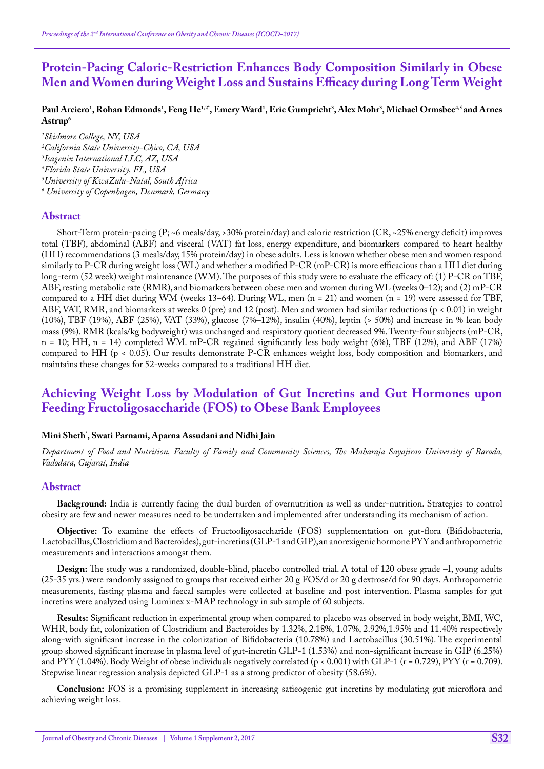# **Protein-Pacing Caloric-Restriction Enhances Body Composition Similarly in Obese Men and Women during Weight Loss and Sustains Efficacy during Long Term Weight**

## **Paul Arciero1 , Rohan Edmonds1 , Feng He1,2\*, Emery Ward1 , Eric Gumpricht3 , Alex Mohr3 , Michael Ormsbee4,5 and Arnes Astrup6**

*1 Skidmore College, NY, USA*

*2 California State University-Chico, CA, USA* 

*3 Isagenix International LLC, AZ, USA* 

*4 Florida State University, FL, USA* 

*5 University of KwaZulu-Natal, South Africa*

*6 University of Copenhagen, Denmark, Germany*

## **Abstract**

Short-Term protein-pacing (P; ~6 meals/day, >30% protein/day) and caloric restriction (CR, ~25% energy deficit) improves total (TBF), abdominal (ABF) and visceral (VAT) fat loss, energy expenditure, and biomarkers compared to heart healthy (HH) recommendations (3 meals/day, 15% protein/day) in obese adults. Less is known whether obese men and women respond similarly to P-CR during weight loss (WL) and whether a modified P-CR (mP-CR) is more efficacious than a HH diet during long-term (52 week) weight maintenance (WM). The purposes of this study were to evaluate the efficacy of: (1) P-CR on TBF, ABF, resting metabolic rate (RMR), and biomarkers between obese men and women during WL (weeks 0–12); and (2) mP-CR compared to a HH diet during WM (weeks 13–64). During WL, men (n = 21) and women (n = 19) were assessed for TBF, ABF, VAT, RMR, and biomarkers at weeks 0 (pre) and 12 (post). Men and women had similar reductions (p < 0.01) in weight (10%), TBF (19%), ABF (25%), VAT (33%), glucose (7%–12%), insulin (40%), leptin (> 50%) and increase in % lean body mass (9%). RMR (kcals/kg bodyweight) was unchanged and respiratory quotient decreased 9%. Twenty-four subjects (mP-CR, n = 10; HH, n = 14) completed WM. mP-CR regained significantly less body weight (6%), TBF (12%), and ABF (17%) compared to HH (p < 0.05). Our results demonstrate P-CR enhances weight loss, body composition and biomarkers, and maintains these changes for 52-weeks compared to a traditional HH diet.

# **Achieving Weight Loss by Modulation of Gut Incretins and Gut Hormones upon Feeding Fructoligosaccharide (FOS) to Obese Bank Employees**

## **Mini Sheth\* , Swati Parnami, Aparna Assudani and Nidhi Jain**

*Department of Food and Nutrition, Faculty of Family and Community Sciences, The Maharaja Sayajirao University of Baroda, Vadodara, Gujarat, India* 

### **Abstract**

**Background:** India is currently facing the dual burden of overnutrition as well as under-nutrition. Strategies to control obesity are few and newer measures need to be undertaken and implemented after understanding its mechanism of action.

**Objective:** To examine the effects of Fructooligosaccharide (FOS) supplementation on gut-flora (Bifidobacteria, Lactobacillus, Clostridium and Bacteroides), gut-incretins (GLP-1 and GIP), an anorexigenic hormone PYY and anthropometric measurements and interactions amongst them.

**Design:** The study was a randomized, double-blind, placebo controlled trial. A total of 120 obese grade –I, young adults (25-35 yrs.) were randomly assigned to groups that received either 20 g FOS/d or 20 g dextrose/d for 90 days. Anthropometric measurements, fasting plasma and faecal samples were collected at baseline and post intervention. Plasma samples for gut incretins were analyzed using Luminex x-MAP technology in sub sample of 60 subjects.

**Results:** Significant reduction in experimental group when compared to placebo was observed in body weight, BMI, WC, WHR, body fat, colonization of Clostridium and Bacteroides by 1.32%, 2.18%, 1.07%, 2.92%,1.95% and 11.40% respectively along-with significant increase in the colonization of Bifidobacteria (10.78%) and Lactobacillus (30.51%). The experimental group showed significant increase in plasma level of gut-incretin GLP-1 (1.53%) and non-significant increase in GIP (6.25%) and PYY (1.04%). Body Weight of obese individuals negatively correlated (p < 0.001) with GLP-1 (r = 0.729), PYY (r = 0.709). Stepwise linear regression analysis depicted GLP-1 as a strong predictor of obesity (58.6%).

**Conclusion:** FOS is a promising supplement in increasing satieogenic gut incretins by modulating gut microflora and achieving weight loss.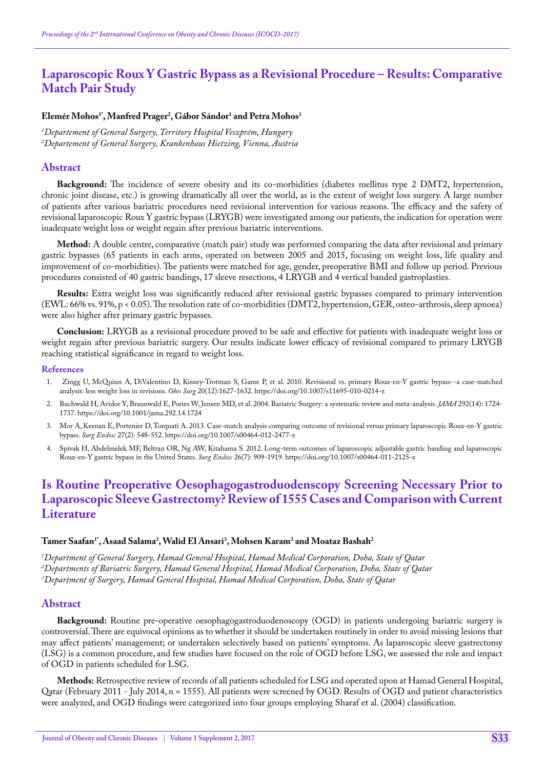# **Laparoscopic Roux Y Gastric Bypass as a Revisional Procedure – Results: Comparative Match Pair Study**

## $\mathbf{Element}^{\mathsf{T}}$  Mohos $^{\mathsf{T}}$ , Manfred Prager<sup>2</sup>, Gábor Sándor<sup>1</sup> and Petra Mohos $^{\mathsf{T}}$

*1 Departement of General Surgery, Territory Hospital Veszprém, Hungary 2 Departement of General Surgery, Krankenhaus Hietzing, Vienna, Austria*

### **Abstract**

**Background:** The incidence of severe obesity and its co-morbidities (diabetes mellitus type 2 DMT2, hypertension, chronic joint disease, etc.) is growing dramatically all over the world, as is the extent of weight loss surgery. A large number of patients after various bariatric procedures need revisional intervention for various reasons. The efficacy and the safety of revisional laparoscopic Roux Y gastric bypass (LRYGB) were investigated among our patients, the indication for operation were inadequate weight loss or weight regain after previous bariatric interventions.

**Method:** A double centre, comparative (match pair) study was performed comparing the data after revisional and primary gastric bypasses (65 patients in each arms, operated on between 2005 and 2015, focusing on weight loss, life quality and improvement of co-morbidities). The patients were matched for age, gender, preoperative BMI and follow up period. Previous procedures consisted of 40 gastric bandings, 17 sleeve resections, 4 LRYGB and 4 vertical banded gastroplasties.

**Results:** Extra weight loss was significantly reduced after revisional gastric bypasses compared to primary intervention (EWL: 66% vs. 91%, p < 0.05). The resolution rate of co-morbidities (DMT2, hypertension, GER, osteo-arthrosis, sleep apnoea) were also higher after primary gastric bypasses.

**Conclusion:** LRYGB as a revisional procedure proved to be safe and effective for patients with inadequate weight loss or weight regain after previous bariatric surgery. Our results indicate lower efficacy of revisional compared to primary LRYGB reaching statistical significance in regard to weight loss.

#### **References**

- 1. [Zingg U, McQuinn A, DiValentino D, Kinsey-Trotman S, Game P, et al. 2010. Revisional vs. primary Roux-en-Y gastric bypass--a case-matched](https://link.springer.com/article/10.1007%2Fs11695-010-0214-z)  [analysis: less weight loss in revisions.](https://link.springer.com/article/10.1007%2Fs11695-010-0214-z) *Obes Surg* 20(12):1627-1632. <https://doi.org/10.1007/s11695-010-0214-z>
- 2. [Buchwald H, Avidor Y, Braunwald E, Pories W, Jensen MD, et al. 2004. Bariatric Surgery: a systematic review and meta-analysis.](http://jamanetwork.com/journals/jama/article-abstract/199587) *JAMA* 292(14): 1724- 1737. <https://doi.org/10.1001/jama.292.14.1724>
- 3. [Mor A, Keenan E, Portenier D, Torquati A. 2013. Case-match analysis comparing outcome of revisional versus primary laparoscopic Roux-en-Y gastric](https://link.springer.com/article/10.1007/s00464-012-2477-z)  bypass. *Surg Endosc* [27\(2\): 548-552.](https://link.springer.com/article/10.1007/s00464-012-2477-z) https://doi.org/10.1007/s00464-012-2477-z
- 4. [Spivak H, Abdelmelek MF, Beltran OR, Ng AW, Kitahama S. 2012. Long-term outcomes of laparoscopic adjustable gastric banding and laparoscopic](https://www.ncbi.nlm.nih.gov/pubmed/22219011)  [Roux-en-Y gastric bypass in the United States.](https://www.ncbi.nlm.nih.gov/pubmed/22219011) *Surg Endosc* 26(7): 909-1919. <https://doi.org/10.1007/s00464-011-2125-z>

# **Is Routine Preoperative Oesophagogastroduodenscopy Screening Necessary Prior to Laparoscopic Sleeve Gastrectomy? Review of 1555 Cases and Comparison with Current Literature**

## $\Gamma$ amer Saafan<sup>1</sup>', Asaad Salama<sup>2</sup>, Walid El Ansari<sup>3</sup>, Mohsen Karam<sup>2</sup> and Moataz Bashah<sup>2</sup>

*1 Department of General Surgery, Hamad General Hospital, Hamad Medical Corporation, Doha, State of Qatar 2 Departments of Bariatric Surgery, Hamad General Hospital, Hamad Medical Corporation, Doha, State of Qatar 3 Department of Surgery, Hamad General Hospital, Hamad Medical Corporation, Doha, State of Qatar*

## **Abstract**

**Background:** Routine pre-operative oesophagogastroduodenoscopy (OGD) in patients undergoing bariatric surgery is controversial. There are equivocal opinions as to whether it should be undertaken routinely in order to avoid missing lesions that may affect patients' management; or undertaken selectively based on patients' symptoms. As laparoscopic sleeve gastrectomy (LSG) is a common procedure, and few studies have focused on the role of OGD before LSG, we assessed the role and impact of OGD in patients scheduled for LSG.

**Methods:** Retrospective review of records of all patients scheduled for LSG and operated upon at Hamad General Hospital, Qatar (February 2011 - July 2014, n = 1555). All patients were screened by OGD. Results of OGD and patient characteristics were analyzed, and OGD findings were categorized into four groups employing Sharaf et al. (2004) classification.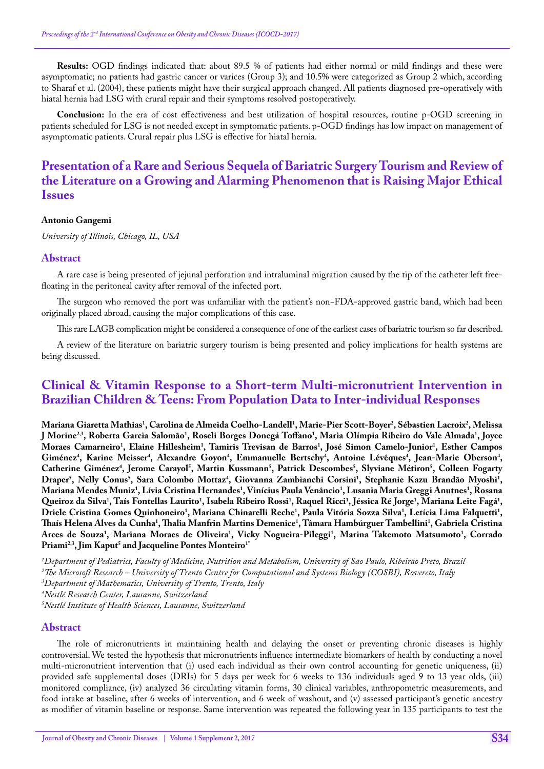**Results:** OGD findings indicated that: about 89.5 % of patients had either normal or mild findings and these were asymptomatic; no patients had gastric cancer or varices (Group 3); and 10.5% were categorized as Group 2 which, according to Sharaf et al. (2004), these patients might have their surgical approach changed. All patients diagnosed pre-operatively with hiatal hernia had LSG with crural repair and their symptoms resolved postoperatively.

**Conclusion:** In the era of cost effectiveness and best utilization of hospital resources, routine p-OGD screening in patients scheduled for LSG is not needed except in symptomatic patients. p-OGD findings has low impact on management of asymptomatic patients. Crural repair plus LSG is effective for hiatal hernia.

# **Presentation of a Rare and Serious Sequela of Bariatric Surgery Tourism and Review of the Literature on a Growing and Alarming Phenomenon that is Raising Major Ethical Issues**

### **Antonio Gangemi**

*University of Illinois, Chicago, IL, USA*

### **Abstract**

A rare case is being presented of jejunal perforation and intraluminal migration caused by the tip of the catheter left freefloating in the peritoneal cavity after removal of the infected port.

The surgeon who removed the port was unfamiliar with the patient's non−FDA-approved gastric band, which had been originally placed abroad, causing the major complications of this case.

This rare LAGB complication might be considered a consequence of one of the earliest cases of bariatric tourism so far described.

A review of the literature on bariatric surgery tourism is being presented and policy implications for health systems are being discussed.

# **Clinical & Vitamin Response to a Short-term Multi-micronutrient Intervention in Brazilian Children & Teens: From Population Data to Inter-individual Responses**

**Mariana Giaretta Mathias1 , Carolina de Almeida Coelho-Landell1 , Marie-Pier Scott-Boyer2 , Sébastien Lacroix2 , Melissa**  J Morine<sup>2,3</sup>, Roberta Garcia Salomão<sup>1</sup>, Roseli Borges Donegá Toffano<sup>1</sup>, Maria Olímpia Ribeiro do Vale Almada<sup>1</sup>, Joyce Moraes Camarneiro<sup>1</sup>, Elaine Hillesheim<sup>1</sup>, Tamiris Trevisan de Barros<sup>1</sup>, José Simon Camelo-Junior<sup>1</sup>, Esther Campos Giménez<sup>4</sup>, Karine Meisser<sup>4</sup>, Alexandre Goyon<sup>4</sup>, Emmanuelle Bertschy<sup>4</sup>, Antoine Lévêques<sup>4</sup>, Jean-Marie Oberson<sup>4</sup>, Catherine Giménez<sup>4</sup>, Jerome Carayol<sup>5</sup>, Martin Kussmann<sup>5</sup>, Patrick Descombes<sup>5</sup>, Slyviane Métiron<sup>5</sup>, Colleen Fogarty Draper<sup>s</sup>, Nelly Conus<sup>5</sup>, Sara Colombo Mottaz<sup>4</sup>, Giovanna Zambianchi Corsini<sup>1</sup>, Stephanie Kazu Brandão Myoshi<sup>1</sup>, **Mariana Mendes Muniz1 , Lívia Cristina Hernandes1 , Vinícius Paula Venâncio1 , Lusania Maria Greggi Anutnes1 , Rosana**  Queiroz da Silva<sup>1</sup>, Taís Fontellas Laurito<sup>1</sup>, Isabela Ribeiro Rossi<sup>1</sup>, Raquel Ricci<sup>1</sup>, Jéssica Ré Jorge<sup>1</sup>, Mariana Leite Fagá<sup>1</sup>, Driele Cristina Gomes Quinhoneiro<sup>1</sup>, Mariana Chinarelli Reche<sup>1</sup>, Paula Vitória Sozza Silva<sup>1</sup>, Letícia Lima Falquetti<sup>1</sup>, Thaís Helena Alves da Cunha<sup>1</sup>, Thalia Manfrin Martins Demenice<sup>1</sup>, Tâmara Hambúrguer Tambellini<sup>1</sup>, Gabriela Cristina **Arces de Souza1 , Mariana Moraes de Oliveira1 , Vicky Nogueira-Pileggi1 , Marina Takemoto Matsumoto1 , Corrado Priami2,3, Jim Kaput5 and Jacqueline Pontes Monteiro1\***

*1 Department of Pediatrics, Faculty of Medicine, Nutrition and Metabolism, University of São Paulo, Ribeirão Preto, Brazil*

*2 The Microsoft Research – University of Trento Centre for Computational and Systems Biology (COSBI), Rovereto, Italy*

*3 Department of Mathematics, University of Trento, Trento, Italy*

*4 Nestlé Research Center, Lausanne, Switzerland*

*5 Nestlé Institute of Health Sciences, Lausanne, Switzerland*

### **Abstract**

The role of micronutrients in maintaining health and delaying the onset or preventing chronic diseases is highly controversial. We tested the hypothesis that micronutrients influence intermediate biomarkers of health by conducting a novel multi-micronutrient intervention that (i) used each individual as their own control accounting for genetic uniqueness, (ii) provided safe supplemental doses (DRIs) for 5 days per week for 6 weeks to 136 individuals aged 9 to 13 year olds, (iii) monitored compliance, (iv) analyzed 36 circulating vitamin forms, 30 clinical variables, anthropometric measurements, and food intake at baseline, after 6 weeks of intervention, and 6 week of washout, and (v) assessed participant's genetic ancestry as modifier of vitamin baseline or response. Same intervention was repeated the following year in 135 participants to test the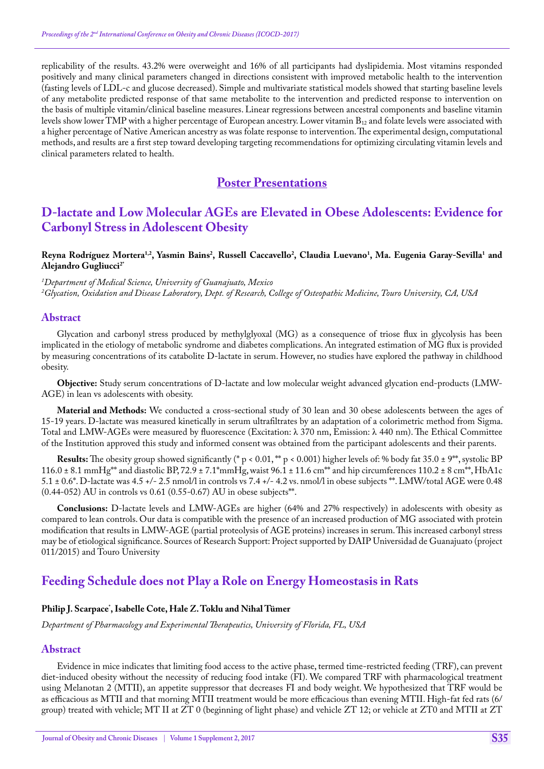replicability of the results. 43.2% were overweight and 16% of all participants had dyslipidemia. Most vitamins responded positively and many clinical parameters changed in directions consistent with improved metabolic health to the intervention (fasting levels of LDL-c and glucose decreased). Simple and multivariate statistical models showed that starting baseline levels of any metabolite predicted response of that same metabolite to the intervention and predicted response to intervention on the basis of multiple vitamin/clinical baseline measures. Linear regressions between ancestral components and baseline vitamin levels show lower TMP with a higher percentage of European ancestry. Lower vitamin  $B_{12}$  and folate levels were associated with a higher percentage of Native American ancestry as was folate response to intervention. The experimental design, computational methods, and results are a first step toward developing targeting recommendations for optimizing circulating vitamin levels and clinical parameters related to health.

# **Poster Presentations**

# **D-lactate and Low Molecular AGEs are Elevated in Obese Adolescents: Evidence for Carbonyl Stress in Adolescent Obesity**

## Reyna Rodríguez Mortera<sup>1,2</sup>, Yasmin Bains<sup>2</sup>, Russell Caccavello<sup>2</sup>, Claudia Luevano<sup>1</sup>, Ma. Eugenia Garay-Sevilla<sup>1</sup> and **Alejandro Gugliucci2\***

*1 Department of Medical Science, University of Guanajuato, Mexico 2 Glycation, Oxidation and Disease Laboratory, Dept. of Research, College of Osteopathic Medicine, Touro University, CA, USA*

## **Abstract**

Glycation and carbonyl stress produced by methylglyoxal (MG) as a consequence of triose flux in glycolysis has been implicated in the etiology of metabolic syndrome and diabetes complications. An integrated estimation of MG flux is provided by measuring concentrations of its catabolite D-lactate in serum. However, no studies have explored the pathway in childhood obesity.

**Objective:** Study serum concentrations of D-lactate and low molecular weight advanced glycation end-products (LMW-AGE) in lean vs adolescents with obesity.

**Material and Methods:** We conducted a cross-sectional study of 30 lean and 30 obese adolescents between the ages of 15-19 years. D-lactate was measured kinetically in serum ultrafiltrates by an adaptation of a colorimetric method from Sigma. Total and LMW-AGEs were measured by fluorescence (Excitation: λ 370 nm, Emission: λ 440 nm). The Ethical Committee of the Institution approved this study and informed consent was obtained from the participant adolescents and their parents.

**Results:** The obesity group showed significantly (\* p < 0.01, \*\* p < 0.001) higher levels of: % body fat 35.0 ± 9\*\*, systolic BP 116.0  $\pm$  8.1 mmHg\*\* and diastolic BP, 72.9  $\pm$  7.1\*mmHg, waist 96.1  $\pm$  11.6 cm<sup>\*\*</sup> and hip circumferences 110.2  $\pm$  8 cm<sup>\*\*</sup>, HbA1c 5.1 ± 0.6\*. D-lactate was 4.5 +/- 2.5 nmol/l in controls vs 7.4 +/- 4.2 vs. nmol/l in obese subjects \*\*. LMW/total AGE were 0.48  $(0.44-052)$  AU in controls vs  $0.61$   $(0.55-0.67)$  AU in obese subjects<sup>\*\*</sup>.

**Conclusions:** D-lactate levels and LMW-AGEs are higher (64% and 27% respectively) in adolescents with obesity as compared to lean controls. Our data is compatible with the presence of an increased production of MG associated with protein modification that results in LMW-AGE (partial proteolysis of AGE proteins) increases in serum. This increased carbonyl stress may be of etiological significance. Sources of Research Support: Project supported by DAIP Universidad de Guanajuato (project 011/2015) and Touro University

# **Feeding Schedule does not Play a Role on Energy Homeostasis in Rats**

## **Philip J. Scarpace\* , Isabelle Cote, Hale Z. Toklu and Nihal Tümer**

*Department of Pharmacology and Experimental Therapeutics, University of Florida, FL, USA*

## **Abstract**

Evidence in mice indicates that limiting food access to the active phase, termed time-restricted feeding (TRF), can prevent diet-induced obesity without the necessity of reducing food intake (FI). We compared TRF with pharmacological treatment using Melanotan 2 (MTII), an appetite suppressor that decreases FI and body weight. We hypothesized that TRF would be as efficacious as MTII and that morning MTII treatment would be more efficacious than evening MTII. High-fat fed rats (6/ group) treated with vehicle; MT II at ZT 0 (beginning of light phase) and vehicle ZT 12; or vehicle at ZT0 and MTII at ZT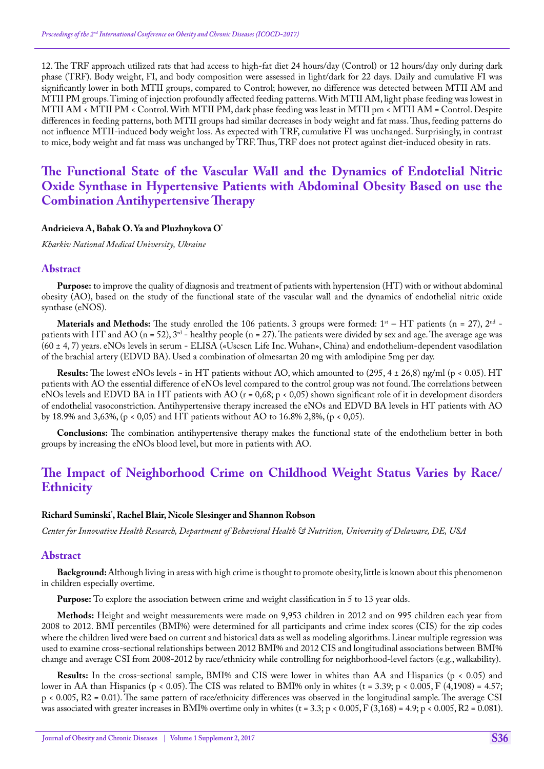12. The TRF approach utilized rats that had access to high-fat diet 24 hours/day (Control) or 12 hours/day only during dark phase (TRF). Body weight, FI, and body composition were assessed in light/dark for 22 days. Daily and cumulative FI was significantly lower in both MTII groups, compared to Control; however, no difference was detected between MTII AM and MTII PM groups. Timing of injection profoundly affected feeding patterns. With MTII AM, light phase feeding was lowest in MTII AM < MTII PM < Control. With MTII PM, dark phase feeding was least in MTII pm < MTII AM = Control. Despite differences in feeding patterns, both MTII groups had similar decreases in body weight and fat mass. Thus, feeding patterns do not influence MTII-induced body weight loss. As expected with TRF, cumulative FI was unchanged. Surprisingly, in contrast to mice, body weight and fat mass was unchanged by TRF. Thus, TRF does not protect against diet-induced obesity in rats.

# **The Functional State of the Vascular Wall and the Dynamics of Endotelial Nitric Oxide Synthase in Hypertensive Patients with Abdominal Obesity Based on use the Combination Antihypertensive Therapy**

### **Andrieieva A, Babak O. Ya and Pluzhnykova O\***

*Kharkiv National Medical University, Ukraine*

## **Abstract**

**Purpose:** to improve the quality of diagnosis and treatment of patients with hypertension (HT) with or without abdominal obesity (AO), based on the study of the functional state of the vascular wall and the dynamics of endothelial nitric oxide synthase (eNOS).

Materials and Methods: The study enrolled the 106 patients. 3 groups were formed: 1<sup>st</sup> – HT patients (n = 27), 2<sup>nd</sup> patients with HT and AO (n = 52),  $3^{rd}$  - healthy people (n = 27). The patients were divided by sex and age. The average age was (60 ± 4, 7) years. eNOs levels in serum - ELISA («Uscscn Life Inc. Wuhan», China) and endothelium-dependent vasodilation of the brachial artery (EDVD BA). Used a combination of olmesartan 20 mg with amlodipine 5mg per day.

**Results:** The lowest eNOs levels - in HT patients without AO, which amounted to (295, 4 ± 26,8) ng/ml (p < 0.05). HT patients with AO the essential difference of eNOs level compared to the control group was not found. The correlations between eNOs levels and EDVD BA in HT patients with AO ( $r = 0.68$ ;  $p < 0.05$ ) shown significant role of it in development disorders of endothelial vasoconstriction. Antihypertensive therapy increased the eNOs and EDVD BA levels in HT patients with AO by 18.9% and 3,63%, (p < 0,05) and HT patients without AO to 16.8% 2,8%, (p < 0,05).

**Conclusions:** The combination antihypertensive therapy makes the functional state of the endothelium better in both groups by increasing the eNOs blood level, but more in patients with AO.

# **The Impact of Neighborhood Crime on Childhood Weight Status Varies by Race/ Ethnicity**

## **Richard Suminski\* , Rachel Blair, Nicole Slesinger and Shannon Robson**

*Center for Innovative Health Research, Department of Behavioral Health & Nutrition, University of Delaware, DE, USA* 

### **Abstract**

**Background:** Although living in areas with high crime is thought to promote obesity, little is known about this phenomenon in children especially overtime.

**Purpose:** To explore the association between crime and weight classification in 5 to 13 year olds.

**Methods:** Height and weight measurements were made on 9,953 children in 2012 and on 995 children each year from 2008 to 2012. BMI percentiles (BMI%) were determined for all participants and crime index scores (CIS) for the zip codes where the children lived were baed on current and historical data as well as modeling algorithms. Linear multiple regression was used to examine cross-sectional relationships between 2012 BMI% and 2012 CIS and longitudinal associations between BMI% change and average CSI from 2008-2012 by race/ethnicity while controlling for neighborhood-level factors (e.g., walkability).

**Results:** In the cross-sectional sample, BMI% and CIS were lower in whites than AA and Hispanics (p < 0.05) and lower in AA than Hispanics (p < 0.05). The CIS was related to BMI% only in whites (t = 3.39; p < 0.005, F (4,1908) = 4.57; p < 0.005, R2 = 0.01). The same pattern of race/ethnicity differences was observed in the longitudinal sample. The average CSI was associated with greater increases in BMI% overtime only in whites (t = 3.3; p < 0.005, F (3,168) = 4.9; p < 0.005, R2 = 0.081).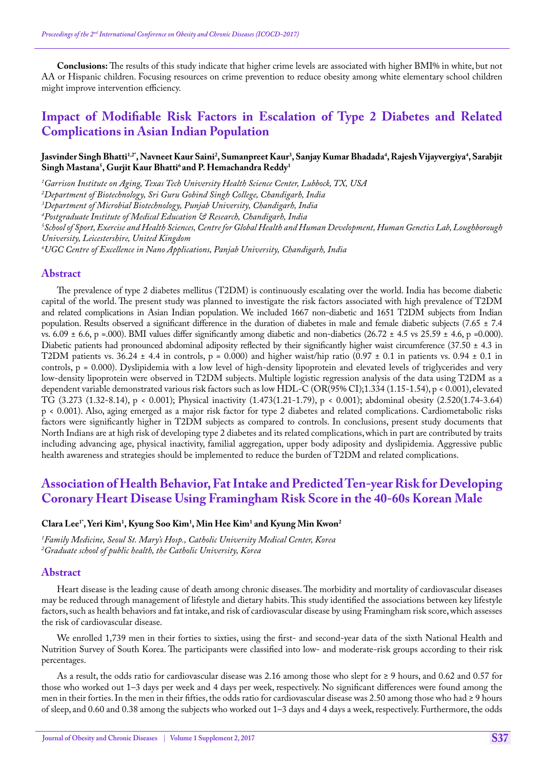**Conclusions:** The results of this study indicate that higher crime levels are associated with higher BMI% in white, but not AA or Hispanic children. Focusing resources on crime prevention to reduce obesity among white elementary school children might improve intervention efficiency.

# **Impact of Modifiable Risk Factors in Escalation of Type 2 Diabetes and Related Complications in Asian Indian Population**

## Jasvinder Singh Bhatti<sup>1,2</sup>', Navneet Kaur Saini<sup>2</sup>, Sumanpreet Kaur<sup>3</sup>, Sanjay Kumar Bhadada<sup>4</sup>, Rajesh Vijayvergiya<sup>4</sup>, Sarabjit **Singh Mastana5 , Gurjit Kaur Bhatti6 and P. Hemachandra Reddy1**

*1 Garrison Institute on Aging, Texas Tech University Health Science Center, Lubbock, TX, USA*

*2 Department of Biotechnology, Sri Guru Gobind Singh College, Chandigarh, India*

*3 Department of Microbial Biotechnology, Punjab University, Chandigarh, India*

*4 Postgraduate Institute of Medical Education & Research, Chandigarh, India*

<sup>5</sup> School of Sport, Exercise and Health Sciences, Centre for Global Health and Human Development, Human Genetics Lab, Loughborough *University, Leicestershire, United Kingdom*

*6 UGC Centre of Excellence in Nano Applications, Panjab University, Chandigarh, India*

### **Abstract**

The prevalence of type 2 diabetes mellitus (T2DM) is continuously escalating over the world. India has become diabetic capital of the world. The present study was planned to investigate the risk factors associated with high prevalence of T2DM and related complications in Asian Indian population. We included 1667 non-diabetic and 1651 T2DM subjects from Indian population. Results observed a significant difference in the duration of diabetes in male and female diabetic subjects (7.65 ± 7.4 vs.  $6.09 \pm 6.6$ , p =.000). BMI values differ significantly among diabetic and non-diabetics (26.72  $\pm$  4.5 vs 25.59  $\pm$  4.6, p =0.000). Diabetic patients had pronounced abdominal adiposity reflected by their significantly higher waist circumference (37.50  $\pm$  4.3 in T2DM patients vs.  $36.24 \pm 4.4$  in controls, p = 0.000) and higher waist/hip ratio (0.97  $\pm$  0.1 in patients vs. 0.94  $\pm$  0.1 in controls, p = 0.000). Dyslipidemia with a low level of high-density lipoprotein and elevated levels of triglycerides and very low-density lipoprotein were observed in T2DM subjects. Multiple logistic regression analysis of the data using T2DM as a dependent variable demonstrated various risk factors such as low HDL-C (OR(95% CI);1.334 (1.15-1.54), p < 0.001), elevated TG (3.273 (1.32-8.14), p < 0.001); Physical inactivity (1.473(1.21-1.79), p < 0.001); abdominal obesity (2.520(1.74-3.64) p < 0.001). Also, aging emerged as a major risk factor for type 2 diabetes and related complications. Cardiometabolic risks factors were significantly higher in T2DM subjects as compared to controls. In conclusions, present study documents that North Indians are at high risk of developing type 2 diabetes and its related complications, which in part are contributed by traits including advancing age, physical inactivity, familial aggregation, upper body adiposity and dyslipidemia. Aggressive public health awareness and strategies should be implemented to reduce the burden of T2DM and related complications.

# **Association of Health Behavior, Fat Intake and Predicted Ten-year Risk for Developing Coronary Heart Disease Using Framingham Risk Score in the 40-60s Korean Male**

## **Clara Lee1\*, Yeri Kim1 , Kyung Soo Kim1 , Min Hee Kim1 and Kyung Min Kwon2**

*1 Family Medicine, Seoul St. Mary's Hosp., Catholic University Medical Center, Korea 2 Graduate school of public health, the Catholic University, Korea*

### **Abstract**

Heart disease is the leading cause of death among chronic diseases. The morbidity and mortality of cardiovascular diseases may be reduced through management of lifestyle and dietary habits. This study identified the associations between key lifestyle factors, such as health behaviors and fat intake, and risk of cardiovascular disease by using Framingham risk score, which assesses the risk of cardiovascular disease.

We enrolled 1,739 men in their forties to sixties, using the first- and second-year data of the sixth National Health and Nutrition Survey of South Korea. The participants were classified into low- and moderate-risk groups according to their risk percentages.

As a result, the odds ratio for cardiovascular disease was 2.16 among those who slept for ≥ 9 hours, and 0.62 and 0.57 for those who worked out 1–3 days per week and 4 days per week, respectively. No significant differences were found among the men in their forties. In the men in their fifties, the odds ratio for cardiovascular disease was 2.50 among those who had ≥ 9 hours of sleep, and 0.60 and 0.38 among the subjects who worked out 1–3 days and 4 days a week, respectively. Furthermore, the odds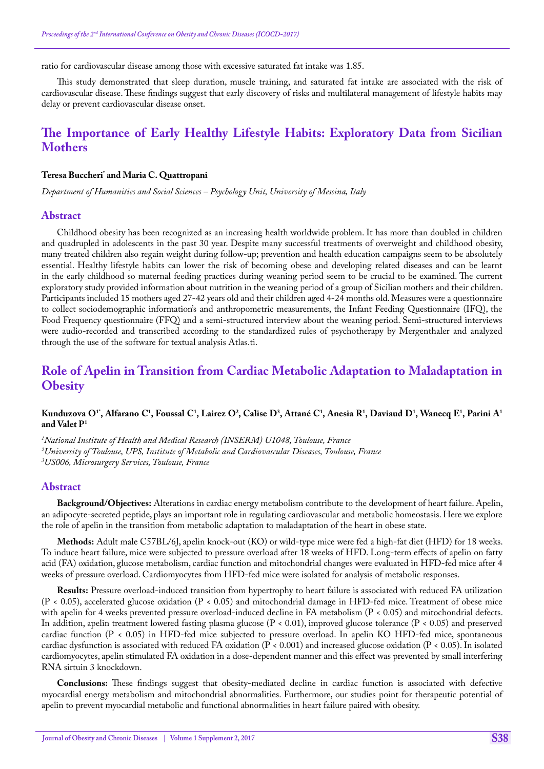ratio for cardiovascular disease among those with excessive saturated fat intake was 1.85.

This study demonstrated that sleep duration, muscle training, and saturated fat intake are associated with the risk of cardiovascular disease. These findings suggest that early discovery of risks and multilateral management of lifestyle habits may delay or prevent cardiovascular disease onset.

# **The Importance of Early Healthy Lifestyle Habits: Exploratory Data from Sicilian Mothers**

### **Teresa Buccheri\* and Maria C. Quattropani**

*Department of Humanities and Social Sciences – Psychology Unit, University of Messina, Italy* 

## **Abstract**

Childhood obesity has been recognized as an increasing health worldwide problem. It has more than doubled in children and quadrupled in adolescents in the past 30 year. Despite many successful treatments of overweight and childhood obesity, many treated children also regain weight during follow-up; prevention and health education campaigns seem to be absolutely essential. Healthy lifestyle habits can lower the risk of becoming obese and developing related diseases and can be learnt in the early childhood so maternal feeding practices during weaning period seem to be crucial to be examined. The current exploratory study provided information about nutrition in the weaning period of a group of Sicilian mothers and their children. Participants included 15 mothers aged 27-42 years old and their children aged 4-24 months old. Measures were a questionnaire to collect sociodemographic information's and anthropometric measurements, the Infant Feeding Questionnaire (IFQ), the Food Frequency questionnaire (FFQ) and a semi-structured interview about the weaning period. Semi-structured interviews were audio-recorded and transcribed according to the standardized rules of psychotherapy by Mergenthaler and analyzed through the use of the software for textual analysis Atlas.ti.

# **Role of Apelin in Transition from Cardiac Metabolic Adaptation to Maladaptation in Obesity**

### $K$ unduzova O<sup>1</sup>', Alfarano C<sup>1</sup>, Foussal C<sup>1</sup>, Lairez O<sup>2</sup>, Calise D<sup>3</sup>, Attané C<sup>1</sup>, Anesia R<sup>1</sup>, Daviaud D<sup>1</sup>, Wanecq E<sup>1</sup>, Parini A<sup>1</sup> **and Valet P1**

*1 National Institute of Health and Medical Research (INSERM) U1048, Toulouse, France 2 University of Toulouse, UPS, Institute of Metabolic and Cardiovascular Diseases, Toulouse, France 3 US006, Microsurgery Services, Toulouse, France*

### **Abstract**

**Background/Objectives:** Alterations in cardiac energy metabolism contribute to the development of heart failure. Apelin, an adipocyte-secreted peptide, plays an important role in regulating cardiovascular and metabolic homeostasis. Here we explore the role of apelin in the transition from metabolic adaptation to maladaptation of the heart in obese state.

**Methods:** Adult male C57BL/6J, apelin knock-out (KO) or wild-type mice were fed a high-fat diet (HFD) for 18 weeks. To induce heart failure, mice were subjected to pressure overload after 18 weeks of HFD. Long-term effects of apelin on fatty acid (FA) oxidation, glucose metabolism, cardiac function and mitochondrial changes were evaluated in HFD-fed mice after 4 weeks of pressure overload. Cardiomyocytes from HFD-fed mice were isolated for analysis of metabolic responses.

**Results:** Pressure overload-induced transition from hypertrophy to heart failure is associated with reduced FA utilization (P < 0.05), accelerated glucose oxidation (P < 0.05) and mitochondrial damage in HFD-fed mice. Treatment of obese mice with apelin for 4 weeks prevented pressure overload-induced decline in FA metabolism  $(P < 0.05)$  and mitochondrial defects. In addition, apelin treatment lowered fasting plasma glucose (P < 0.01), improved glucose tolerance (P < 0.05) and preserved cardiac function (P < 0.05) in HFD-fed mice subjected to pressure overload. In apelin KO HFD-fed mice, spontaneous cardiac dysfunction is associated with reduced FA oxidation (P < 0.001) and increased glucose oxidation (P < 0.05). In isolated cardiomyocytes, apelin stimulated FA oxidation in a dose-dependent manner and this effect was prevented by small interfering RNA sirtuin 3 knockdown.

**Conclusions:** These findings suggest that obesity-mediated decline in cardiac function is associated with defective myocardial energy metabolism and mitochondrial abnormalities. Furthermore, our studies point for therapeutic potential of apelin to prevent myocardial metabolic and functional abnormalities in heart failure paired with obesity.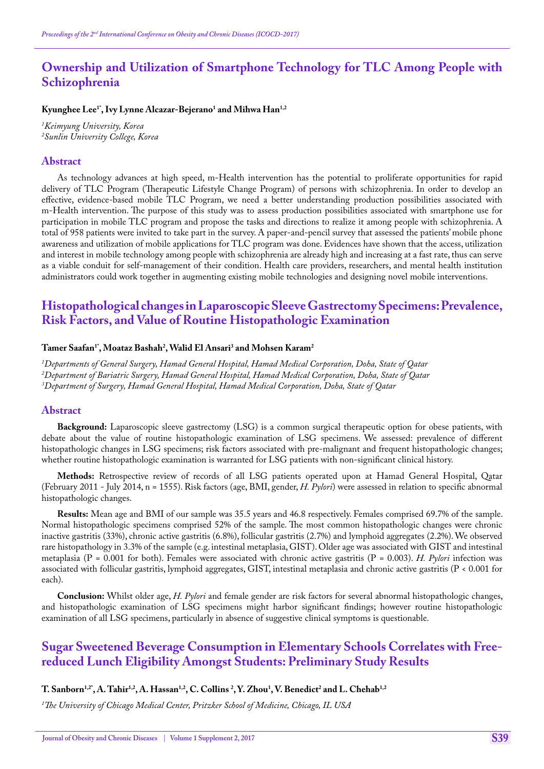# **Ownership and Utilization of Smartphone Technology for TLC Among People with Schizophrenia**

## **Kyunghee Lee1\*, Ivy Lynne Alcazar-Bejerano1 and Mihwa Han1,2**

*1 Keimyung University, Korea 2 Sunlin University College, Korea*

## **Abstract**

As technology advances at high speed, m-Health intervention has the potential to proliferate opportunities for rapid delivery of TLC Program (Therapeutic Lifestyle Change Program) of persons with schizophrenia. In order to develop an effective, evidence-based mobile TLC Program, we need a better understanding production possibilities associated with m-Health intervention. The purpose of this study was to assess production possibilities associated with smartphone use for participation in mobile TLC program and propose the tasks and directions to realize it among people with schizophrenia. A total of 958 patients were invited to take part in the survey. A paper-and-pencil survey that assessed the patients' mobile phone awareness and utilization of mobile applications for TLC program was done. Evidences have shown that the access, utilization and interest in mobile technology among people with schizophrenia are already high and increasing at a fast rate, thus can serve as a viable conduit for self-management of their condition. Health care providers, researchers, and mental health institution administrators could work together in augmenting existing mobile technologies and designing novel mobile interventions.

# **Histopathological changes in Laparoscopic Sleeve Gastrectomy Specimens: Prevalence, Risk Factors, and Value of Routine Histopathologic Examination**

## **Tamer Saafan1\*, Moataz Bashah2 , Walid El Ansari3 and Mohsen Karam2**

*1 Departments of General Surgery, Hamad General Hospital, Hamad Medical Corporation, Doha, State of Qatar 2 Department of Bariatric Surgery, Hamad General Hospital, Hamad Medical Corporation, Doha, State of Qatar 3 Department of Surgery, Hamad General Hospital, Hamad Medical Corporation, Doha, State of Qatar*

### **Abstract**

**Background:** Laparoscopic sleeve gastrectomy (LSG) is a common surgical therapeutic option for obese patients, with debate about the value of routine histopathologic examination of LSG specimens. We assessed: prevalence of different histopathologic changes in LSG specimens; risk factors associated with pre-malignant and frequent histopathologic changes; whether routine histopathologic examination is warranted for LSG patients with non-significant clinical history.

**Methods:** Retrospective review of records of all LSG patients operated upon at Hamad General Hospital, Qatar (February 2011 - July 2014, n = 1555). Risk factors (age, BMI, gender, *H. Pylori*) were assessed in relation to specific abnormal histopathologic changes.

**Results:** Mean age and BMI of our sample was 35.5 years and 46.8 respectively. Females comprised 69.7% of the sample. Normal histopathologic specimens comprised 52% of the sample. The most common histopathologic changes were chronic inactive gastritis (33%), chronic active gastritis (6.8%), follicular gastritis (2.7%) and lymphoid aggregates (2.2%). We observed rare histopathology in 3.3% of the sample (e.g. intestinal metaplasia, GIST). Older age was associated with GIST and intestinal metaplasia ( $P = 0.001$  for both). Females were associated with chronic active gastritis ( $P = 0.003$ ). *H. Pylori* infection was associated with follicular gastritis, lymphoid aggregates, GIST, intestinal metaplasia and chronic active gastritis (P < 0.001 for each).

**Conclusion:** Whilst older age, *H. Pylori* and female gender are risk factors for several abnormal histopathologic changes, and histopathologic examination of LSG specimens might harbor significant findings; however routine histopathologic examination of all LSG specimens, particularly in absence of suggestive clinical symptoms is questionable.

# **Sugar Sweetened Beverage Consumption in Elementary Schools Correlates with Freereduced Lunch Eligibility Amongst Students: Preliminary Study Results**

## **T. Sanborn1,2\*, A. Tahir1,2, A. Hassan1,2, C. Collins 2 , Y. Zhou1 , V. Benedict2 and L. Chehab1,2**

*1 The University of Chicago Medical Center, Pritzker School of Medicine, Chicago, IL USA*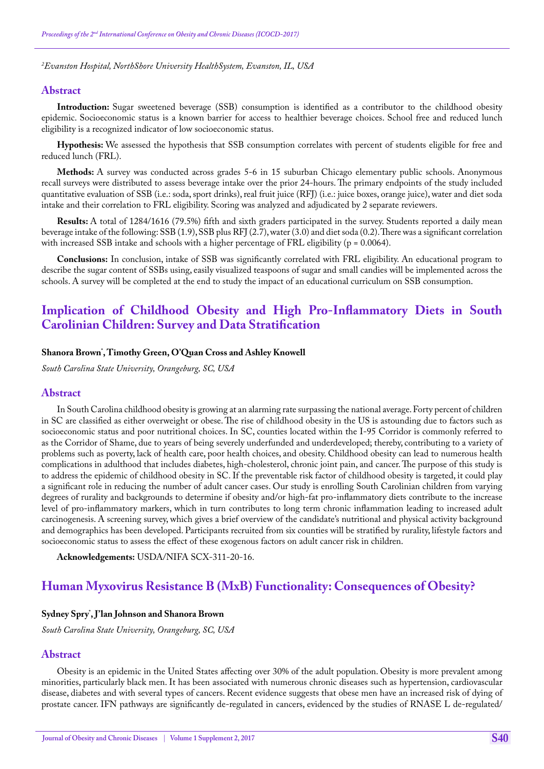*2 Evanston Hospital, NorthShore University HealthSystem, Evanston, IL, USA*

### **Abstract**

**Introduction:** Sugar sweetened beverage (SSB) consumption is identified as a contributor to the childhood obesity epidemic. Socioeconomic status is a known barrier for access to healthier beverage choices. School free and reduced lunch eligibility is a recognized indicator of low socioeconomic status.

**Hypothesis:** We assessed the hypothesis that SSB consumption correlates with percent of students eligible for free and reduced lunch (FRL).

**Methods:** A survey was conducted across grades 5-6 in 15 suburban Chicago elementary public schools. Anonymous recall surveys were distributed to assess beverage intake over the prior 24-hours. The primary endpoints of the study included quantitative evaluation of SSB (i.e.: soda, sport drinks), real fruit juice (RFJ) (i.e.: juice boxes, orange juice), water and diet soda intake and their correlation to FRL eligibility. Scoring was analyzed and adjudicated by 2 separate reviewers.

**Results:** A total of 1284/1616 (79.5%) fifth and sixth graders participated in the survey. Students reported a daily mean beverage intake of the following: SSB (1.9), SSB plus RFJ (2.7), water (3.0) and diet soda (0.2). There was a significant correlation with increased SSB intake and schools with a higher percentage of FRL eligibility ( $p = 0.0064$ ).

**Conclusions:** In conclusion, intake of SSB was significantly correlated with FRL eligibility. An educational program to describe the sugar content of SSBs using, easily visualized teaspoons of sugar and small candies will be implemented across the schools. A survey will be completed at the end to study the impact of an educational curriculum on SSB consumption.

# **Implication of Childhood Obesity and High Pro-Inflammatory Diets in South Carolinian Children: Survey and Data Stratification**

## **Shanora Brown\* , Timothy Green, O'Quan Cross and Ashley Knowell**

*South Carolina State University, Orangeburg, SC, USA*

### **Abstract**

In South Carolina childhood obesity is growing at an alarming rate surpassing the national average. Forty percent of children in SC are classified as either overweight or obese. The rise of childhood obesity in the US is astounding due to factors such as socioeconomic status and poor nutritional choices. In SC, counties located within the I-95 Corridor is commonly referred to as the Corridor of Shame, due to years of being severely underfunded and underdeveloped; thereby, contributing to a variety of problems such as poverty, lack of health care, poor health choices, and obesity. Childhood obesity can lead to numerous health complications in adulthood that includes diabetes, high-cholesterol, chronic joint pain, and cancer. The purpose of this study is to address the epidemic of childhood obesity in SC. If the preventable risk factor of childhood obesity is targeted, it could play a significant role in reducing the number of adult cancer cases. Our study is enrolling South Carolinian children from varying degrees of rurality and backgrounds to determine if obesity and/or high-fat pro-inflammatory diets contribute to the increase level of pro-inflammatory markers, which in turn contributes to long term chronic inflammation leading to increased adult carcinogenesis. A screening survey, which gives a brief overview of the candidate's nutritional and physical activity background and demographics has been developed. Participants recruited from six counties will be stratified by rurality, lifestyle factors and socioeconomic status to assess the effect of these exogenous factors on adult cancer risk in children.

**Acknowledgements:** USDA/NIFA SCX-311-20-16.

# **Human Myxovirus Resistance B (MxB) Functionality: Consequences of Obesity?**

### **Sydney Spry\* , J'lan Johnson and Shanora Brown**

*South Carolina State University, Orangeburg, SC, USA*

## **Abstract**

Obesity is an epidemic in the United States affecting over 30% of the adult population. Obesity is more prevalent among minorities, particularly black men. It has been associated with numerous chronic diseases such as hypertension, cardiovascular disease, diabetes and with several types of cancers. Recent evidence suggests that obese men have an increased risk of dying of prostate cancer. IFN pathways are significantly de-regulated in cancers, evidenced by the studies of RNASE L de-regulated/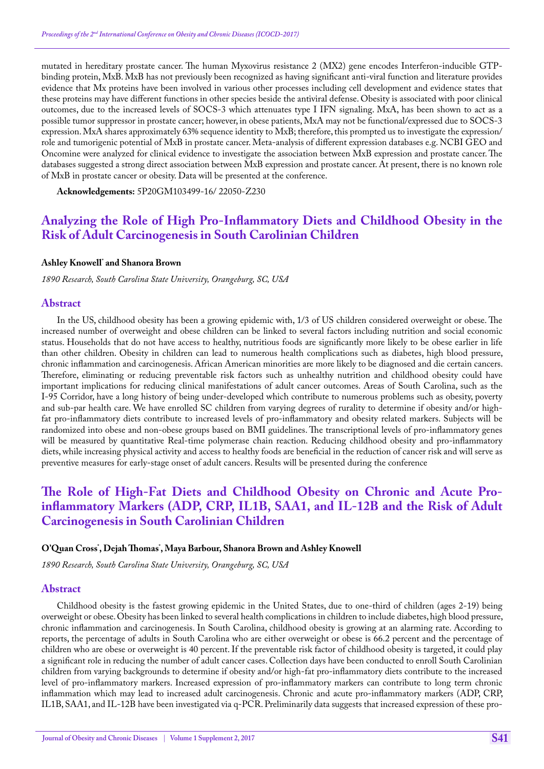mutated in hereditary prostate cancer. The human Myxovirus resistance 2 (MX2) gene encodes Interferon-inducible GTPbinding protein, MxB. MxB has not previously been recognized as having significant anti-viral function and literature provides evidence that Mx proteins have been involved in various other processes including cell development and evidence states that these proteins may have different functions in other species beside the antiviral defense. Obesity is associated with poor clinical outcomes, due to the increased levels of SOCS-3 which attenuates type I IFN signaling. MxA, has been shown to act as a possible tumor suppressor in prostate cancer; however, in obese patients, MxA may not be functional/expressed due to SOCS-3 expression. MxA shares approximately 63% sequence identity to MxB; therefore, this prompted us to investigate the expression/ role and tumorigenic potential of MxB in prostate cancer. Meta-analysis of different expression databases e.g. NCBI GEO and Oncomine were analyzed for clinical evidence to investigate the association between MxB expression and prostate cancer. The databases suggested a strong direct association between MxB expression and prostate cancer. At present, there is no known role of MxB in prostate cancer or obesity. Data will be presented at the conference.

**Acknowledgements:** 5P20GM103499-16/ 22050-Z230

# **Analyzing the Role of High Pro-Inflammatory Diets and Childhood Obesity in the Risk of Adult Carcinogenesis in South Carolinian Children**

## **Ashley Knowell\* and Shanora Brown**

*1890 Research, South Carolina State University, Orangeburg, SC, USA*

### **Abstract**

In the US, childhood obesity has been a growing epidemic with, 1/3 of US children considered overweight or obese. The increased number of overweight and obese children can be linked to several factors including nutrition and social economic status. Households that do not have access to healthy, nutritious foods are significantly more likely to be obese earlier in life than other children. Obesity in children can lead to numerous health complications such as diabetes, high blood pressure, chronic inflammation and carcinogenesis. African American minorities are more likely to be diagnosed and die certain cancers. Therefore, eliminating or reducing preventable risk factors such as unhealthy nutrition and childhood obesity could have important implications for reducing clinical manifestations of adult cancer outcomes. Areas of South Carolina, such as the I-95 Corridor, have a long history of being under-developed which contribute to numerous problems such as obesity, poverty and sub-par health care. We have enrolled SC children from varying degrees of rurality to determine if obesity and/or highfat pro-inflammatory diets contribute to increased levels of pro-inflammatory and obesity related markers. Subjects will be randomized into obese and non-obese groups based on BMI guidelines. The transcriptional levels of pro-inflammatory genes will be measured by quantitative Real-time polymerase chain reaction. Reducing childhood obesity and pro-inflammatory diets, while increasing physical activity and access to healthy foods are beneficial in the reduction of cancer risk and will serve as preventive measures for early-stage onset of adult cancers. Results will be presented during the conference

# **The Role of High-Fat Diets and Childhood Obesity on Chronic and Acute Proinflammatory Markers (ADP, CRP, IL1B, SAA1, and IL-12B and the Risk of Adult Carcinogenesis in South Carolinian Children**

### **O'Quan Cross\* , Dejah Thomas\* , Maya Barbour, Shanora Brown and Ashley Knowell**

*1890 Research, South Carolina State University, Orangeburg, SC, USA*

#### **Abstract**

Childhood obesity is the fastest growing epidemic in the United States, due to one-third of children (ages 2-19) being overweight or obese. Obesity has been linked to several health complications in children to include diabetes, high blood pressure, chronic inflammation and carcinogenesis. In South Carolina, childhood obesity is growing at an alarming rate. According to reports, the percentage of adults in South Carolina who are either overweight or obese is 66.2 percent and the percentage of children who are obese or overweight is 40 percent. If the preventable risk factor of childhood obesity is targeted, it could play a significant role in reducing the number of adult cancer cases. Collection days have been conducted to enroll South Carolinian children from varying backgrounds to determine if obesity and/or high-fat pro-inflammatory diets contribute to the increased level of pro-inflammatory markers. Increased expression of pro-inflammatory markers can contribute to long term chronic inflammation which may lead to increased adult carcinogenesis. Chronic and acute pro-inflammatory markers (ADP, CRP, IL1B, SAA1, and IL-12B have been investigated via q-PCR. Preliminarily data suggests that increased expression of these pro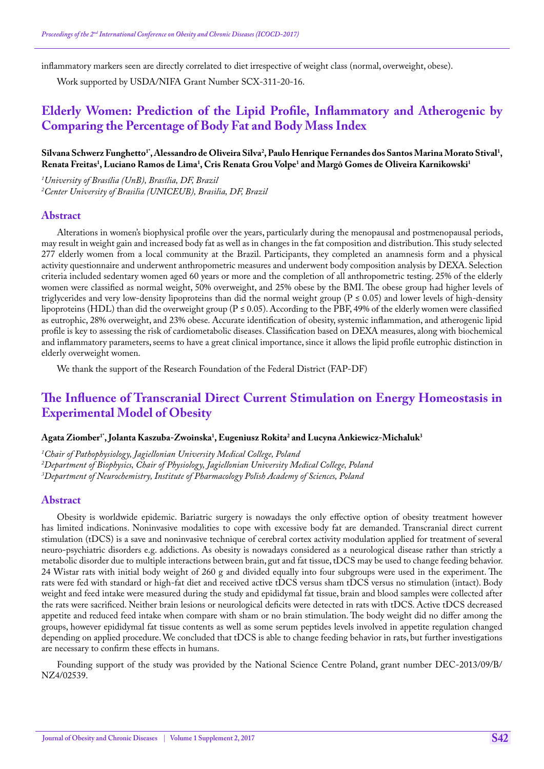inflammatory markers seen are directly correlated to diet irrespective of weight class (normal, overweight, obese).

Work supported by USDA/NIFA Grant Number SCX-311-20-16.

# **Elderly Women: Prediction of the Lipid Profile, Inflammatory and Atherogenic by Comparing the Percentage of Body Fat and Body Mass Index**

## Silvana Schwerz Funghetto<sup>1</sup>, Alessandro de Oliveira Silva<sup>2</sup>, Paulo Henrique Fernandes dos Santos Marina Morato Stival<sup>1</sup>, **Renata Freitas1 , Luciano Ramos de Lima1 , Cris Renata Grou Volpe1 and Margô Gomes de Oliveira Karnikowski1**

*1 University of Brasília (UnB), Brasília, DF, Brazil 2 Center University of Brasilia (UNICEUB), Brasilia, DF, Brazil*

## **Abstract**

Alterations in women's biophysical profile over the years, particularly during the menopausal and postmenopausal periods, may result in weight gain and increased body fat as well as in changes in the fat composition and distribution. This study selected 277 elderly women from a local community at the Brazil. Participants, they completed an anamnesis form and a physical activity questionnaire and underwent anthropometric measures and underwent body composition analysis by DEXA. Selection criteria included sedentary women aged 60 years or more and the completion of all anthropometric testing. 25% of the elderly women were classified as normal weight, 50% overweight, and 25% obese by the BMI. The obese group had higher levels of triglycerides and very low-density lipoproteins than did the normal weight group (P ≤ 0.05) and lower levels of high-density lipoproteins (HDL) than did the overweight group ( $P \le 0.05$ ). According to the PBF, 49% of the elderly women were classified as eutrophic, 28% overweight, and 23% obese. Accurate identification of obesity, systemic inflammation, and atherogenic lipid profile is key to assessing the risk of cardiometabolic diseases. Classification based on DEXA measures, along with biochemical and inflammatory parameters, seems to have a great clinical importance, since it allows the lipid profile eutrophic distinction in elderly overweight women.

We thank the support of the Research Foundation of the Federal District (FAP-DF)

# **The Influence of Transcranial Direct Current Stimulation on Energy Homeostasis in Experimental Model of Obesity**

## **Agata Ziomber1\*, Jolanta Kaszuba-Zwoinska1 , Eugeniusz Rokita2 and Lucyna Ankiewicz-Michaluk3**

*1 Chair of Pathophysiology, Jagiellonian University Medical College, Poland 2 Department of Biophysics, Chair of Physiology, Jagiellonian University Medical College, Poland 3 Department of Neurochemistry, Institute of Pharmacology Polish Academy of Sciences, Poland*

## **Abstract**

Obesity is worldwide epidemic. Bariatric surgery is nowadays the only effective option of obesity treatment however has limited indications. Noninvasive modalities to cope with excessive body fat are demanded. Transcranial direct current stimulation (tDCS) is a save and noninvasive technique of cerebral cortex activity modulation applied for treatment of several neuro-psychiatric disorders e.g. addictions. As obesity is nowadays considered as a neurological disease rather than strictly a metabolic disorder due to multiple interactions between brain, gut and fat tissue, tDCS may be used to change feeding behavior. 24 Wistar rats with initial body weight of 260 g and divided equally into four subgroups were used in the experiment. The rats were fed with standard or high-fat diet and received active tDCS versus sham tDCS versus no stimulation (intact). Body weight and feed intake were measured during the study and epididymal fat tissue, brain and blood samples were collected after the rats were sacrificed. Neither brain lesions or neurological deficits were detected in rats with tDCS. Active tDCS decreased appetite and reduced feed intake when compare with sham or no brain stimulation. The body weight did no differ among the groups, however epididymal fat tissue contents as well as some serum peptides levels involved in appetite regulation changed depending on applied procedure. We concluded that tDCS is able to change feeding behavior in rats, but further investigations are necessary to confirm these effects in humans.

Founding support of the study was provided by the National Science Centre Poland, grant number DEC-2013/09/B/ NZ4/02539.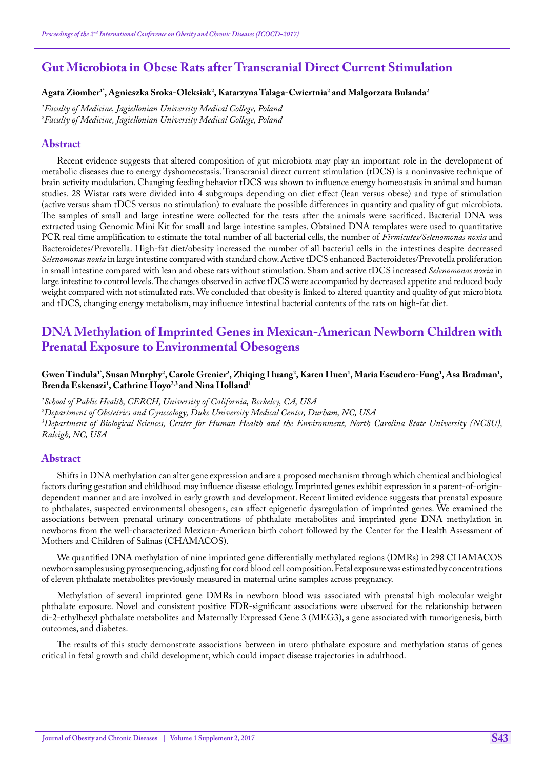# **Gut Microbiota in Obese Rats after Transcranial Direct Current Stimulation**

## **Agata Ziomber1\*, Agnieszka Sroka-Oleksiak2 , Katarzyna Talaga-Cwiertnia2 and Malgorzata Bulanda2**

*1 Faculty of Medicine, Jagiellonian University Medical College, Poland 2 Faculty of Medicine, Jagiellonian University Medical College, Poland*

## **Abstract**

Recent evidence suggests that altered composition of gut microbiota may play an important role in the development of metabolic diseases due to energy dyshomeostasis. Transcranial direct current stimulation (tDCS) is a noninvasive technique of brain activity modulation. Changing feeding behavior tDCS was shown to influence energy homeostasis in animal and human studies. 28 Wistar rats were divided into 4 subgroups depending on diet effect (lean versus obese) and type of stimulation (active versus sham tDCS versus no stimulation) to evaluate the possible differences in quantity and quality of gut microbiota. The samples of small and large intestine were collected for the tests after the animals were sacrificed. Bacterial DNA was extracted using Genomic Mini Kit for small and large intestine samples. Obtained DNA templates were used to quantitative PCR real time amplification to estimate the total number of all bacterial cells, the number of *Firmicutes/Selenomonas noxia* and Bacteroidetes/Prevotella. High-fat diet/obesity increased the number of all bacterial cells in the intestines despite decreased *Selenomonas noxia* in large intestine compared with standard chow. Active tDCS enhanced Bacteroidetes/Prevotella proliferation in small intestine compared with lean and obese rats without stimulation. Sham and active tDCS increased *Selenomonas noxia* in large intestine to control levels. The changes observed in active tDCS were accompanied by decreased appetite and reduced body weight compared with not stimulated rats. We concluded that obesity is linked to altered quantity and quality of gut microbiota and tDCS, changing energy metabolism, may influence intestinal bacterial contents of the rats on high-fat diet.

# **DNA Methylation of Imprinted Genes in Mexican-American Newborn Children with Prenatal Exposure to Environmental Obesogens**

## $G$ wen Tindula<sup>r</sup>, Susan Murphy<sup>2</sup>, Carole Grenier<sup>2</sup>, Zhiqing Huang<sup>2</sup>, Karen Huen<sup>1</sup>, Maria Escudero-Fung<sup>1</sup>, Asa Bradman<sup>1</sup>, **Brenda Eskenazi1 , Cathrine Hoyo2,3 and Nina Holland1**

*1 School of Public Health, CERCH, University of California, Berkeley, CA, USA*

*2 Department of Obstetrics and Gynecology, Duke University Medical Center, Durham, NC, USA* 

*3 Department of Biological Sciences, Center for Human Health and the Environment, North Carolina State University (NCSU), Raleigh, NC, USA*

### **Abstract**

Shifts in DNA methylation can alter gene expression and are a proposed mechanism through which chemical and biological factors during gestation and childhood may influence disease etiology. Imprinted genes exhibit expression in a parent-of-origindependent manner and are involved in early growth and development. Recent limited evidence suggests that prenatal exposure to phthalates, suspected environmental obesogens, can affect epigenetic dysregulation of imprinted genes. We examined the associations between prenatal urinary concentrations of phthalate metabolites and imprinted gene DNA methylation in newborns from the well-characterized Mexican-American birth cohort followed by the Center for the Health Assessment of Mothers and Children of Salinas (CHAMACOS).

We quantified DNA methylation of nine imprinted gene differentially methylated regions (DMRs) in 298 CHAMACOS newborn samples using pyrosequencing, adjusting for cord blood cell composition. Fetal exposure was estimated by concentrations of eleven phthalate metabolites previously measured in maternal urine samples across pregnancy.

Methylation of several imprinted gene DMRs in newborn blood was associated with prenatal high molecular weight phthalate exposure. Novel and consistent positive FDR-significant associations were observed for the relationship between di-2-ethylhexyl phthalate metabolites and Maternally Expressed Gene 3 (MEG3), a gene associated with tumorigenesis, birth outcomes, and diabetes.

The results of this study demonstrate associations between in utero phthalate exposure and methylation status of genes critical in fetal growth and child development, which could impact disease trajectories in adulthood.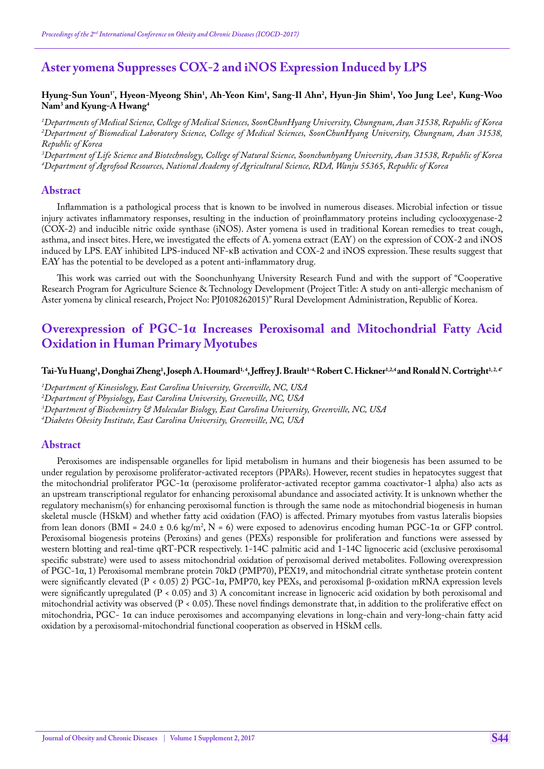# **Aster yomena Suppresses COX-2 and iNOS Expression Induced by LPS**

## Hyung-Sun Youn<sup>1</sup>', Hyeon-Myeong Shin<sup>1</sup>, Ah-Yeon Kim<sup>1</sup>, Sang-Il Ahn<sup>2</sup>, Hyun-Jin Shim<sup>1</sup>, Yoo Jung Lee<sup>1</sup>, Kung-Woo **Nam3 and Kyung-A Hwang4**

*1 Departments of Medical Science, College of Medical Sciences, SoonChunHyang University, Chungnam, Asan 31538, Republic of Korea 2 Department of Biomedical Laboratory Science, College of Medical Sciences, SoonChunHyang University, Chungnam, Asan 31538, Republic of Korea*

*3 Department of Life Science and Biotechnology, College of Natural Science, Soonchunhyang University, Asan 31538, Republic of Korea 4 Department of Agrofood Resources, National Academy of Agricultural Science, RDA, Wanju 55365, Republic of Korea*

### **Abstract**

Inflammation is a pathological process that is known to be involved in numerous diseases. Microbial infection or tissue injury activates inflammatory responses, resulting in the induction of proinflammatory proteins including cyclooxygenase-2 (COX-2) and inducible nitric oxide synthase (iNOS). Aster yomena is used in traditional Korean remedies to treat cough, asthma, and insect bites. Here, we investigated the effects of A. yomena extract (EAY) on the expression of COX-2 and iNOS induced by LPS. EAY inhibited LPS-induced NF-κB activation and COX-2 and iNOS expression. These results suggest that EAY has the potential to be developed as a potent anti-inflammatory drug.

This work was carried out with the Soonchunhyang University Research Fund and with the support of "Cooperative Research Program for Agriculture Science & Technology Development (Project Title: A study on anti-allergic mechanism of Aster yomena by clinical research, Project No: PJ0108262015)" Rural Development Administration, Republic of Korea.

# **Overexpression of PGC-1α Increases Peroxisomal and Mitochondrial Fatty Acid Oxidation in Human Primary Myotubes**

## Tai-Yu Huang<sup>1</sup>, Donghai Zheng<sup>1</sup>, Joseph A. Houmard<sup>1, 4</sup>, Jeffrey J. Brault<sup>1-4,</sup> Robert C. Hickner<sup>1,2,4</sup> and Ronald N. Cortright<sup>1,2,4</sup>

*1 Department of Kinesiology, East Carolina University, Greenville, NC, USA*

*2 Department of Physiology, East Carolina University, Greenville, NC, USA*

*3 Department of Biochemistry & Molecular Biology, East Carolina University, Greenville, NC, USA*

*4 Diabetes Obesity Institute, East Carolina University, Greenville, NC, USA*

### **Abstract**

Peroxisomes are indispensable organelles for lipid metabolism in humans and their biogenesis has been assumed to be under regulation by peroxisome proliferator-activated receptors (PPARs). However, recent studies in hepatocytes suggest that the mitochondrial proliferator PGC-1α (peroxisome proliferator-activated receptor gamma coactivator-1 alpha) also acts as an upstream transcriptional regulator for enhancing peroxisomal abundance and associated activity. It is unknown whether the regulatory mechanism(s) for enhancing peroxisomal function is through the same node as mitochondrial biogenesis in human skeletal muscle (HSkM) and whether fatty acid oxidation (FAO) is affected. Primary myotubes from vastus lateralis biopsies from lean donors (BMI = 24.0 ± 0.6 kg/m<sup>2</sup>, N = 6) were exposed to adenovirus encoding human PGC-1 $\alpha$  or GFP control. Peroxisomal biogenesis proteins (Peroxins) and genes (PEXs) responsible for proliferation and functions were assessed by western blotting and real-time qRT-PCR respectively. 1-14C palmitic acid and 1-14C lignoceric acid (exclusive peroxisomal specific substrate) were used to assess mitochondrial oxidation of peroxisomal derived metabolites. Following overexpression of PGC-1α, 1) Peroxisomal membrane protein 70kD (PMP70), PEX19, and mitochondrial citrate synthetase protein content were significantly elevated (P < 0.05) 2) PGC-1α, PMP70, key PEXs, and peroxisomal β-oxidation mRNA expression levels were significantly upregulated (P < 0.05) and 3) A concomitant increase in lignoceric acid oxidation by both peroxisomal and mitochondrial activity was observed (P < 0.05). These novel findings demonstrate that, in addition to the proliferative effect on mitochondria, PGC- 1 $\alpha$  can induce peroxisomes and accompanying elevations in long-chain and very-long-chain fatty acid oxidation by a peroxisomal-mitochondrial functional cooperation as observed in HSkM cells.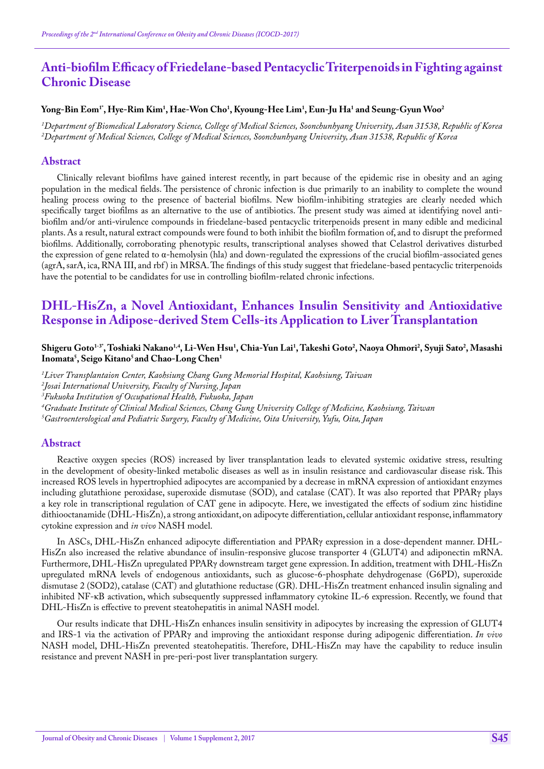# **Anti-biofilm Efficacy of Friedelane-based Pentacyclic Triterpenoids in Fighting against Chronic Disease**

## $\bold{Yong-Bin}\:\text{Eom}^{\text{!`}}, \text{Hye-Rim}\:\text{Kim}^{\text{!`}}, \text{Hae-Won}\:\text{Cho}^{\text{!`}}, \text{Kyoung-Hee}\:\text{Lim}^{\text{!`}}, \text{Eun-Ju}\:\text{Ha}^{\text{!`}}\:\text{and}\:\text{Seung-Gyun}\:\text{Woo}^{\text{!`}}$

*1 Department of Biomedical Laboratory Science, College of Medical Sciences, Soonchunhyang University, Asan 31538, Republic of Korea 2 Department of Medical Sciences, College of Medical Sciences, Soonchunhyang University, Asan 31538, Republic of Korea*

## **Abstract**

Clinically relevant biofilms have gained interest recently, in part because of the epidemic rise in obesity and an aging population in the medical fields. The persistence of chronic infection is due primarily to an inability to complete the wound healing process owing to the presence of bacterial biofilms. New biofilm-inhibiting strategies are clearly needed which specifically target biofilms as an alternative to the use of antibiotics. The present study was aimed at identifying novel antibiofilm and/or anti-virulence compounds in friedelane-based pentacyclic triterpenoids present in many edible and medicinal plants. As a result, natural extract compounds were found to both inhibit the biofilm formation of, and to disrupt the preformed biofilms. Additionally, corroborating phenotypic results, transcriptional analyses showed that Celastrol derivatives disturbed the expression of gene related to α-hemolysin (hla) and down-regulated the expressions of the crucial biofilm-associated genes (agrA, sarA, ica, RNA III, and rbf) in MRSA. The findings of this study suggest that friedelane-based pentacyclic triterpenoids have the potential to be candidates for use in controlling biofilm-related chronic infections.

# **DHL-HisZn, a Novel Antioxidant, Enhances Insulin Sensitivity and Antioxidative Response in Adipose-derived Stem Cells-its Application to Liver Transplantation**

## **Shigeru Goto1-3\*, Toshiaki Nakano1,4, Li-Wen Hsu1 , Chia-Yun Lai1 , Takeshi Goto2 , Naoya Ohmori2 , Syuji Sato2 , Masashi Inomata5 , Seigo Kitano5 and Chao-Long Chen1**

 *Liver Transplantaion Center, Kaohsiung Chang Gung Memorial Hospital, Kaohsiung, Taiwan Josai International University, Faculty of Nursing, Japan Fukuoka Institution of Occupational Health, Fukuoka, Japan Graduate Institute of Clinical Medical Sciences, Chang Gung University College of Medicine, Kaohsiung, Taiwan Gastroenterological and Pediatric Surgery, Faculty of Medicine, Oita University, Yufu, Oita, Japan*

## **Abstract**

Reactive oxygen species (ROS) increased by liver transplantation leads to elevated systemic oxidative stress, resulting in the development of obesity-linked metabolic diseases as well as in insulin resistance and cardiovascular disease risk. This increased ROS levels in hypertrophied adipocytes are accompanied by a decrease in mRNA expression of antioxidant enzymes including glutathione peroxidase, superoxide dismutase (SOD), and catalase (CAT). It was also reported that PPARγ plays a key role in transcriptional regulation of CAT gene in adipocyte. Here, we investigated the effects of sodium zinc histidine dithiooctanamide (DHL-HisZn), a strong antioxidant, on adipocyte differentiation, cellular antioxidant response, inflammatory cytokine expression and *in vivo* NASH model.

In ASCs, DHL-HisZn enhanced adipocyte differentiation and PPARγ expression in a dose-dependent manner. DHL-HisZn also increased the relative abundance of insulin-responsive glucose transporter 4 (GLUT4) and adiponectin mRNA. Furthermore, DHL-HisZn upregulated PPARγ downstream target gene expression. In addition, treatment with DHL-HisZn upregulated mRNA levels of endogenous antioxidants, such as glucose-6-phosphate dehydrogenase (G6PD), superoxide dismutase 2 (SOD2), catalase (CAT) and glutathione reductase (GR). DHL-HisZn treatment enhanced insulin signaling and inhibited NF-κB activation, which subsequently suppressed inflammatory cytokine IL-6 expression. Recently, we found that DHL-HisZn is effective to prevent steatohepatitis in animal NASH model.

Our results indicate that DHL-HisZn enhances insulin sensitivity in adipocytes by increasing the expression of GLUT4 and IRS-1 via the activation of PPARγ and improving the antioxidant response during adipogenic differentiation. *In vivo* NASH model, DHL-HisZn prevented steatohepatitis. Therefore, DHL-HisZn may have the capability to reduce insulin resistance and prevent NASH in pre-peri-post liver transplantation surgery.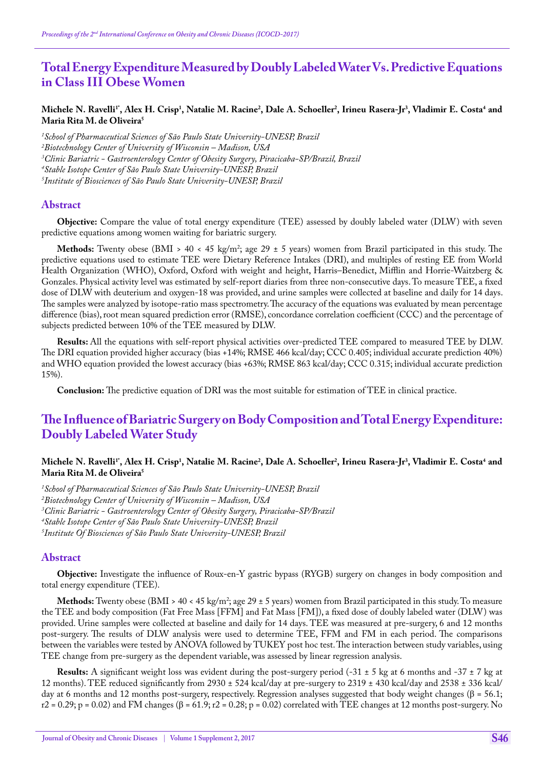# **Total Energy Expenditure Measured by Doubly Labeled Water Vs. Predictive Equations in Class III Obese Women**

### Michele N. Ravelli<sup>1</sup>', Alex H. Crisp<sup>1</sup>, Natalie M. Racine<sup>2</sup>, Dale A. Schoeller<sup>2</sup>, Irineu Rasera-Jr<sup>3</sup>, Vladimir E. Costa<sup>4</sup> and **Maria Rita M. de Oliveira5**

 *School of Pharmaceutical Sciences of São Paulo State University-UNESP, Brazil Biotechnology Center of University of Wisconsin – Madison, USA Clinic Bariatric - Gastroenterology Center of Obesity Surgery, Piracicaba-SP/Brazil, Brazil Stable Isotope Center of São Paulo State University-UNESP, Brazil Institute of Biosciences of São Paulo State University-UNESP, Brazil*

### **Abstract**

**Objective:** Compare the value of total energy expenditure (TEE) assessed by doubly labeled water (DLW) with seven predictive equations among women waiting for bariatric surgery.

**Methods:** Twenty obese (BMI > 40 < 45 kg/m2 ; age 29 ± 5 years) women from Brazil participated in this study. The predictive equations used to estimate TEE were Dietary Reference Intakes (DRI), and multiples of resting EE from World Health Organization (WHO), Oxford, Oxford with weight and height, Harris–Benedict, Mifflin and Horrie-Waitzberg & Gonzales. Physical activity level was estimated by self-report diaries from three non-consecutive days. To measure TEE, a fixed dose of DLW with deuterium and oxygen-18 was provided, and urine samples were collected at baseline and daily for 14 days. The samples were analyzed by isotope-ratio mass spectrometry. The accuracy of the equations was evaluated by mean percentage difference (bias), root mean squared prediction error (RMSE), concordance correlation coefficient (CCC) and the percentage of subjects predicted between 10% of the TEE measured by DLW.

**Results:** All the equations with self-report physical activities over-predicted TEE compared to measured TEE by DLW. The DRI equation provided higher accuracy (bias +14%; RMSE 466 kcal/day; CCC 0.405; individual accurate prediction 40%) and WHO equation provided the lowest accuracy (bias +63%; RMSE 863 kcal/day; CCC 0.315; individual accurate prediction 15%).

**Conclusion:** The predictive equation of DRI was the most suitable for estimation of TEE in clinical practice.

# **The Influence of Bariatric Surgery on Body Composition and Total Energy Expenditure: Doubly Labeled Water Study**

### Michele N. Ravelli<sup>1</sup>', Alex H. Crisp<sup>1</sup>, Natalie M. Racine<sup>2</sup>, Dale A. Schoeller<sup>2</sup>, Irineu Rasera-Jr<sup>3</sup>, Vladimir E. Costa<sup>4</sup> and **Maria Rita M. de Oliveira5**

 *School of Pharmaceutical Sciences of São Paulo State University-UNESP, Brazil Biotechnology Center of University of Wisconsin – Madison, USA Clinic Bariatric - Gastroenterology Center of Obesity Surgery, Piracicaba-SP/Brazil Stable Isotope Center of São Paulo State University-UNESP, Brazil Institute Of Biosciences of São Paulo State University-UNESP, Brazil*

### **Abstract**

**Objective:** Investigate the influence of Roux-en-Y gastric bypass (RYGB) surgery on changes in body composition and total energy expenditure (TEE).

**Methods:** Twenty obese (BMI > 40 < 45 kg/m2 ; age 29 ± 5 years) women from Brazil participated in this study. To measure the TEE and body composition (Fat Free Mass [FFM] and Fat Mass [FM]), a fixed dose of doubly labeled water (DLW) was provided. Urine samples were collected at baseline and daily for 14 days. TEE was measured at pre-surgery, 6 and 12 months post-surgery. The results of DLW analysis were used to determine TEE, FFM and FM in each period. The comparisons between the variables were tested by ANOVA followed by TUKEY post hoc test. The interaction between study variables, using TEE change from pre-surgery as the dependent variable, was assessed by linear regression analysis.

Results: A significant weight loss was evident during the post-surgery period (-31 ± 5 kg at 6 months and -37 ± 7 kg at 12 months). TEE reduced significantly from 2930 ± 524 kcal/day at pre-surgery to 2319 ± 430 kcal/day and 2538 ± 336 kcal/ day at 6 months and 12 months post-surgery, respectively. Regression analyses suggested that body weight changes (β = 56.1;  $r2 = 0.29$ ; p = 0.02) and FM changes ( $\beta = 61.9$ ;  $r2 = 0.28$ ; p = 0.02) correlated with TEE changes at 12 months post-surgery. No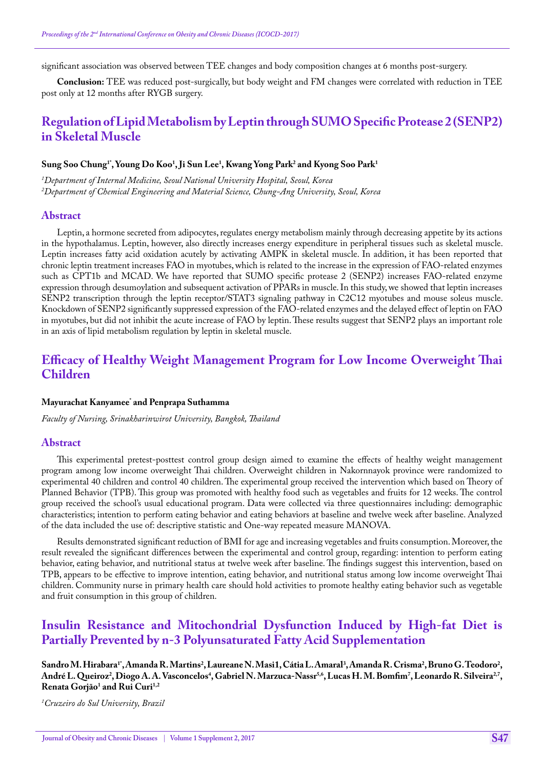significant association was observed between TEE changes and body composition changes at 6 months post-surgery.

**Conclusion:** TEE was reduced post-surgically, but body weight and FM changes were correlated with reduction in TEE post only at 12 months after RYGB surgery.

# **Regulation of Lipid Metabolism by Leptin through SUMO Specific Protease 2 (SENP2) in Skeletal Muscle**

### **Sung Soo Chung1\*, Young Do Koo1 , Ji Sun Lee1 , Kwang Yong Park2 and Kyong Soo Park1**

*1 Department of Internal Medicine, Seoul National University Hospital, Seoul, Korea 2 Department of Chemical Engineering and Material Science, Chung-Ang University, Seoul, Korea*

## **Abstract**

Leptin, a hormone secreted from adipocytes, regulates energy metabolism mainly through decreasing appetite by its actions in the hypothalamus. Leptin, however, also directly increases energy expenditure in peripheral tissues such as skeletal muscle. Leptin increases fatty acid oxidation acutely by activating AMPK in skeletal muscle. In addition, it has been reported that chronic leptin treatment increases FAO in myotubes, which is related to the increase in the expression of FAO-related enzymes such as CPT1b and MCAD. We have reported that SUMO specific protease 2 (SENP2) increases FAO-related enzyme expression through desumoylation and subsequent activation of PPARs in muscle. In this study, we showed that leptin increases SENP2 transcription through the leptin receptor/STAT3 signaling pathway in C2C12 myotubes and mouse soleus muscle. Knockdown of SENP2 significantly suppressed expression of the FAO-related enzymes and the delayed effect of leptin on FAO in myotubes, but did not inhibit the acute increase of FAO by leptin. These results suggest that SENP2 plays an important role in an axis of lipid metabolism regulation by leptin in skeletal muscle.

# **Efficacy of Healthy Weight Management Program for Low Income Overweight Thai Children**

### **Mayurachat Kanyamee\* and Penprapa Suthamma**

*Faculty of Nursing, Srinakharinwirot University, Bangkok, Thailand*

#### **Abstract**

This experimental pretest-posttest control group design aimed to examine the effects of healthy weight management program among low income overweight Thai children. Overweight children in Nakornnayok province were randomized to experimental 40 children and control 40 children. The experimental group received the intervention which based on Theory of Planned Behavior (TPB). This group was promoted with healthy food such as vegetables and fruits for 12 weeks. The control group received the school's usual educational program. Data were collected via three questionnaires including: demographic characteristics; intention to perform eating behavior and eating behaviors at baseline and twelve week after baseline. Analyzed of the data included the use of: descriptive statistic and One-way repeated measure MANOVA.

Results demonstrated significant reduction of BMI for age and increasing vegetables and fruits consumption. Moreover, the result revealed the significant differences between the experimental and control group, regarding: intention to perform eating behavior, eating behavior, and nutritional status at twelve week after baseline. The findings suggest this intervention, based on TPB, appears to be effective to improve intention, eating behavior, and nutritional status among low income overweight Thai children. Community nurse in primary health care should hold activities to promote healthy eating behavior such as vegetable and fruit consumption in this group of children.

# **Insulin Resistance and Mitochondrial Dysfunction Induced by High-fat Diet is Partially Prevented by n-3 Polyunsaturated Fatty Acid Supplementation**

 $S$ andro M. Hirabara<sup>1</sup>', Amanda R. Martins<sup>2</sup>, Laureane N. Masi1, Cátia L. Amaral<sup>3</sup>, Amanda R. Crisma<sup>2</sup>, Bruno G. Teodoro<sup>2</sup>, André L. Queiroz<sup>2</sup>, Diogo A. A. Vasconcelos<sup>4</sup>, Gabriel N. Marzuca-Nassr<sup>5,6</sup>, Lucas H. M. Bomfim<sup>7</sup>, Leonardo R. Silveira<sup>2,7</sup>, **Renata Gorjão1 and Rui Curi1,2**

*1 Cruzeiro do Sul University, Brazil*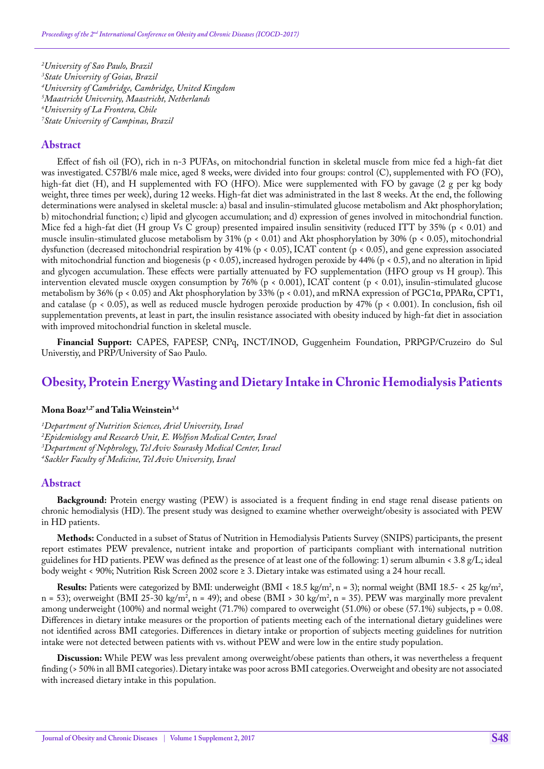*University of Sao Paulo, Brazil State University of Goias, Brazil University of Cambridge, Cambridge, United Kingdom Maastricht University, Maastricht, Netherlands University of La Frontera, Chile State University of Campinas, Brazil*

### **Abstract**

Effect of fish oil (FO), rich in n-3 PUFAs, on mitochondrial function in skeletal muscle from mice fed a high-fat diet was investigated. C57Bl/6 male mice, aged 8 weeks, were divided into four groups: control (C), supplemented with FO (FO), high-fat diet (H), and H supplemented with FO (HFO). Mice were supplemented with FO by gavage (2 g per kg body weight, three times per week), during 12 weeks. High-fat diet was administrated in the last 8 weeks. At the end, the following determinations were analysed in skeletal muscle: a) basal and insulin-stimulated glucose metabolism and Akt phosphorylation; b) mitochondrial function; c) lipid and glycogen accumulation; and d) expression of genes involved in mitochondrial function. Mice fed a high-fat diet (H group Vs C group) presented impaired insulin sensitivity (reduced ITT by 35% (p < 0.01) and muscle insulin-stimulated glucose metabolism by 31% (p < 0.01) and Akt phosphorylation by 30% (p < 0.05), mitochondrial dysfunction (decreased mitochondrial respiration by 41% (p < 0.05), ICAT content (p < 0.05), and gene expression associated with mitochondrial function and biogenesis (p < 0.05), increased hydrogen peroxide by 44% (p < 0.5), and no alteration in lipid and glycogen accumulation. These effects were partially attenuated by FO supplementation (HFO group vs H group). This intervention elevated muscle oxygen consumption by 76% (p < 0.001), ICAT content (p < 0.01), insulin-stimulated glucose metabolism by 36% (p < 0.05) and Akt phosphorylation by 33% (p < 0.01), and mRNA expression of PGC1α, PPARα, CPT1, and catalase (p < 0.05), as well as reduced muscle hydrogen peroxide production by 47% (p < 0.001). In conclusion, fish oil supplementation prevents, at least in part, the insulin resistance associated with obesity induced by high-fat diet in association with improved mitochondrial function in skeletal muscle.

**Financial Support:** CAPES, FAPESP, CNPq, INCT/INOD, Guggenheim Foundation, PRPGP/Cruzeiro do Sul Universtiy, and PRP/University of Sao Paulo.

## **Obesity, Protein Energy Wasting and Dietary Intake in Chronic Hemodialysis Patients**

#### **Mona Boaz1,2\* and Talia Weinstein3,4**

 *Department of Nutrition Sciences, Ariel University, Israel Epidemiology and Research Unit, E. Wolfson Medical Center, Israel Department of Nephrology, Tel Aviv Sourasky Medical Center, Israel Sackler Faculty of Medicine, Tel Aviv University, Israel*

#### **Abstract**

**Background:** Protein energy wasting (PEW) is associated is a frequent finding in end stage renal disease patients on chronic hemodialysis (HD). The present study was designed to examine whether overweight/obesity is associated with PEW in HD patients.

**Methods:** Conducted in a subset of Status of Nutrition in Hemodialysis Patients Survey (SNIPS) participants, the present report estimates PEW prevalence, nutrient intake and proportion of participants compliant with international nutrition guidelines for HD patients. PEW was defined as the presence of at least one of the following: 1) serum albumin < 3.8 g/L; ideal body weight < 90%; Nutrition Risk Screen 2002 score ≥ 3. Dietary intake was estimated using a 24 hour recall.

**Results:** Patients were categorized by BMI: underweight (BMI < 18.5 kg/m<sup>2</sup>, n = 3); normal weight (BMI 18.5- < 25 kg/m<sup>2</sup>, n = 53); overweight (BMI 25-30 kg/m<sup>2</sup>, n = 49); and obese (BMI > 30 kg/m<sup>2</sup>, n = 35). PEW was marginally more prevalent among underweight (100%) and normal weight (71.7%) compared to overweight (51.0%) or obese (57.1%) subjects,  $p = 0.08$ . Differences in dietary intake measures or the proportion of patients meeting each of the international dietary guidelines were not identified across BMI categories. Differences in dietary intake or proportion of subjects meeting guidelines for nutrition intake were not detected between patients with vs. without PEW and were low in the entire study population.

**Discussion:** While PEW was less prevalent among overweight/obese patients than others, it was nevertheless a frequent finding (> 50% in all BMI categories). Dietary intake was poor across BMI categories. Overweight and obesity are not associated with increased dietary intake in this population.